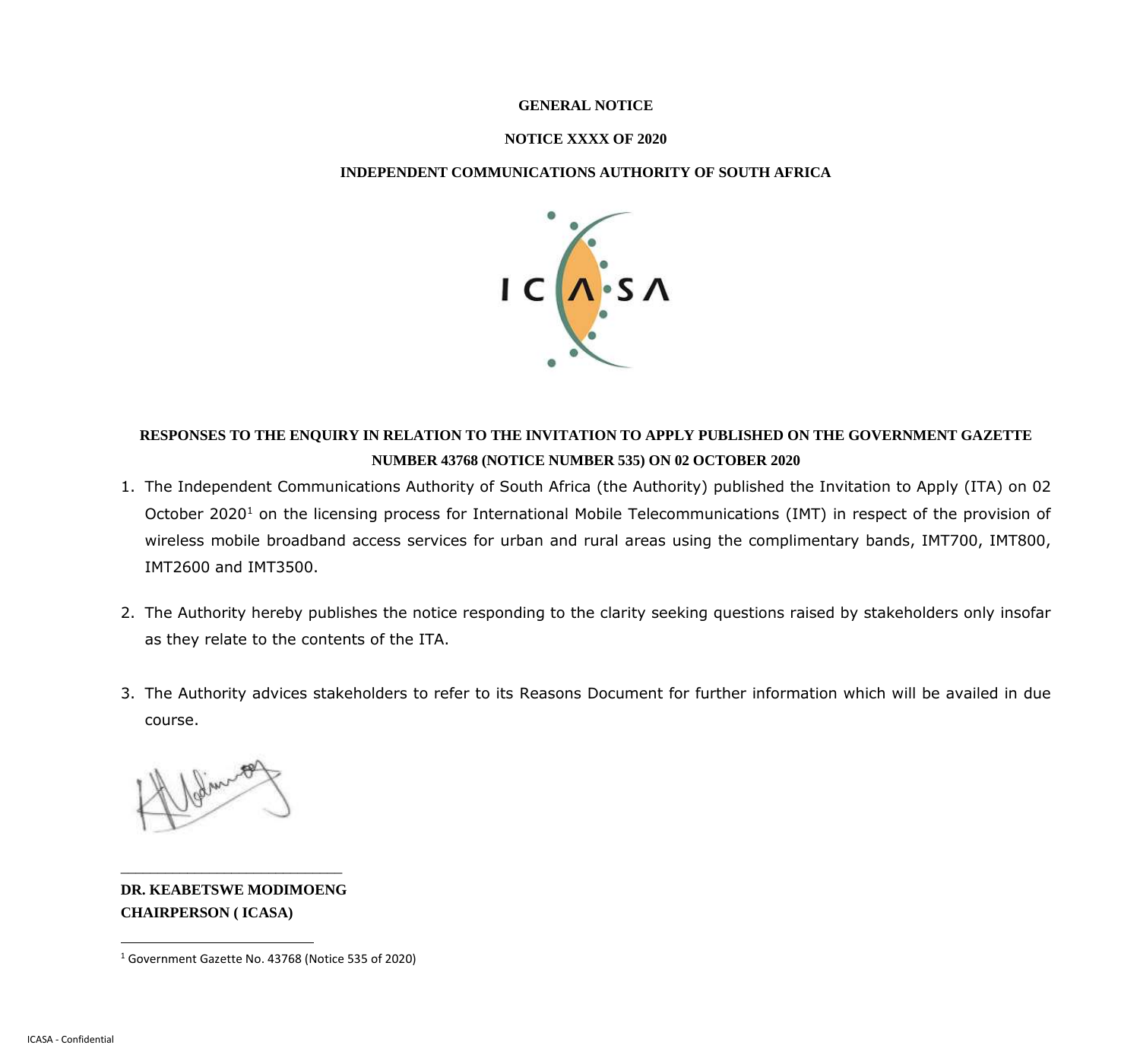#### **GENERAL NOTICE**

#### **NOTICE XXXX OF 2020**

#### **INDEPENDENT COMMUNICATIONS AUTHORITY OF SOUTH AFRICA**



## **RESPONSES TO THE ENQUIRY IN RELATION TO THE INVITATION TO APPLY PUBLISHED ON THE GOVERNMENT GAZETTE NUMBER 43768 (NOTICE NUMBER 535) ON 02 OCTOBER 2020**

- 1. The Independent Communications Authority of South Africa (the Authority) published the Invitation to Apply (ITA) on 02 October 2020<sup>1</sup> on the licensing process for International Mobile Telecommunications (IMT) in respect of the provision of wireless mobile broadband access services for urban and rural areas using the complimentary bands, IMT700, IMT800, IMT2600 and IMT3500.
- 2. The Authority hereby publishes the notice responding to the clarity seeking questions raised by stakeholders only insofar as they relate to the contents of the ITA.
- 3. The Authority advices stakeholders to refer to its Reasons Document for further information which will be availed in due course.

**DR. KEABETSWE MODIMOENG CHAIRPERSON ( ICASA)**

\_\_\_\_\_\_\_\_\_\_\_\_\_\_\_\_\_\_\_\_\_\_\_\_\_\_\_\_\_\_

<sup>1</sup> Government Gazette No. 43768 (Notice 535 of 2020)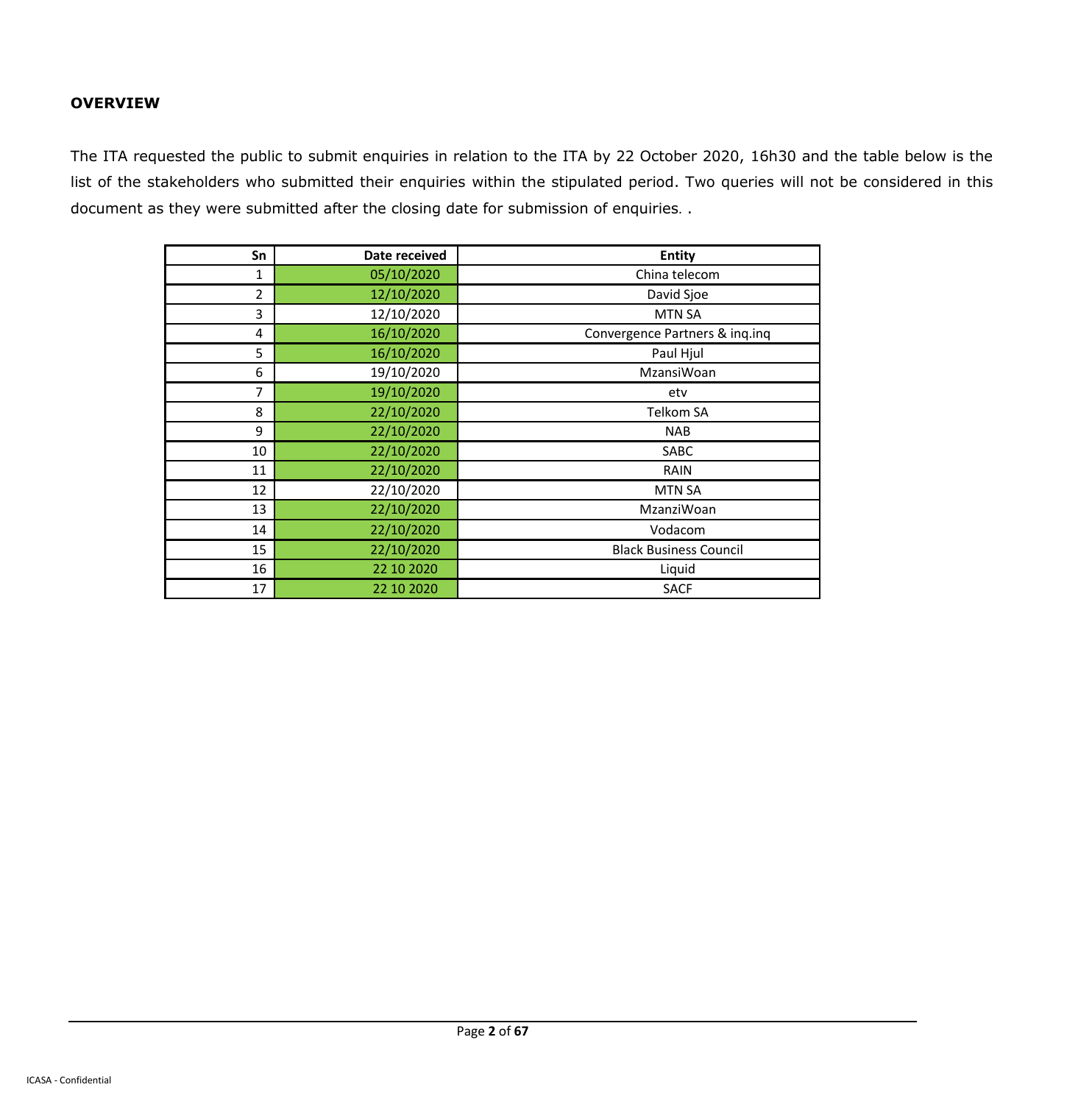#### **OVERVIEW**

The ITA requested the public to submit enquiries in relation to the ITA by 22 October 2020, 16h30 and the table below is the list of the stakeholders who submitted their enquiries within the stipulated period. Two queries will not be considered in this document as they were submitted after the closing date for submission of enquiries. .

| Sn | Date received | <b>Entity</b>                  |
|----|---------------|--------------------------------|
| 1  | 05/10/2020    | China telecom                  |
| 2  | 12/10/2020    | David Sjoe                     |
| 3  | 12/10/2020    | <b>MTN SA</b>                  |
| 4  | 16/10/2020    | Convergence Partners & inq.inq |
| 5  | 16/10/2020    | Paul Hjul                      |
| 6  | 19/10/2020    | MzansiWoan                     |
| 7  | 19/10/2020    | etv                            |
| 8  | 22/10/2020    | <b>Telkom SA</b>               |
| 9  | 22/10/2020    | <b>NAB</b>                     |
| 10 | 22/10/2020    | SABC                           |
| 11 | 22/10/2020    | <b>RAIN</b>                    |
| 12 | 22/10/2020    | <b>MTN SA</b>                  |
| 13 | 22/10/2020    | MzanziWoan                     |
| 14 | 22/10/2020    | Vodacom                        |
| 15 | 22/10/2020    | <b>Black Business Council</b>  |
| 16 | 22 10 20 20   | Liquid                         |
| 17 | 22 10 2020    | <b>SACF</b>                    |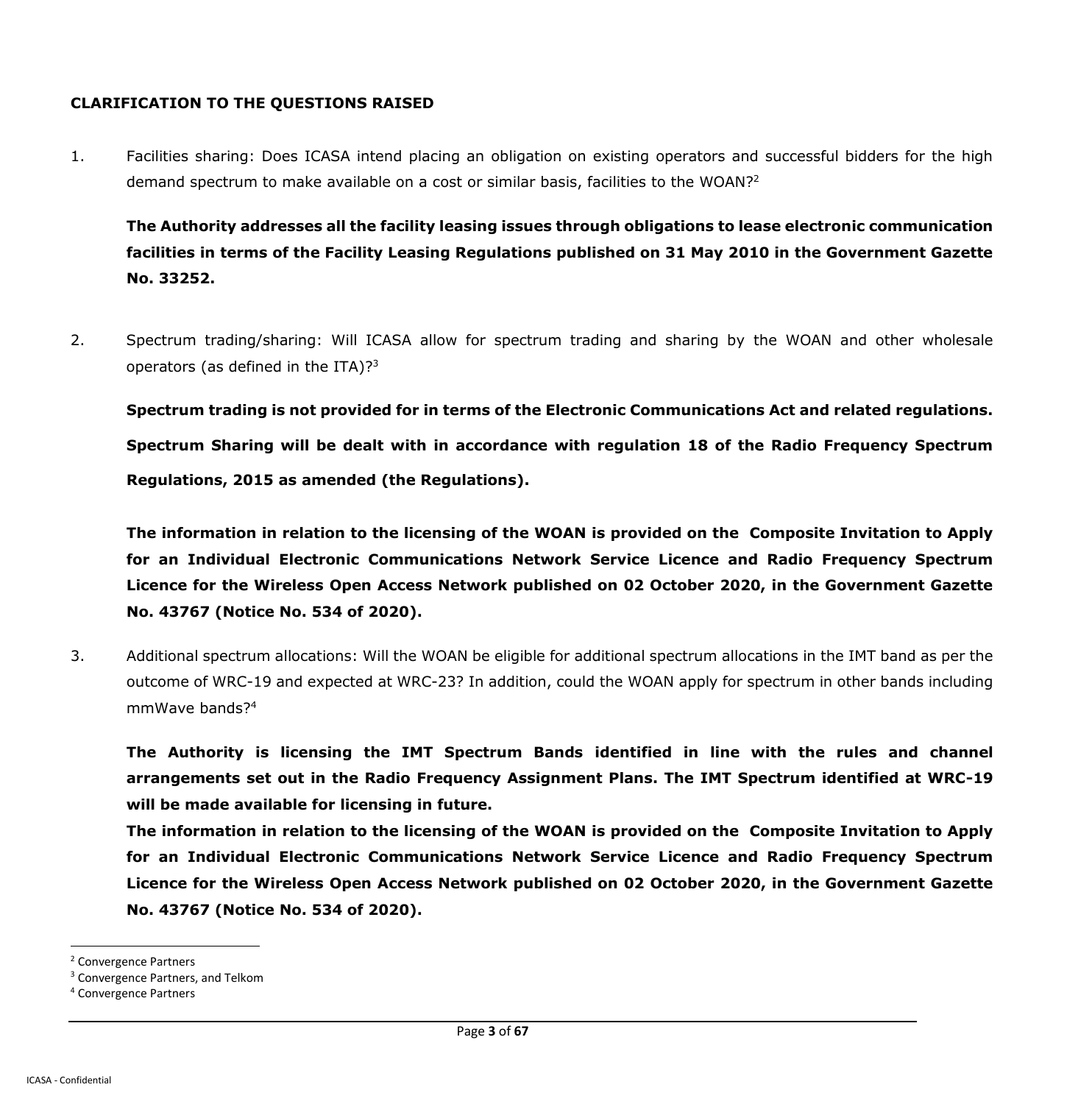#### **CLARIFICATION TO THE QUESTIONS RAISED**

1. Facilities sharing: Does ICASA intend placing an obligation on existing operators and successful bidders for the high demand spectrum to make available on a cost or similar basis, facilities to the WOAN?<sup>2</sup>

**The Authority addresses all the facility leasing issues through obligations to lease electronic communication facilities in terms of the Facility Leasing Regulations published on 31 May 2010 in the Government Gazette No. 33252.** 

2. Spectrum trading/sharing: Will ICASA allow for spectrum trading and sharing by the WOAN and other wholesale operators (as defined in the ITA)? $3^3$ 

**Spectrum trading is not provided for in terms of the Electronic Communications Act and related regulations. Spectrum Sharing will be dealt with in accordance with regulation 18 of the Radio Frequency Spectrum Regulations, 2015 as amended (the Regulations).**

**The information in relation to the licensing of the WOAN is provided on the Composite Invitation to Apply for an Individual Electronic Communications Network Service Licence and Radio Frequency Spectrum Licence for the Wireless Open Access Network published on 02 October 2020, in the Government Gazette No. 43767 (Notice No. 534 of 2020).**

3. Additional spectrum allocations: Will the WOAN be eligible for additional spectrum allocations in the IMT band as per the outcome of WRC-19 and expected at WRC-23? In addition, could the WOAN apply for spectrum in other bands including mmWave bands?<sup>4</sup>

**The Authority is licensing the IMT Spectrum Bands identified in line with the rules and channel arrangements set out in the Radio Frequency Assignment Plans. The IMT Spectrum identified at WRC-19 will be made available for licensing in future.**

**The information in relation to the licensing of the WOAN is provided on the Composite Invitation to Apply for an Individual Electronic Communications Network Service Licence and Radio Frequency Spectrum Licence for the Wireless Open Access Network published on 02 October 2020, in the Government Gazette No. 43767 (Notice No. 534 of 2020).**

<sup>2</sup> Convergence Partners

<sup>&</sup>lt;sup>3</sup> Convergence Partners, and Telkom

<sup>4</sup> Convergence Partners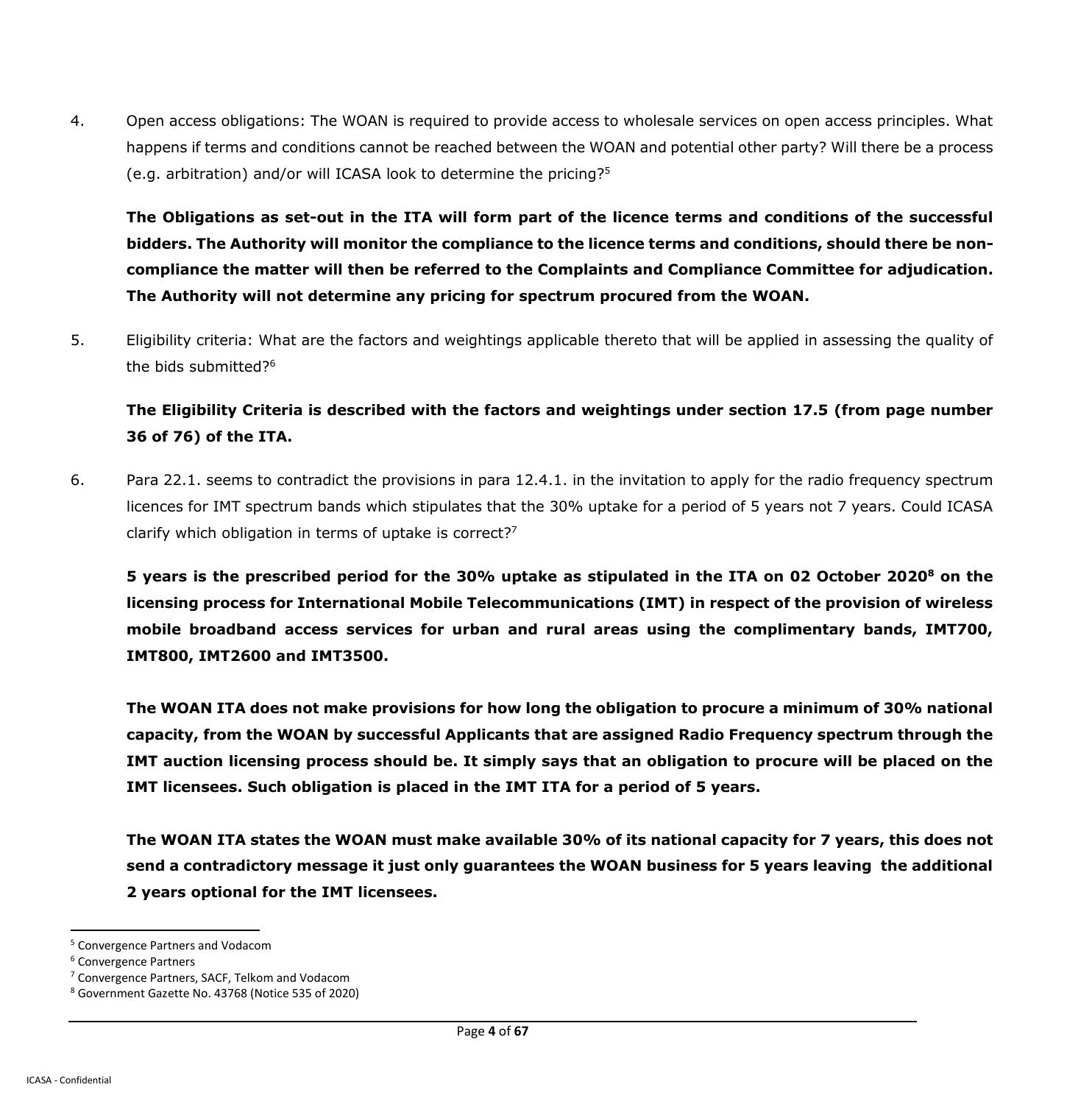4. Open access obligations: The WOAN is required to provide access to wholesale services on open access principles. What happens if terms and conditions cannot be reached between the WOAN and potential other party? Will there be a process (e.g. arbitration) and/or will ICASA look to determine the pricing?<sup>5</sup>

**The Obligations as set-out in the ITA will form part of the licence terms and conditions of the successful bidders. The Authority will monitor the compliance to the licence terms and conditions, should there be noncompliance the matter will then be referred to the Complaints and Compliance Committee for adjudication. The Authority will not determine any pricing for spectrum procured from the WOAN.**

5. Eligibility criteria: What are the factors and weightings applicable thereto that will be applied in assessing the quality of the bids submitted?<sup>6</sup>

**The Eligibility Criteria is described with the factors and weightings under section 17.5 (from page number 36 of 76) of the ITA.**

6. Para 22.1. seems to contradict the provisions in para 12.4.1. in the invitation to apply for the radio frequency spectrum licences for IMT spectrum bands which stipulates that the 30% uptake for a period of 5 years not 7 years. Could ICASA clarify which obligation in terms of uptake is correct? $7$ 

**5 years is the prescribed period for the 30% uptake as stipulated in the ITA on 02 October 2020<sup>8</sup> on the licensing process for International Mobile Telecommunications (IMT) in respect of the provision of wireless mobile broadband access services for urban and rural areas using the complimentary bands, IMT700, IMT800, IMT2600 and IMT3500.**

**The WOAN ITA does not make provisions for how long the obligation to procure a minimum of 30% national capacity, from the WOAN by successful Applicants that are assigned Radio Frequency spectrum through the IMT auction licensing process should be. It simply says that an obligation to procure will be placed on the IMT licensees. Such obligation is placed in the IMT ITA for a period of 5 years.**

**The WOAN ITA states the WOAN must make available 30% of its national capacity for 7 years, this does not send a contradictory message it just only guarantees the WOAN business for 5 years leaving the additional 2 years optional for the IMT licensees.**

<sup>5</sup> Convergence Partners and Vodacom

<sup>6</sup> Convergence Partners

<sup>7</sup> Convergence Partners, SACF, Telkom and Vodacom

<sup>8</sup> Government Gazette No. 43768 (Notice 535 of 2020)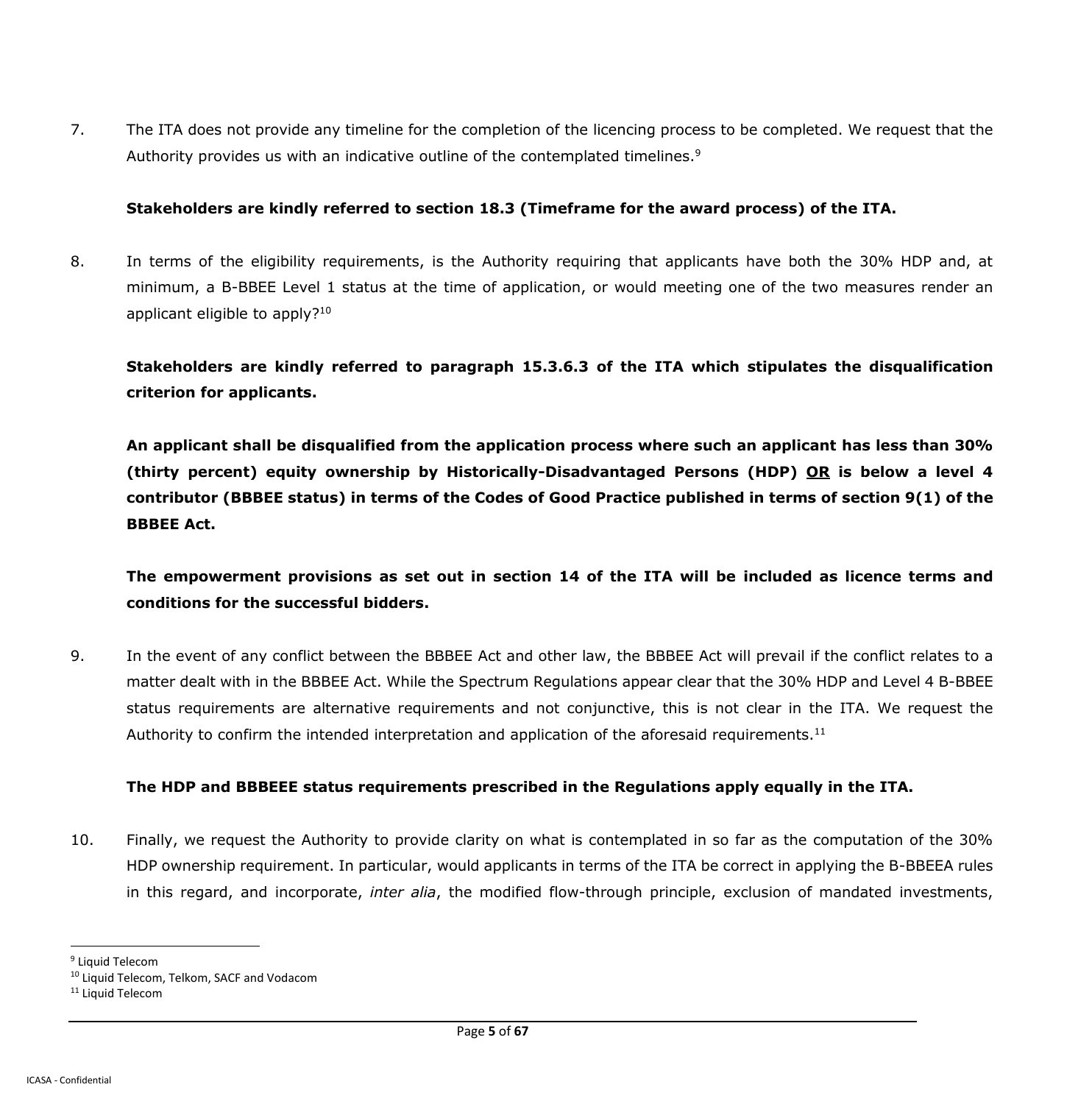7. The ITA does not provide any timeline for the completion of the licencing process to be completed. We request that the Authority provides us with an indicative outline of the contemplated timelines.<sup>9</sup>

#### **Stakeholders are kindly referred to section 18.3 (Timeframe for the award process) of the ITA.**

8. In terms of the eligibility requirements, is the Authority requiring that applicants have both the 30% HDP and, at minimum, a B-BBEE Level 1 status at the time of application, or would meeting one of the two measures render an applicant eligible to apply?<sup>10</sup>

**Stakeholders are kindly referred to paragraph 15.3.6.3 of the ITA which stipulates the disqualification criterion for applicants.**

**An applicant shall be disqualified from the application process where such an applicant has less than 30% (thirty percent) equity ownership by Historically-Disadvantaged Persons (HDP) OR is below a level 4 contributor (BBBEE status) in terms of the Codes of Good Practice published in terms of section 9(1) of the BBBEE Act.**

**The empowerment provisions as set out in section 14 of the ITA will be included as licence terms and conditions for the successful bidders.**

9. In the event of any conflict between the BBBEE Act and other law, the BBBEE Act will prevail if the conflict relates to a matter dealt with in the BBBEE Act. While the Spectrum Regulations appear clear that the 30% HDP and Level 4 B-BBEE status requirements are alternative requirements and not conjunctive, this is not clear in the ITA. We request the Authority to confirm the intended interpretation and application of the aforesaid requirements.<sup>11</sup>

### **The HDP and BBBEEE status requirements prescribed in the Regulations apply equally in the ITA.**

10. Finally, we request the Authority to provide clarity on what is contemplated in so far as the computation of the 30% HDP ownership requirement. In particular, would applicants in terms of the ITA be correct in applying the B-BBEEA rules in this regard, and incorporate, *inter alia*, the modified flow-through principle, exclusion of mandated investments,

<sup>&</sup>lt;sup>9</sup> Liquid Telecom

<sup>&</sup>lt;sup>10</sup> Liquid Telecom, Telkom, SACF and Vodacom

<sup>&</sup>lt;sup>11</sup> Liquid Telecom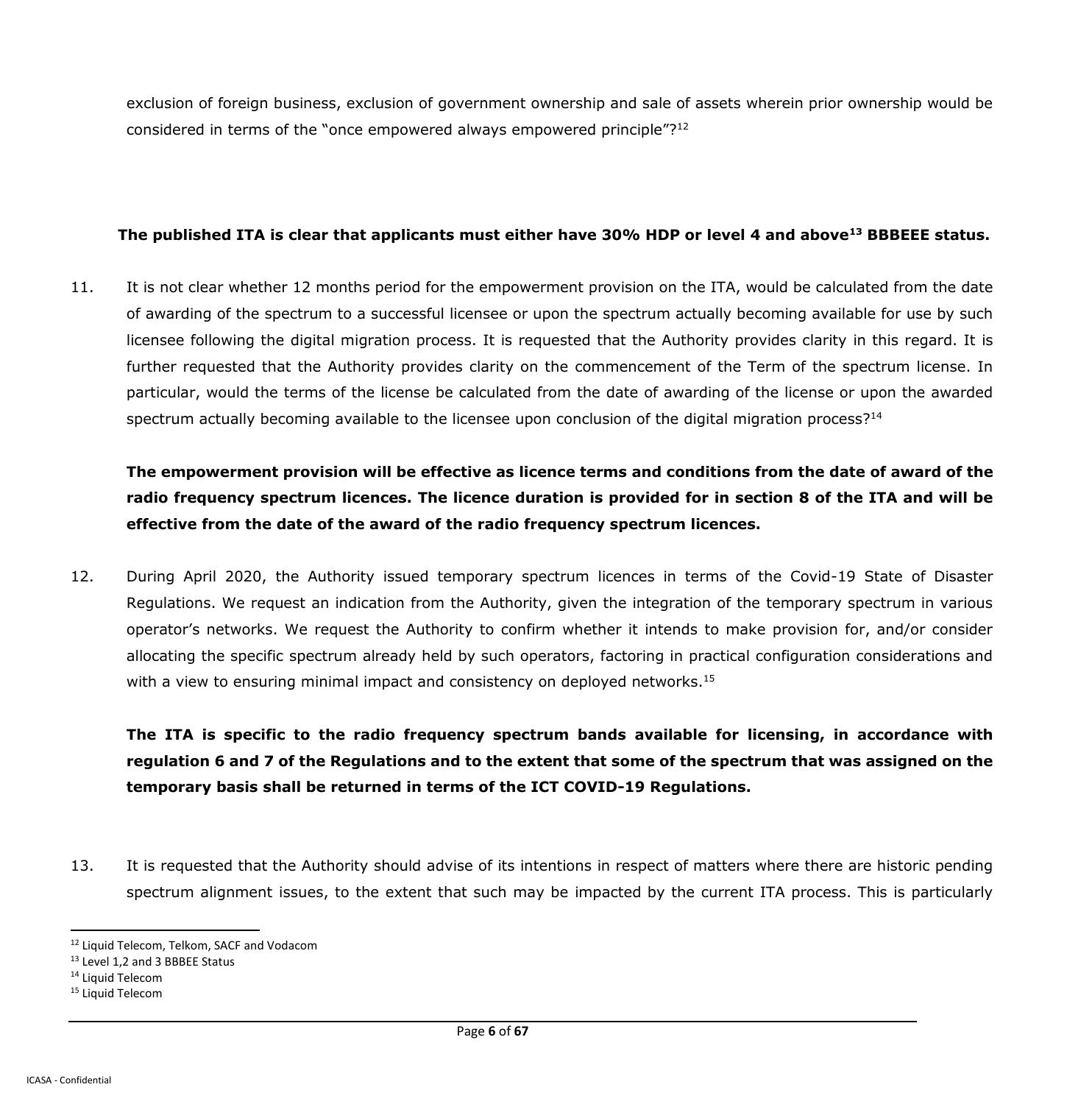exclusion of foreign business, exclusion of government ownership and sale of assets wherein prior ownership would be considered in terms of the "once empowered always empowered principle"?<sup>12</sup>

### **The published ITA is clear that applicants must either have 30% HDP or level 4 and above<sup>13</sup> BBBEEE status.**

11. It is not clear whether 12 months period for the empowerment provision on the ITA, would be calculated from the date of awarding of the spectrum to a successful licensee or upon the spectrum actually becoming available for use by such licensee following the digital migration process. It is requested that the Authority provides clarity in this regard. It is further requested that the Authority provides clarity on the commencement of the Term of the spectrum license. In particular, would the terms of the license be calculated from the date of awarding of the license or upon the awarded spectrum actually becoming available to the licensee upon conclusion of the digital migration process?<sup>14</sup>

**The empowerment provision will be effective as licence terms and conditions from the date of award of the radio frequency spectrum licences. The licence duration is provided for in section 8 of the ITA and will be effective from the date of the award of the radio frequency spectrum licences.**

12. During April 2020, the Authority issued temporary spectrum licences in terms of the Covid-19 State of Disaster Regulations. We request an indication from the Authority, given the integration of the temporary spectrum in various operator's networks. We request the Authority to confirm whether it intends to make provision for, and/or consider allocating the specific spectrum already held by such operators, factoring in practical configuration considerations and with a view to ensuring minimal impact and consistency on deployed networks.<sup>15</sup>

**The ITA is specific to the radio frequency spectrum bands available for licensing, in accordance with regulation 6 and 7 of the Regulations and to the extent that some of the spectrum that was assigned on the temporary basis shall be returned in terms of the ICT COVID-19 Regulations.**

13. It is requested that the Authority should advise of its intentions in respect of matters where there are historic pending spectrum alignment issues, to the extent that such may be impacted by the current ITA process. This is particularly

<sup>&</sup>lt;sup>12</sup> Liquid Telecom, Telkom, SACF and Vodacom

<sup>&</sup>lt;sup>13</sup> Level 1,2 and 3 BBBEE Status

<sup>&</sup>lt;sup>14</sup> Liquid Telecom

<sup>15</sup> Liquid Telecom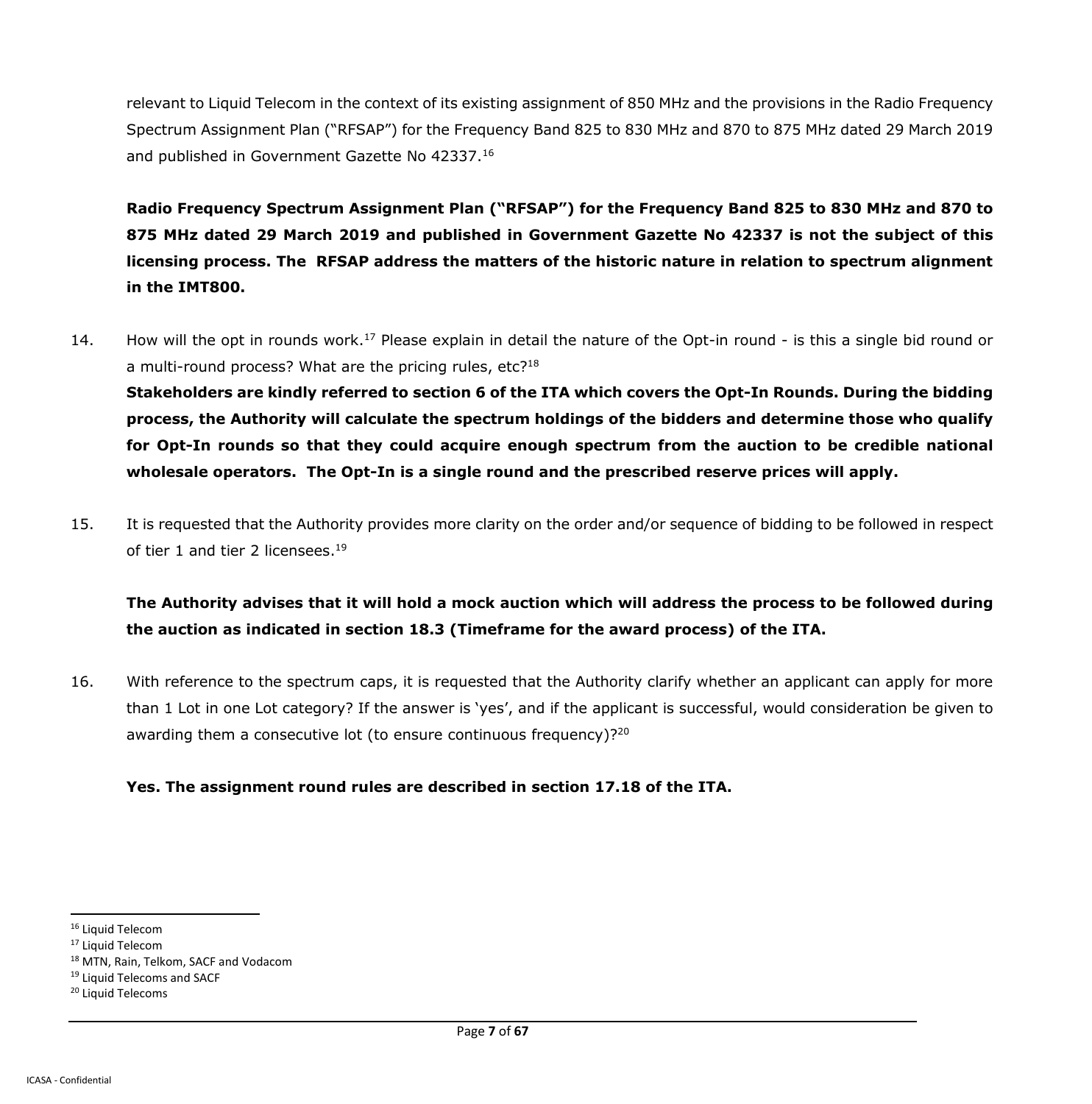relevant to Liquid Telecom in the context of its existing assignment of 850 MHz and the provisions in the Radio Frequency Spectrum Assignment Plan ("RFSAP") for the Frequency Band 825 to 830 MHz and 870 to 875 MHz dated 29 March 2019 and published in Government Gazette No 42337.<sup>16</sup>

**Radio Frequency Spectrum Assignment Plan ("RFSAP") for the Frequency Band 825 to 830 MHz and 870 to 875 MHz dated 29 March 2019 and published in Government Gazette No 42337 is not the subject of this licensing process. The RFSAP address the matters of the historic nature in relation to spectrum alignment in the IMT800.**

- 14. How will the opt in rounds work.<sup>17</sup> Please explain in detail the nature of the Opt-in round is this a single bid round or a multi-round process? What are the pricing rules, etc?<sup>18</sup> **Stakeholders are kindly referred to section 6 of the ITA which covers the Opt-In Rounds. During the bidding process, the Authority will calculate the spectrum holdings of the bidders and determine those who qualify for Opt-In rounds so that they could acquire enough spectrum from the auction to be credible national wholesale operators. The Opt-In is a single round and the prescribed reserve prices will apply.**
- 15. It is requested that the Authority provides more clarity on the order and/or sequence of bidding to be followed in respect of tier 1 and tier 2 licensees.<sup>19</sup>

# **The Authority advises that it will hold a mock auction which will address the process to be followed during the auction as indicated in section 18.3 (Timeframe for the award process) of the ITA.**

16. With reference to the spectrum caps, it is requested that the Authority clarify whether an applicant can apply for more than 1 Lot in one Lot category? If the answer is 'yes', and if the applicant is successful, would consideration be given to awarding them a consecutive lot (to ensure continuous frequency)?<sup>20</sup>

### **Yes. The assignment round rules are described in section 17.18 of the ITA.**

<sup>&</sup>lt;sup>16</sup> Liquid Telecom

<sup>&</sup>lt;sup>17</sup> Liquid Telecom

<sup>18</sup> MTN, Rain, Telkom, SACF and Vodacom

<sup>&</sup>lt;sup>19</sup> Liquid Telecoms and SACF

<sup>20</sup> Liquid Telecoms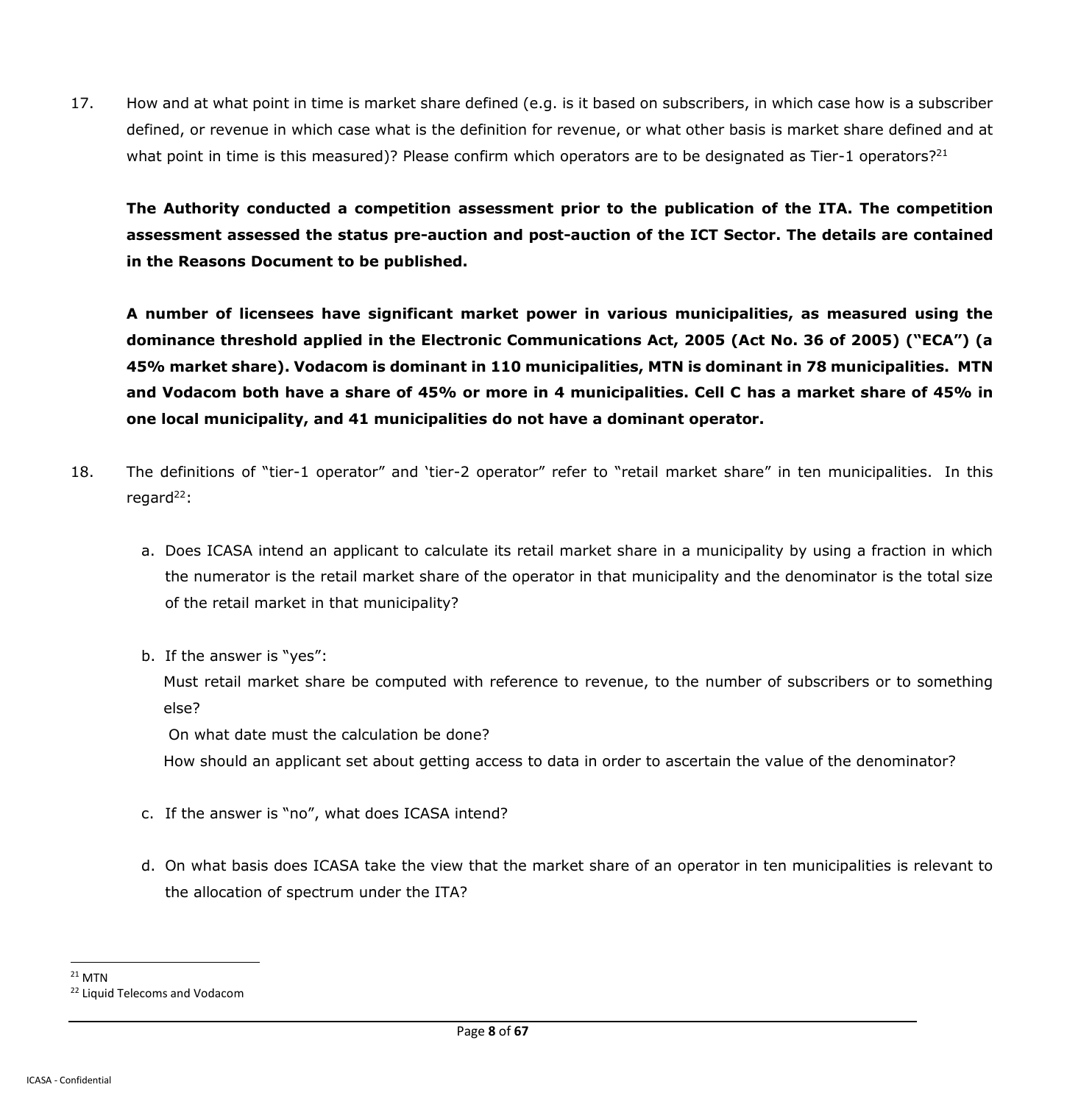17. How and at what point in time is market share defined (e.g. is it based on subscribers, in which case how is a subscriber defined, or revenue in which case what is the definition for revenue, or what other basis is market share defined and at what point in time is this measured)? Please confirm which operators are to be designated as Tier-1 operators?<sup>21</sup>

**The Authority conducted a competition assessment prior to the publication of the ITA. The competition assessment assessed the status pre-auction and post-auction of the ICT Sector. The details are contained in the Reasons Document to be published.**

**A number of licensees have significant market power in various municipalities, as measured using the dominance threshold applied in the Electronic Communications Act, 2005 (Act No. 36 of 2005) ("ECA") (a 45% market share). Vodacom is dominant in 110 municipalities, MTN is dominant in 78 municipalities. MTN and Vodacom both have a share of 45% or more in 4 municipalities. Cell C has a market share of 45% in one local municipality, and 41 municipalities do not have a dominant operator.**

- 18. The definitions of "tier-1 operator" and 'tier-2 operator" refer to "retail market share" in ten municipalities. In this regard $^{22}$ :
	- a. Does ICASA intend an applicant to calculate its retail market share in a municipality by using a fraction in which the numerator is the retail market share of the operator in that municipality and the denominator is the total size of the retail market in that municipality?
	- b. If the answer is "yes":

Must retail market share be computed with reference to revenue, to the number of subscribers or to something else?

On what date must the calculation be done?

How should an applicant set about getting access to data in order to ascertain the value of the denominator?

- c. If the answer is "no", what does ICASA intend?
- d. On what basis does ICASA take the view that the market share of an operator in ten municipalities is relevant to the allocation of spectrum under the ITA?

 $\overline{a}$  $21$  MTN <sup>22</sup> Liquid Telecoms and Vodacom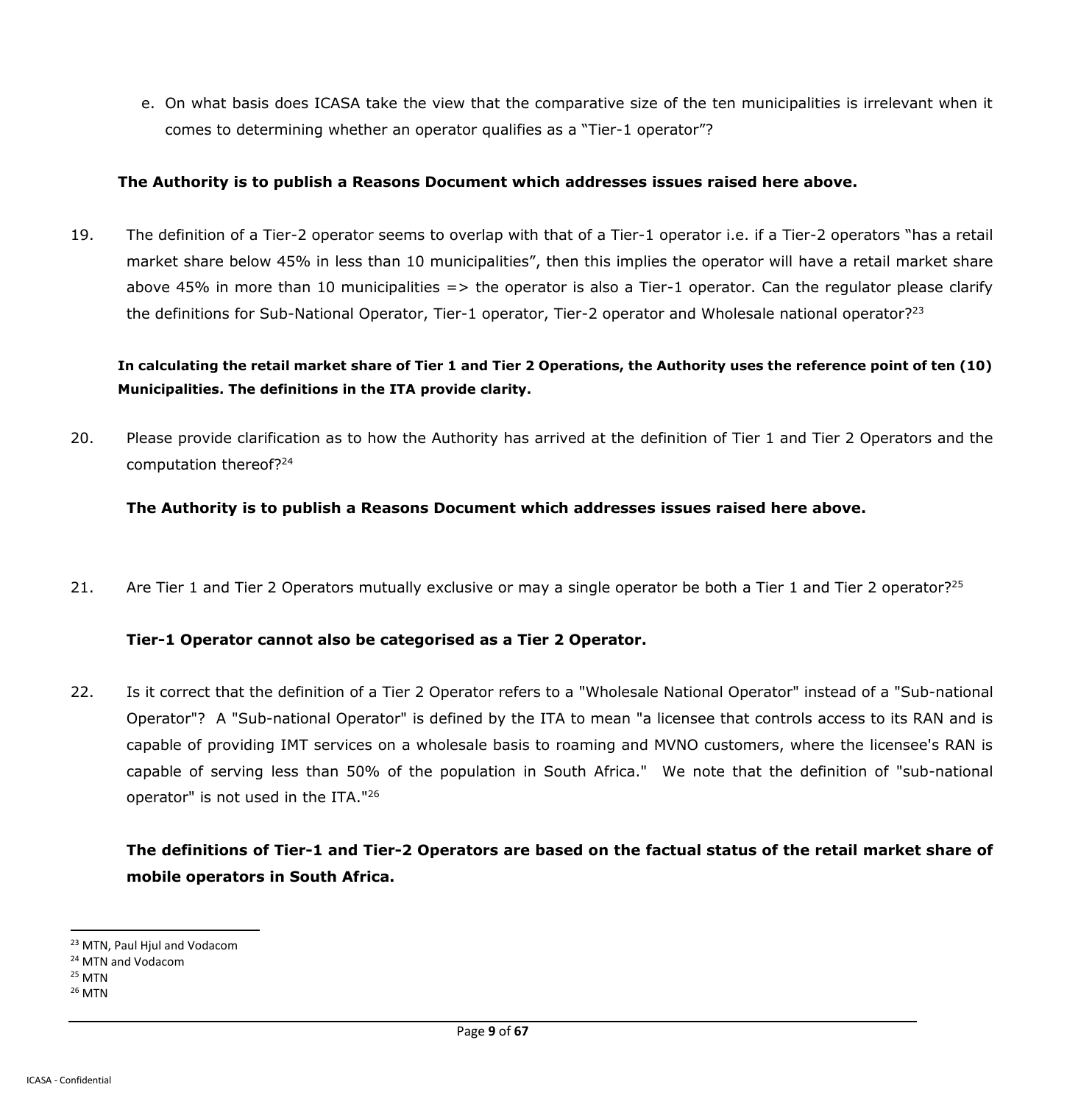e. On what basis does ICASA take the view that the comparative size of the ten municipalities is irrelevant when it comes to determining whether an operator qualifies as a "Tier-1 operator"?

#### **The Authority is to publish a Reasons Document which addresses issues raised here above.**

19. The definition of a Tier-2 operator seems to overlap with that of a Tier-1 operator i.e. if a Tier-2 operators "has a retail market share below 45% in less than 10 municipalities", then this implies the operator will have a retail market share above 45% in more than 10 municipalities  $\Rightarrow$  the operator is also a Tier-1 operator. Can the regulator please clarify the definitions for Sub-National Operator, Tier-1 operator, Tier-2 operator and Wholesale national operator?<sup>23</sup>

## **In calculating the retail market share of Tier 1 and Tier 2 Operations, the Authority uses the reference point of ten (10) Municipalities. The definitions in the ITA provide clarity.**

20. Please provide clarification as to how the Authority has arrived at the definition of Tier 1 and Tier 2 Operators and the computation thereof?<sup>24</sup>

#### **The Authority is to publish a Reasons Document which addresses issues raised here above.**

21. Are Tier 1 and Tier 2 Operators mutually exclusive or may a single operator be both a Tier 1 and Tier 2 operator?<sup>25</sup>

### **Tier-1 Operator cannot also be categorised as a Tier 2 Operator.**

22. Is it correct that the definition of a Tier 2 Operator refers to a "Wholesale National Operator" instead of a "Sub-national Operator"? A "Sub-national Operator" is defined by the ITA to mean "a licensee that controls access to its RAN and is capable of providing IMT services on a wholesale basis to roaming and MVNO customers, where the licensee's RAN is capable of serving less than 50% of the population in South Africa." We note that the definition of "sub-national operator" is not used in the ITA."<sup>26</sup>

# **The definitions of Tier-1 and Tier-2 Operators are based on the factual status of the retail market share of mobile operators in South Africa.**

 $25$  MTN

 $\overline{a}$ <sup>23</sup> MTN, Paul Hiul and Vodacom

<sup>&</sup>lt;sup>24</sup> MTN and Vodacom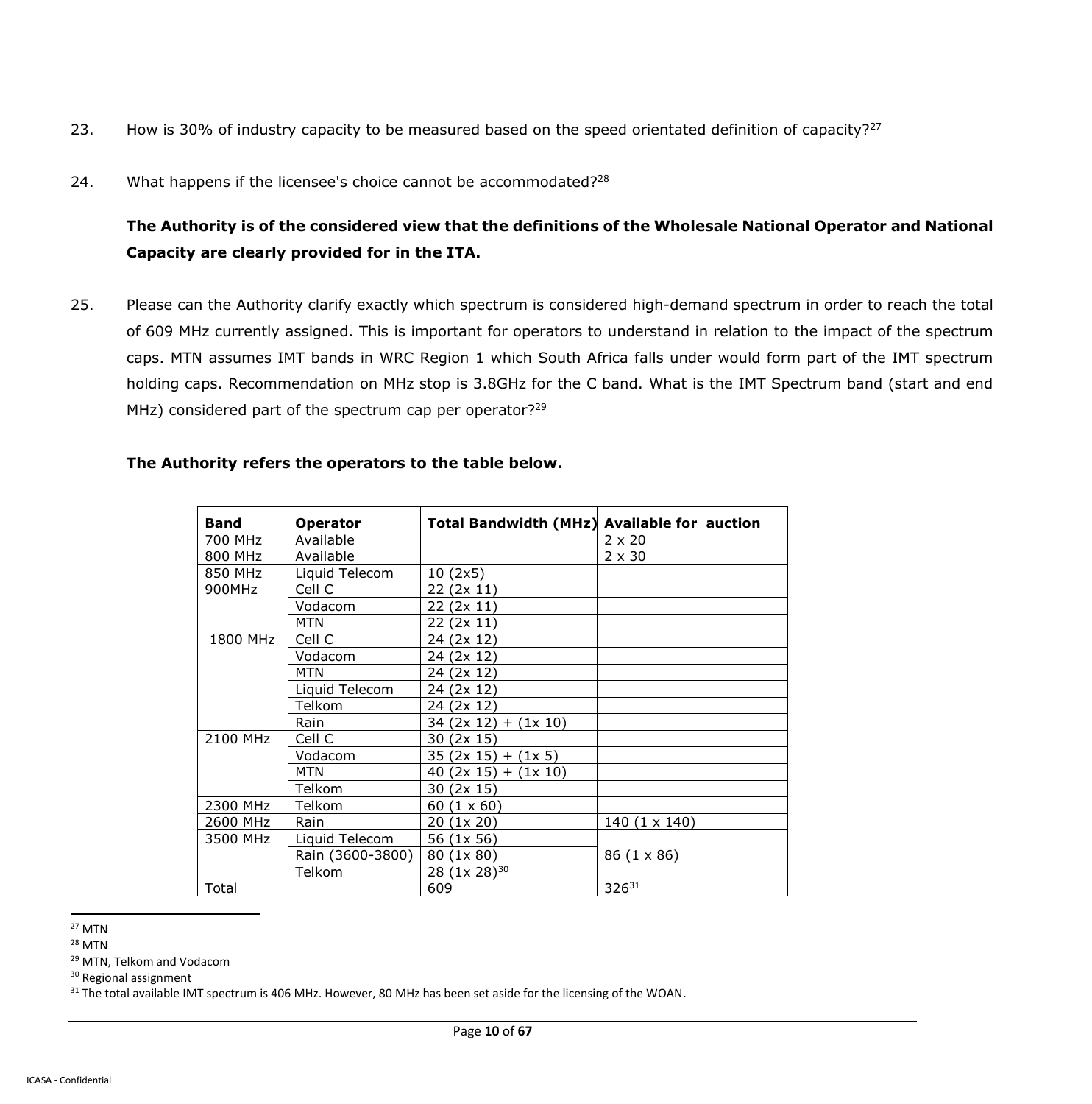- 23. How is 30% of industry capacity to be measured based on the speed orientated definition of capacity?<sup>27</sup>
- 24. What happens if the licensee's choice cannot be accommodated? $28$

**The Authority is of the considered view that the definitions of the Wholesale National Operator and National Capacity are clearly provided for in the ITA.** 

25. Please can the Authority clarify exactly which spectrum is considered high-demand spectrum in order to reach the total of 609 MHz currently assigned. This is important for operators to understand in relation to the impact of the spectrum caps. MTN assumes IMT bands in WRC Region 1 which South Africa falls under would form part of the IMT spectrum holding caps. Recommendation on MHz stop is 3.8GHz for the C band. What is the IMT Spectrum band (start and end MHz) considered part of the spectrum cap per operator?<sup>29</sup>

| <b>Band</b> | <b>Operator</b>  | <b>Total Bandwidth (MHz) Available for auction</b> |               |
|-------------|------------------|----------------------------------------------------|---------------|
| 700 MHz     | Available        |                                                    | $2 \times 20$ |
| 800 MHz     | Available        |                                                    | $2 \times 30$ |
| 850 MHz     | Liquid Telecom   | 10 (2x5)                                           |               |
| 900MHz      | Cell C           | 22<br>(2x 11)                                      |               |
|             | Vodacom          | 22.<br>(2x 11)                                     |               |
|             | <b>MTN</b>       | (2x 11)<br>22.                                     |               |
| 1800 MHz    | Cell C           | (2x 12)<br>24                                      |               |
|             | Vodacom          | (2x 12)<br>24                                      |               |
|             | <b>MTN</b>       | 24 (2x 12)                                         |               |
|             | Liquid Telecom   | (2x 12)<br>24                                      |               |
|             | Telkom           | 24 (2x 12)                                         |               |
|             | Rain             | 34 (2x 12)<br>$+$ (1x 10)                          |               |
| 2100 MHz    | Cell C           | 30<br>(2x 15)                                      |               |
|             | Vodacom          | (2x 15)<br>35<br>(1x 5)<br>$+$                     |               |
|             | <b>MTN</b>       | (2x 15)<br>(1x 10)<br>40<br>$+$                    |               |
|             | Telkom           | 30<br>(2x 15)                                      |               |
| 2300 MHz    | Telkom           | $(1 \times 60)$<br>60                              |               |
| 2600 MHz    | Rain             | (1x 20)<br>20                                      | 140 (1 x 140) |
| 3500 MHz    | Liquid Telecom   | (1x 56)<br>56                                      |               |
|             | Rain (3600-3800) | (1x 80)<br>80                                      | 86 (1 x 86)   |
|             | Telkom           | 28 (1x 28) <sup>30</sup>                           |               |
| Total       |                  | 609                                                | 32631         |

#### **The Authority refers the operators to the table below.**

 $\overline{a}$ <sup>27</sup> MTN

<sup>28</sup> MTN

<sup>29</sup> MTN, Telkom and Vodacom

<sup>30</sup> Regional assignment

<sup>31</sup> The total available IMT spectrum is 406 MHz. However, 80 MHz has been set aside for the licensing of the WOAN.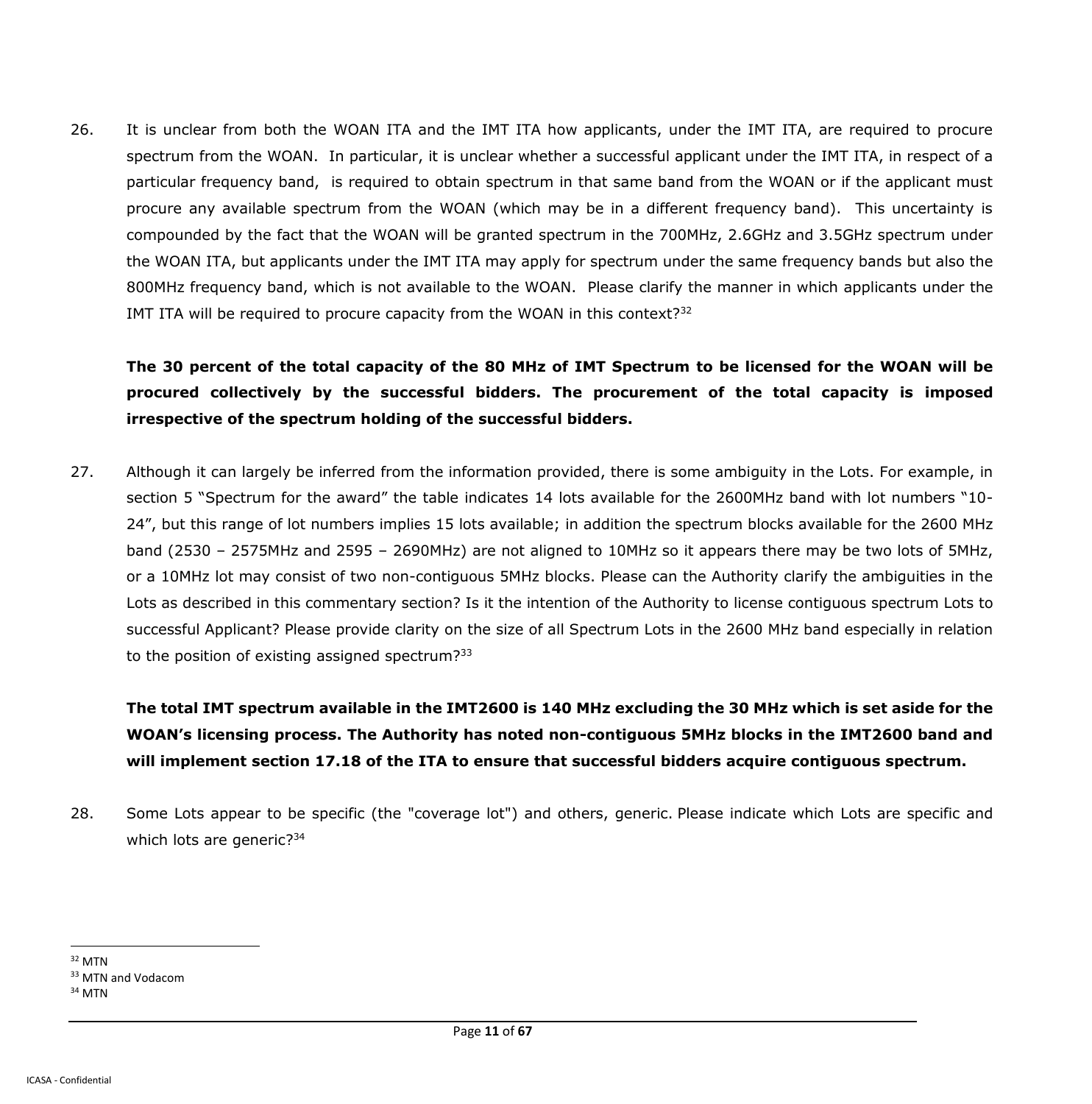26. It is unclear from both the WOAN ITA and the IMT ITA how applicants, under the IMT ITA, are required to procure spectrum from the WOAN. In particular, it is unclear whether a successful applicant under the IMT ITA, in respect of a particular frequency band, is required to obtain spectrum in that same band from the WOAN or if the applicant must procure any available spectrum from the WOAN (which may be in a different frequency band). This uncertainty is compounded by the fact that the WOAN will be granted spectrum in the 700MHz, 2.6GHz and 3.5GHz spectrum under the WOAN ITA, but applicants under the IMT ITA may apply for spectrum under the same frequency bands but also the 800MHz frequency band, which is not available to the WOAN. Please clarify the manner in which applicants under the IMT ITA will be required to procure capacity from the WOAN in this context?<sup>32</sup>

**The 30 percent of the total capacity of the 80 MHz of IMT Spectrum to be licensed for the WOAN will be procured collectively by the successful bidders. The procurement of the total capacity is imposed irrespective of the spectrum holding of the successful bidders.**

27. Although it can largely be inferred from the information provided, there is some ambiguity in the Lots. For example, in section 5 "Spectrum for the award" the table indicates 14 lots available for the 2600MHz band with lot numbers "10- 24", but this range of lot numbers implies 15 lots available; in addition the spectrum blocks available for the 2600 MHz band (2530 – 2575MHz and 2595 – 2690MHz) are not aligned to 10MHz so it appears there may be two lots of 5MHz, or a 10MHz lot may consist of two non-contiguous 5MHz blocks. Please can the Authority clarify the ambiguities in the Lots as described in this commentary section? Is it the intention of the Authority to license contiguous spectrum Lots to successful Applicant? Please provide clarity on the size of all Spectrum Lots in the 2600 MHz band especially in relation to the position of existing assigned spectrum? $33$ 

**The total IMT spectrum available in the IMT2600 is 140 MHz excluding the 30 MHz which is set aside for the WOAN's licensing process. The Authority has noted non-contiguous 5MHz blocks in the IMT2600 band and will implement section 17.18 of the ITA to ensure that successful bidders acquire contiguous spectrum.**

28. Some Lots appear to be specific (the "coverage lot") and others, generic. Please indicate which Lots are specific and which lots are generic?<sup>34</sup>

 $\ddot{\phantom{a}}$ <sup>32</sup> MTN

<sup>&</sup>lt;sup>33</sup> MTN and Vodacom

<sup>34</sup> MTN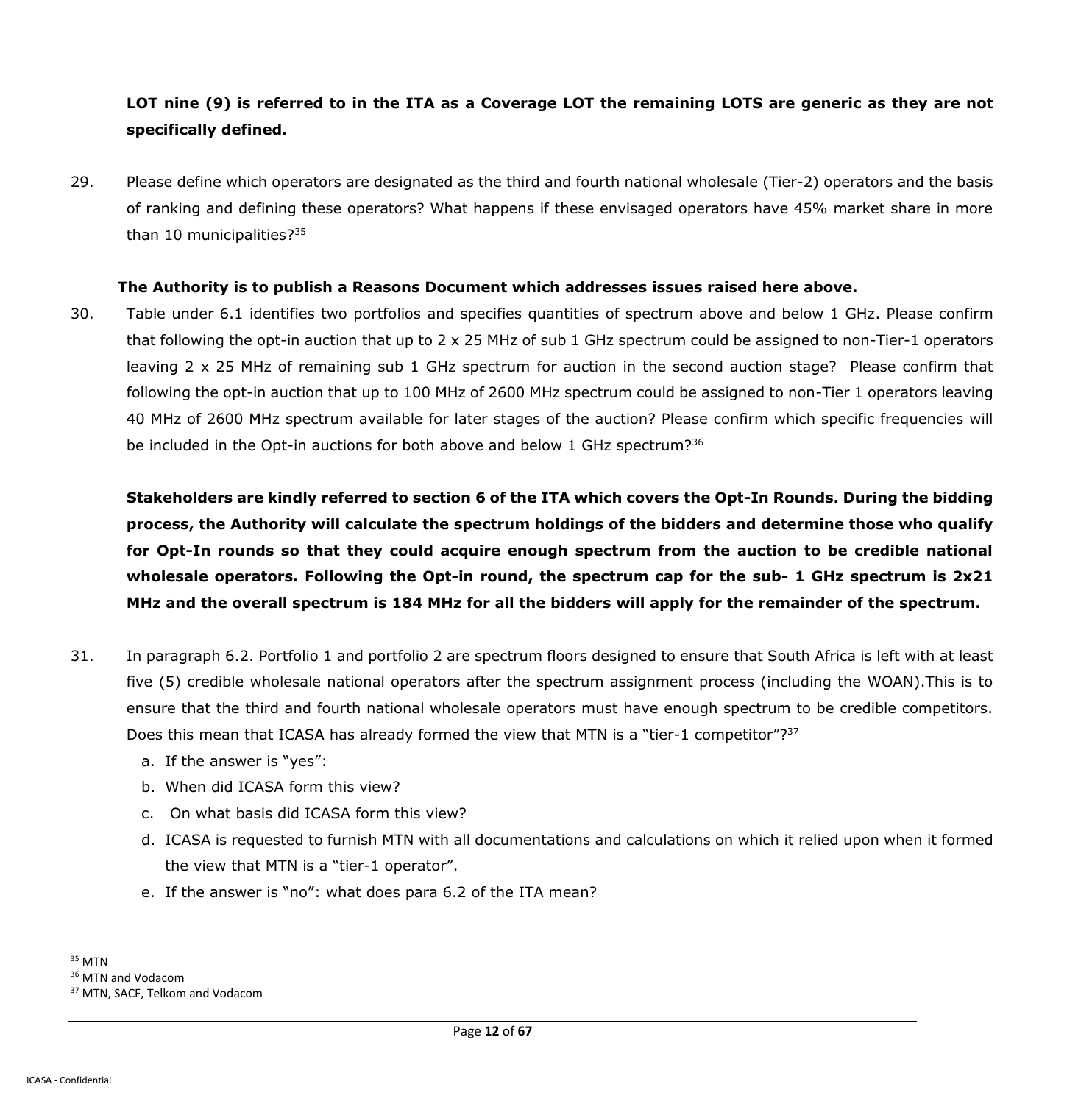## **LOT nine (9) is referred to in the ITA as a Coverage LOT the remaining LOTS are generic as they are not specifically defined.**

29. Please define which operators are designated as the third and fourth national wholesale (Tier-2) operators and the basis of ranking and defining these operators? What happens if these envisaged operators have 45% market share in more than 10 municipalities?<sup>35</sup>

#### **The Authority is to publish a Reasons Document which addresses issues raised here above.**

30. Table under 6.1 identifies two portfolios and specifies quantities of spectrum above and below 1 GHz. Please confirm that following the opt-in auction that up to 2 x 25 MHz of sub 1 GHz spectrum could be assigned to non-Tier-1 operators leaving 2 x 25 MHz of remaining sub 1 GHz spectrum for auction in the second auction stage? Please confirm that following the opt-in auction that up to 100 MHz of 2600 MHz spectrum could be assigned to non-Tier 1 operators leaving 40 MHz of 2600 MHz spectrum available for later stages of the auction? Please confirm which specific frequencies will be included in the Opt-in auctions for both above and below 1 GHz spectrum?<sup>36</sup>

**Stakeholders are kindly referred to section 6 of the ITA which covers the Opt-In Rounds. During the bidding process, the Authority will calculate the spectrum holdings of the bidders and determine those who qualify for Opt-In rounds so that they could acquire enough spectrum from the auction to be credible national wholesale operators. Following the Opt-in round, the spectrum cap for the sub- 1 GHz spectrum is 2x21 MHz and the overall spectrum is 184 MHz for all the bidders will apply for the remainder of the spectrum.**

- 31. In paragraph 6.2. Portfolio 1 and portfolio 2 are spectrum floors designed to ensure that South Africa is left with at least five (5) credible wholesale national operators after the spectrum assignment process (including the WOAN).This is to ensure that the third and fourth national wholesale operators must have enough spectrum to be credible competitors. Does this mean that ICASA has already formed the view that MTN is a "tier-1 competitor"?<sup>37</sup>
	- a. If the answer is "yes":
	- b. When did ICASA form this view?
	- c. On what basis did ICASA form this view?
	- d. ICASA is requested to furnish MTN with all documentations and calculations on which it relied upon when it formed the view that MTN is a "tier-1 operator".
	- e. If the answer is "no": what does para 6.2 of the ITA mean?
- $\ddot{\phantom{a}}$ <sup>35</sup> MTN

<sup>&</sup>lt;sup>36</sup> MTN and Vodacom

<sup>37</sup> MTN, SACF, Telkom and Vodacom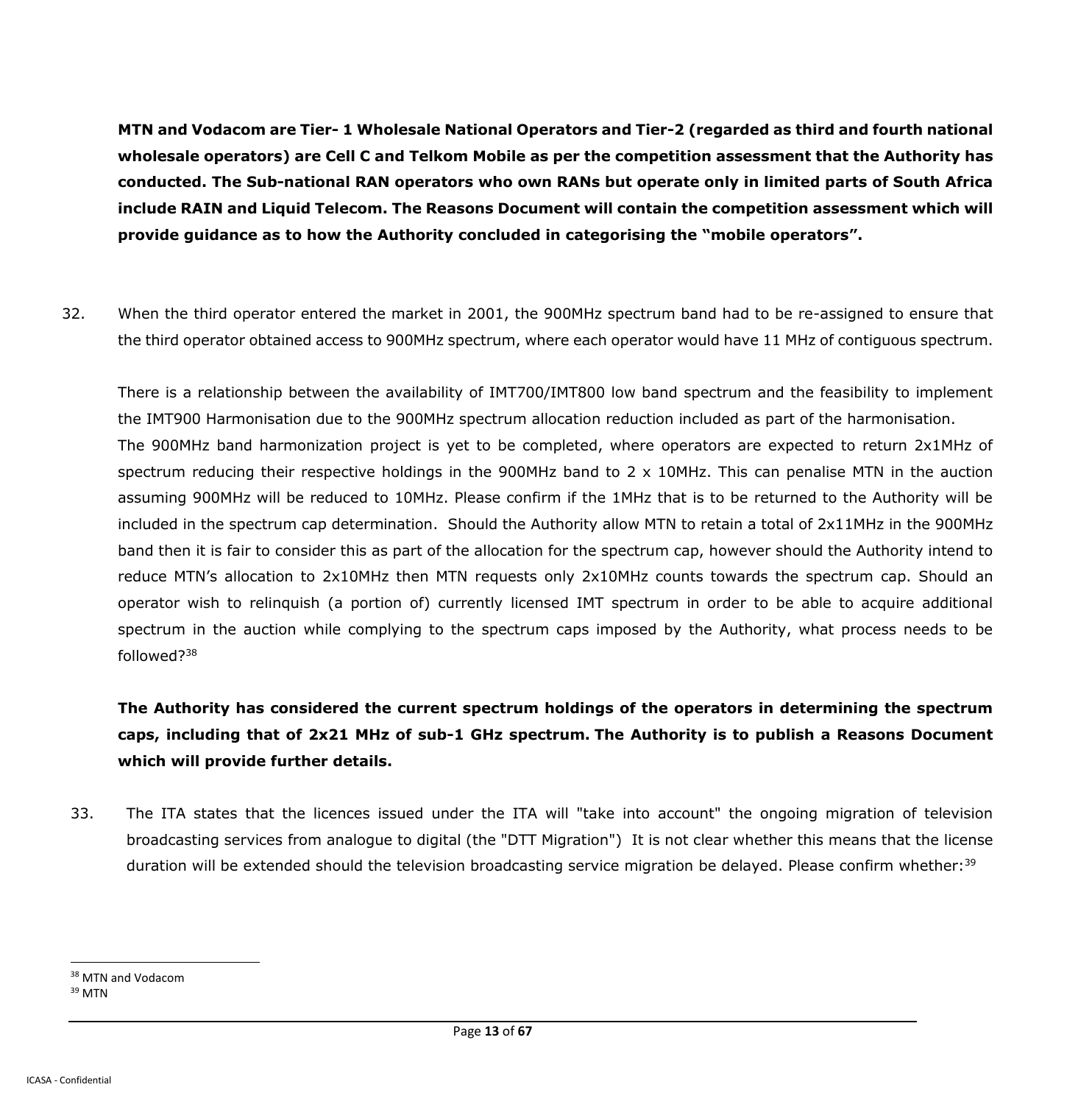**MTN and Vodacom are Tier- 1 Wholesale National Operators and Tier-2 (regarded as third and fourth national wholesale operators) are Cell C and Telkom Mobile as per the competition assessment that the Authority has conducted. The Sub-national RAN operators who own RANs but operate only in limited parts of South Africa include RAIN and Liquid Telecom. The Reasons Document will contain the competition assessment which will provide guidance as to how the Authority concluded in categorising the "mobile operators".** 

32. When the third operator entered the market in 2001, the 900MHz spectrum band had to be re-assigned to ensure that the third operator obtained access to 900MHz spectrum, where each operator would have 11 MHz of contiguous spectrum.

There is a relationship between the availability of IMT700/IMT800 low band spectrum and the feasibility to implement the IMT900 Harmonisation due to the 900MHz spectrum allocation reduction included as part of the harmonisation. The 900MHz band harmonization project is yet to be completed, where operators are expected to return 2x1MHz of spectrum reducing their respective holdings in the 900MHz band to 2 x 10MHz. This can penalise MTN in the auction assuming 900MHz will be reduced to 10MHz. Please confirm if the 1MHz that is to be returned to the Authority will be included in the spectrum cap determination. Should the Authority allow MTN to retain a total of 2x11MHz in the 900MHz band then it is fair to consider this as part of the allocation for the spectrum cap, however should the Authority intend to reduce MTN's allocation to 2x10MHz then MTN requests only 2x10MHz counts towards the spectrum cap. Should an operator wish to relinquish (a portion of) currently licensed IMT spectrum in order to be able to acquire additional spectrum in the auction while complying to the spectrum caps imposed by the Authority, what process needs to be followed?<sup>38</sup>

**The Authority has considered the current spectrum holdings of the operators in determining the spectrum caps, including that of 2x21 MHz of sub-1 GHz spectrum. The Authority is to publish a Reasons Document which will provide further details.**

33. The ITA states that the licences issued under the ITA will "take into account" the ongoing migration of television broadcasting services from analogue to digital (the "DTT Migration") It is not clear whether this means that the license duration will be extended should the television broadcasting service migration be delayed. Please confirm whether:<sup>39</sup>

<sup>&</sup>lt;sup>38</sup> MTN and Vodacom <sup>39</sup> MTN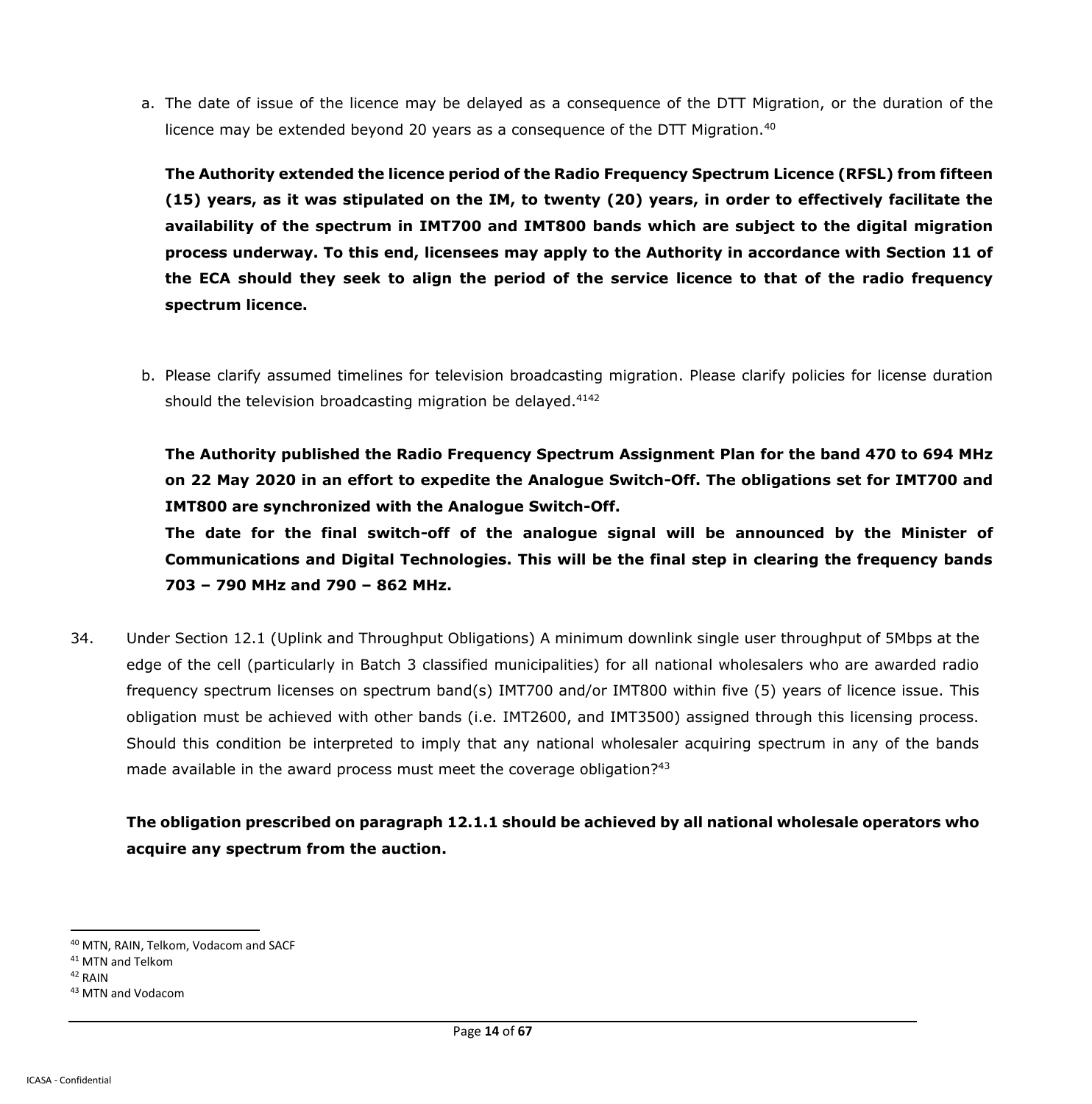a. The date of issue of the licence may be delayed as a consequence of the DTT Migration, or the duration of the licence may be extended beyond 20 years as a consequence of the DTT Migration.<sup>40</sup>

**The Authority extended the licence period of the Radio Frequency Spectrum Licence (RFSL) from fifteen (15) years, as it was stipulated on the IM, to twenty (20) years, in order to effectively facilitate the availability of the spectrum in IMT700 and IMT800 bands which are subject to the digital migration process underway. To this end, licensees may apply to the Authority in accordance with Section 11 of the ECA should they seek to align the period of the service licence to that of the radio frequency spectrum licence.**

b. Please clarify assumed timelines for television broadcasting migration. Please clarify policies for license duration should the television broadcasting migration be delayed.<sup>4142</sup>

**The Authority published the Radio Frequency Spectrum Assignment Plan for the band 470 to 694 MHz on 22 May 2020 in an effort to expedite the Analogue Switch-Off. The obligations set for IMT700 and IMT800 are synchronized with the Analogue Switch-Off.**

**The date for the final switch-off of the analogue signal will be announced by the Minister of Communications and Digital Technologies. This will be the final step in clearing the frequency bands 703 – 790 MHz and 790 – 862 MHz.** 

34. Under Section 12.1 (Uplink and Throughput Obligations) A minimum downlink single user throughput of 5Mbps at the edge of the cell (particularly in Batch 3 classified municipalities) for all national wholesalers who are awarded radio frequency spectrum licenses on spectrum band(s) IMT700 and/or IMT800 within five (5) years of licence issue. This obligation must be achieved with other bands (i.e. IMT2600, and IMT3500) assigned through this licensing process. Should this condition be interpreted to imply that any national wholesaler acquiring spectrum in any of the bands made available in the award process must meet the coverage obligation? $43$ 

**The obligation prescribed on paragraph 12.1.1 should be achieved by all national wholesale operators who acquire any spectrum from the auction.**

<sup>40</sup> MTN, RAIN, Telkom, Vodacom and SACF

<sup>41</sup> MTN and Telkom

<sup>42</sup> RAIN

<sup>43</sup> MTN and Vodacom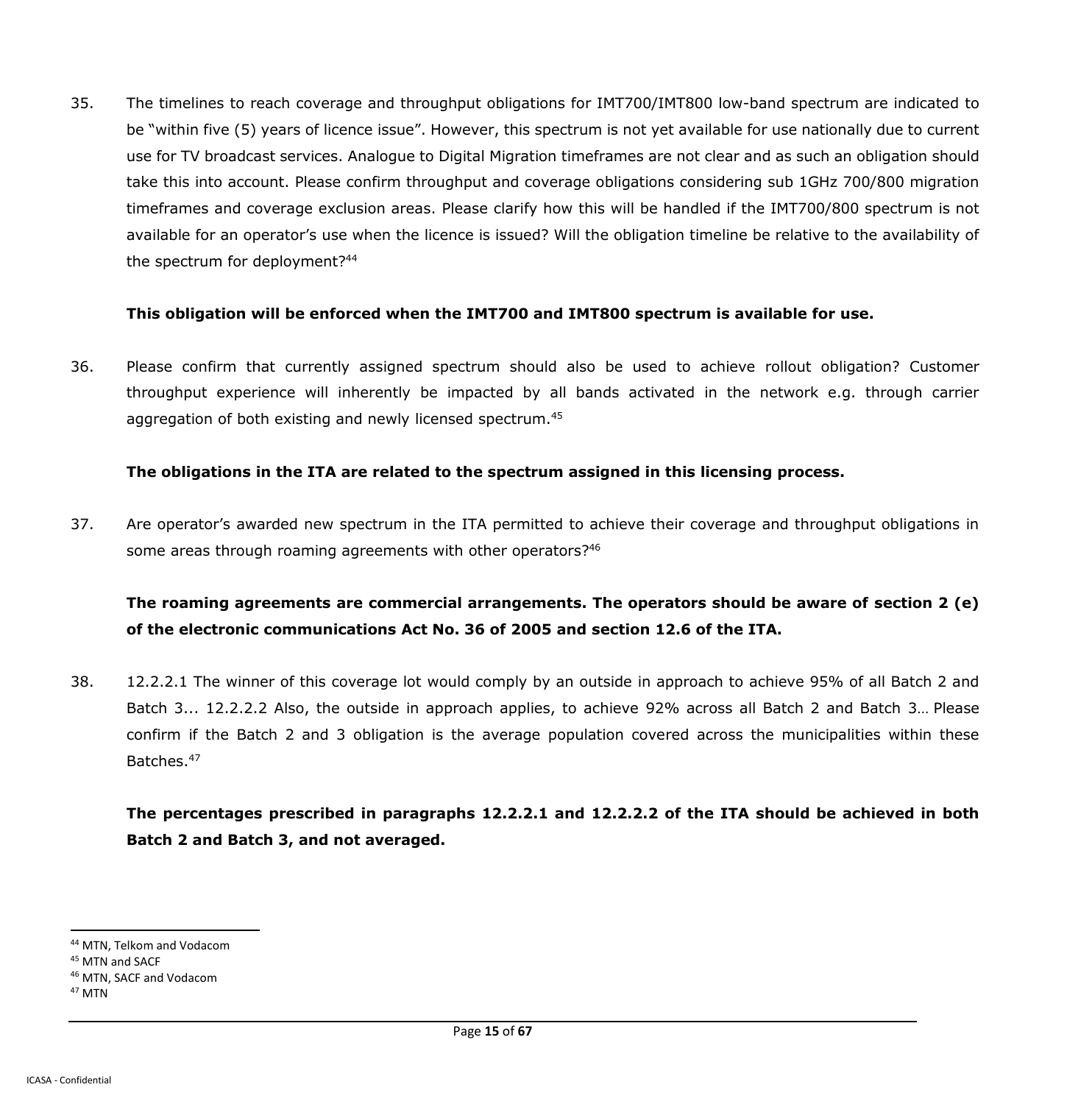35. The timelines to reach coverage and throughput obligations for IMT700/IMT800 low-band spectrum are indicated to be "within five (5) years of licence issue". However, this spectrum is not yet available for use nationally due to current use for TV broadcast services. Analogue to Digital Migration timeframes are not clear and as such an obligation should take this into account. Please confirm throughput and coverage obligations considering sub 1GHz 700/800 migration timeframes and coverage exclusion areas. Please clarify how this will be handled if the IMT700/800 spectrum is not available for an operator's use when the licence is issued? Will the obligation timeline be relative to the availability of the spectrum for deployment?<sup>44</sup>

#### **This obligation will be enforced when the IMT700 and IMT800 spectrum is available for use.**

36. Please confirm that currently assigned spectrum should also be used to achieve rollout obligation? Customer throughput experience will inherently be impacted by all bands activated in the network e.g. through carrier aggregation of both existing and newly licensed spectrum.<sup>45</sup>

### **The obligations in the ITA are related to the spectrum assigned in this licensing process.**

37. Are operator's awarded new spectrum in the ITA permitted to achieve their coverage and throughput obligations in some areas through roaming agreements with other operators?<sup>46</sup>

# **The roaming agreements are commercial arrangements. The operators should be aware of section 2 (e) of the electronic communications Act No. 36 of 2005 and section 12.6 of the ITA.**

38. 12.2.2.1 The winner of this coverage lot would comply by an outside in approach to achieve 95% of all Batch 2 and Batch 3... 12.2.2.2 Also, the outside in approach applies, to achieve 92% across all Batch 2 and Batch 3… Please confirm if the Batch 2 and 3 obligation is the average population covered across the municipalities within these Batches.<sup>47</sup>

**The percentages prescribed in paragraphs 12.2.2.1 and 12.2.2.2 of the ITA should be achieved in both Batch 2 and Batch 3, and not averaged.**

 $\overline{a}$ <sup>44</sup> MTN, Telkom and Vodacom

<sup>45</sup> MTN and SACF

<sup>46</sup> MTN, SACF and Vodacom

<sup>47</sup> MTN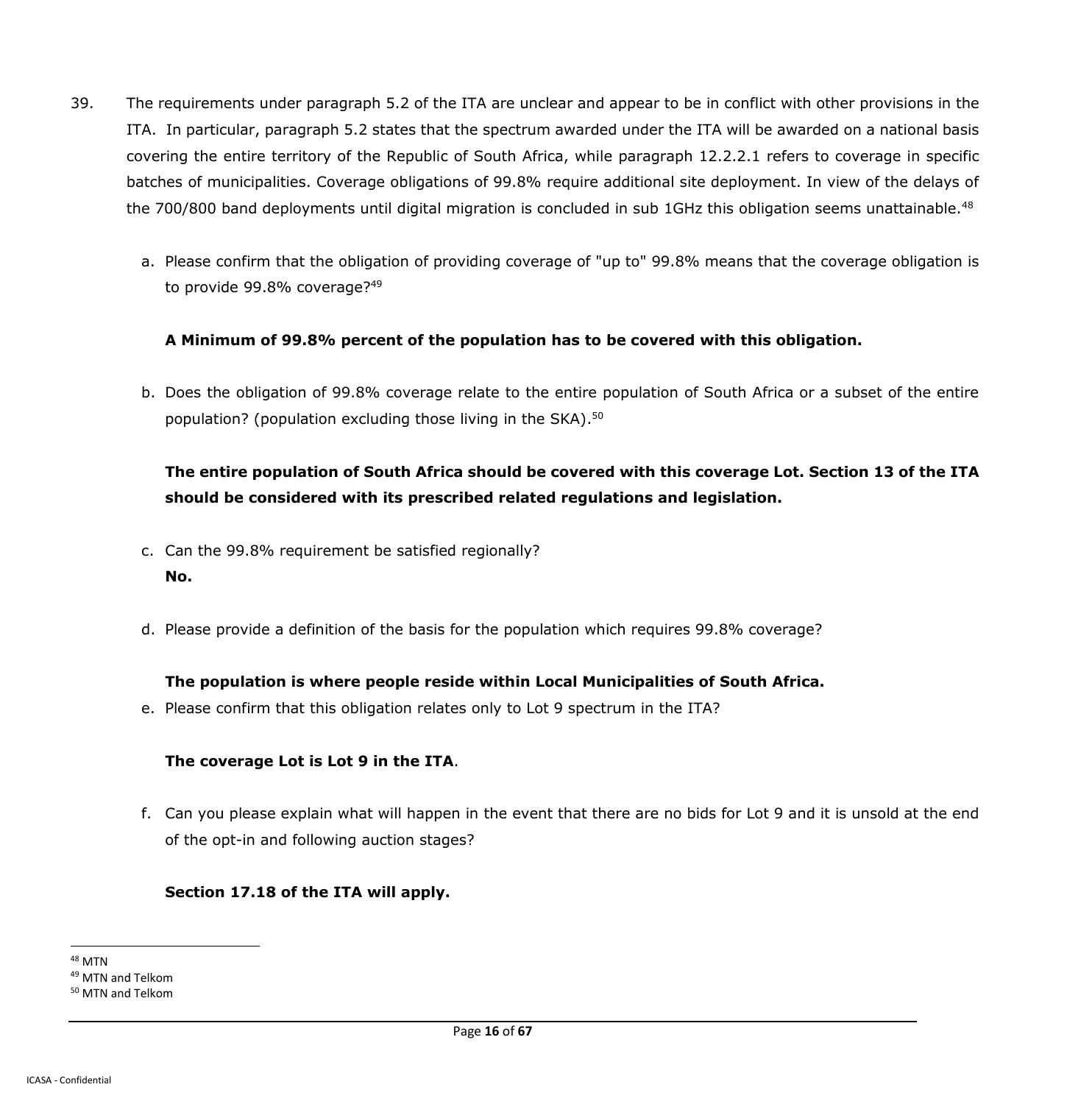- 39. The requirements under paragraph 5.2 of the ITA are unclear and appear to be in conflict with other provisions in the ITA. In particular, paragraph 5.2 states that the spectrum awarded under the ITA will be awarded on a national basis covering the entire territory of the Republic of South Africa, while paragraph 12.2.2.1 refers to coverage in specific batches of municipalities. Coverage obligations of 99.8% require additional site deployment. In view of the delays of the 700/800 band deployments until digital migration is concluded in sub 1GHz this obligation seems unattainable.<sup>48</sup>
	- a. Please confirm that the obligation of providing coverage of "up to" 99.8% means that the coverage obligation is to provide 99.8% coverage?<sup>49</sup>

### **A Minimum of 99.8% percent of the population has to be covered with this obligation.**

b. Does the obligation of 99.8% coverage relate to the entire population of South Africa or a subset of the entire population? (population excluding those living in the SKA).<sup>50</sup>

# **The entire population of South Africa should be covered with this coverage Lot. Section 13 of the ITA should be considered with its prescribed related regulations and legislation.**

- c. Can the 99.8% requirement be satisfied regionally? **No.**
- d. Please provide a definition of the basis for the population which requires 99.8% coverage?

### **The population is where people reside within Local Municipalities of South Africa.**

e. Please confirm that this obligation relates only to Lot 9 spectrum in the ITA?

### **The coverage Lot is Lot 9 in the ITA**.

f. Can you please explain what will happen in the event that there are no bids for Lot 9 and it is unsold at the end of the opt-in and following auction stages?

#### **Section 17.18 of the ITA will apply.**

 $\overline{a}$ <sup>48</sup> MTN <sup>49</sup> MTN and Telkom <sup>50</sup> MTN and Telkom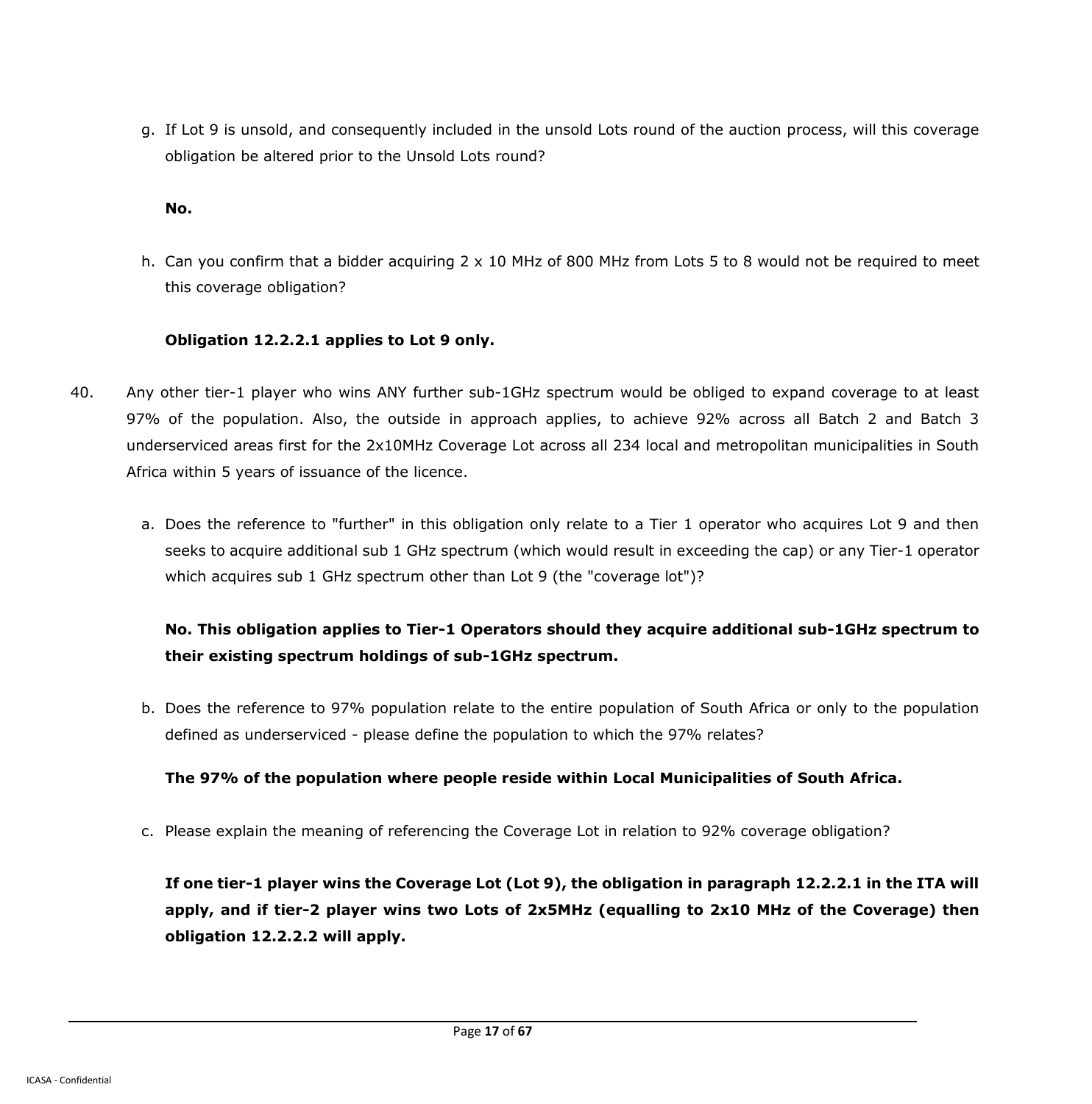g. If Lot 9 is unsold, and consequently included in the unsold Lots round of the auction process, will this coverage obligation be altered prior to the Unsold Lots round?

### **No.**

h. Can you confirm that a bidder acquiring 2 x 10 MHz of 800 MHz from Lots 5 to 8 would not be required to meet this coverage obligation?

### **Obligation 12.2.2.1 applies to Lot 9 only.**

- 40. Any other tier-1 player who wins ANY further sub-1GHz spectrum would be obliged to expand coverage to at least 97% of the population. Also, the outside in approach applies, to achieve 92% across all Batch 2 and Batch 3 underserviced areas first for the 2x10MHz Coverage Lot across all 234 local and metropolitan municipalities in South Africa within 5 years of issuance of the licence.
	- a. Does the reference to "further" in this obligation only relate to a Tier 1 operator who acquires Lot 9 and then seeks to acquire additional sub 1 GHz spectrum (which would result in exceeding the cap) or any Tier-1 operator which acquires sub 1 GHz spectrum other than Lot 9 (the "coverage lot")?

# **No. This obligation applies to Tier-1 Operators should they acquire additional sub-1GHz spectrum to their existing spectrum holdings of sub-1GHz spectrum.**

b. Does the reference to 97% population relate to the entire population of South Africa or only to the population defined as underserviced - please define the population to which the 97% relates?

## **The 97% of the population where people reside within Local Municipalities of South Africa.**

c. Please explain the meaning of referencing the Coverage Lot in relation to 92% coverage obligation?

**If one tier-1 player wins the Coverage Lot (Lot 9), the obligation in paragraph 12.2.2.1 in the ITA will apply, and if tier-2 player wins two Lots of 2x5MHz (equalling to 2x10 MHz of the Coverage) then obligation 12.2.2.2 will apply.**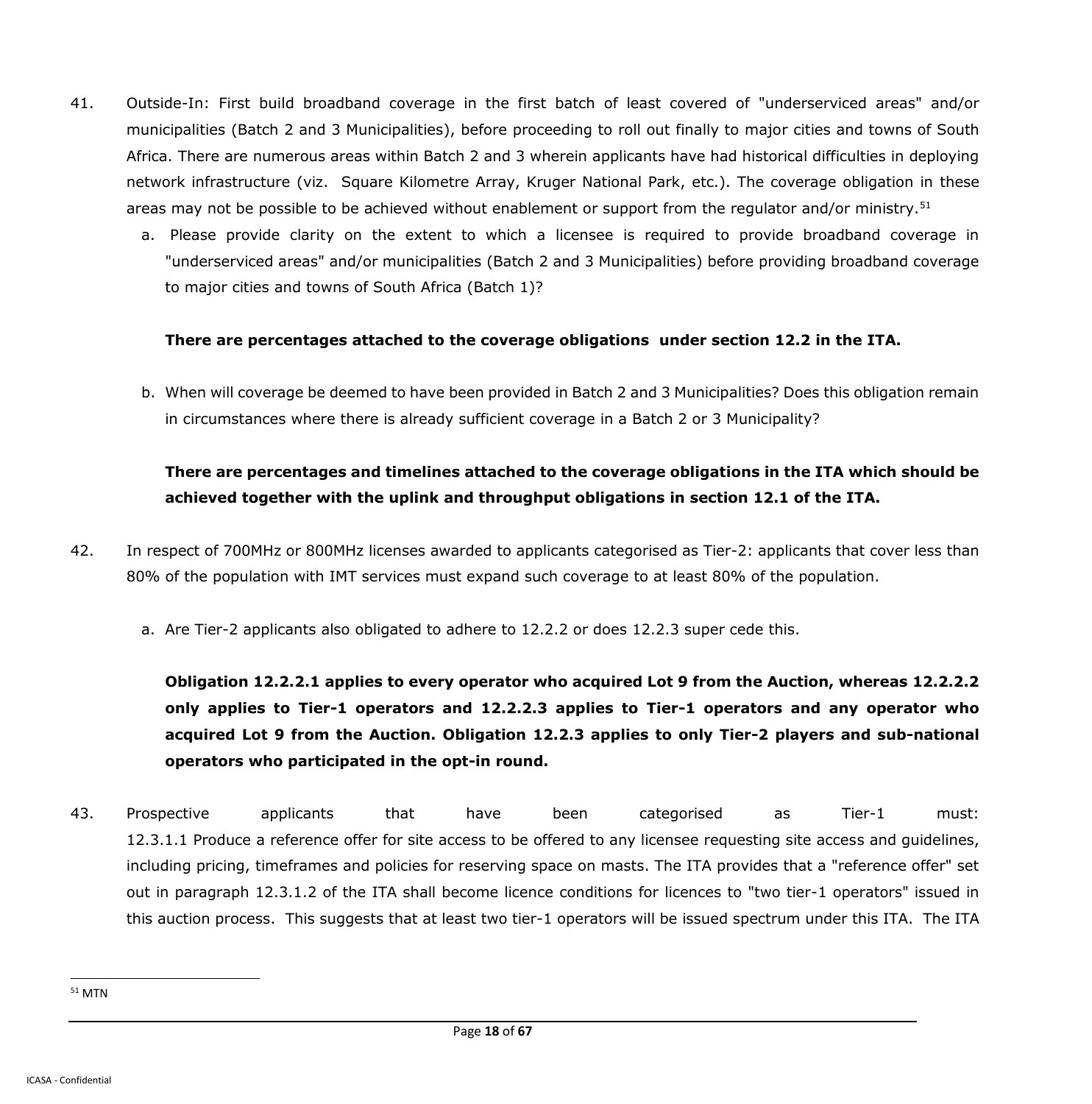- 41. Outside-In: First build broadband coverage in the first batch of least covered of "underserviced areas" and/or municipalities (Batch 2 and 3 Municipalities), before proceeding to roll out finally to major cities and towns of South Africa. There are numerous areas within Batch 2 and 3 wherein applicants have had historical difficulties in deploying network infrastructure (viz. Square Kilometre Array, Kruger National Park, etc.). The coverage obligation in these areas may not be possible to be achieved without enablement or support from the regulator and/or ministry.<sup>51</sup>
	- a. Please provide clarity on the extent to which a licensee is required to provide broadband coverage in "underserviced areas" and/or municipalities (Batch 2 and 3 Municipalities) before providing broadband coverage to major cities and towns of South Africa (Batch 1)?

#### **There are percentages attached to the coverage obligations under section 12.2 in the ITA.**

b. When will coverage be deemed to have been provided in Batch 2 and 3 Municipalities? Does this obligation remain in circumstances where there is already sufficient coverage in a Batch 2 or 3 Municipality?

# **There are percentages and timelines attached to the coverage obligations in the ITA which should be achieved together with the uplink and throughput obligations in section 12.1 of the ITA.**

- 42. In respect of 700MHz or 800MHz licenses awarded to applicants categorised as Tier-2: applicants that cover less than 80% of the population with IMT services must expand such coverage to at least 80% of the population.
	- a. Are Tier-2 applicants also obligated to adhere to 12.2.2 or does 12.2.3 super cede this.

**Obligation 12.2.2.1 applies to every operator who acquired Lot 9 from the Auction, whereas 12.2.2.2 only applies to Tier-1 operators and 12.2.2.3 applies to Tier-1 operators and any operator who acquired Lot 9 from the Auction. Obligation 12.2.3 applies to only Tier-2 players and sub-national operators who participated in the opt-in round.**

43. Prospective applicants that have been categorised as Tier-1 must: 12.3.1.1 Produce a reference offer for site access to be offered to any licensee requesting site access and guidelines, including pricing, timeframes and policies for reserving space on masts. The ITA provides that a "reference offer" set out in paragraph 12.3.1.2 of the ITA shall become licence conditions for licences to "two tier-1 operators" issued in this auction process. This suggests that at least two tier-1 operators will be issued spectrum under this ITA. The ITA

<sup>51</sup> MTN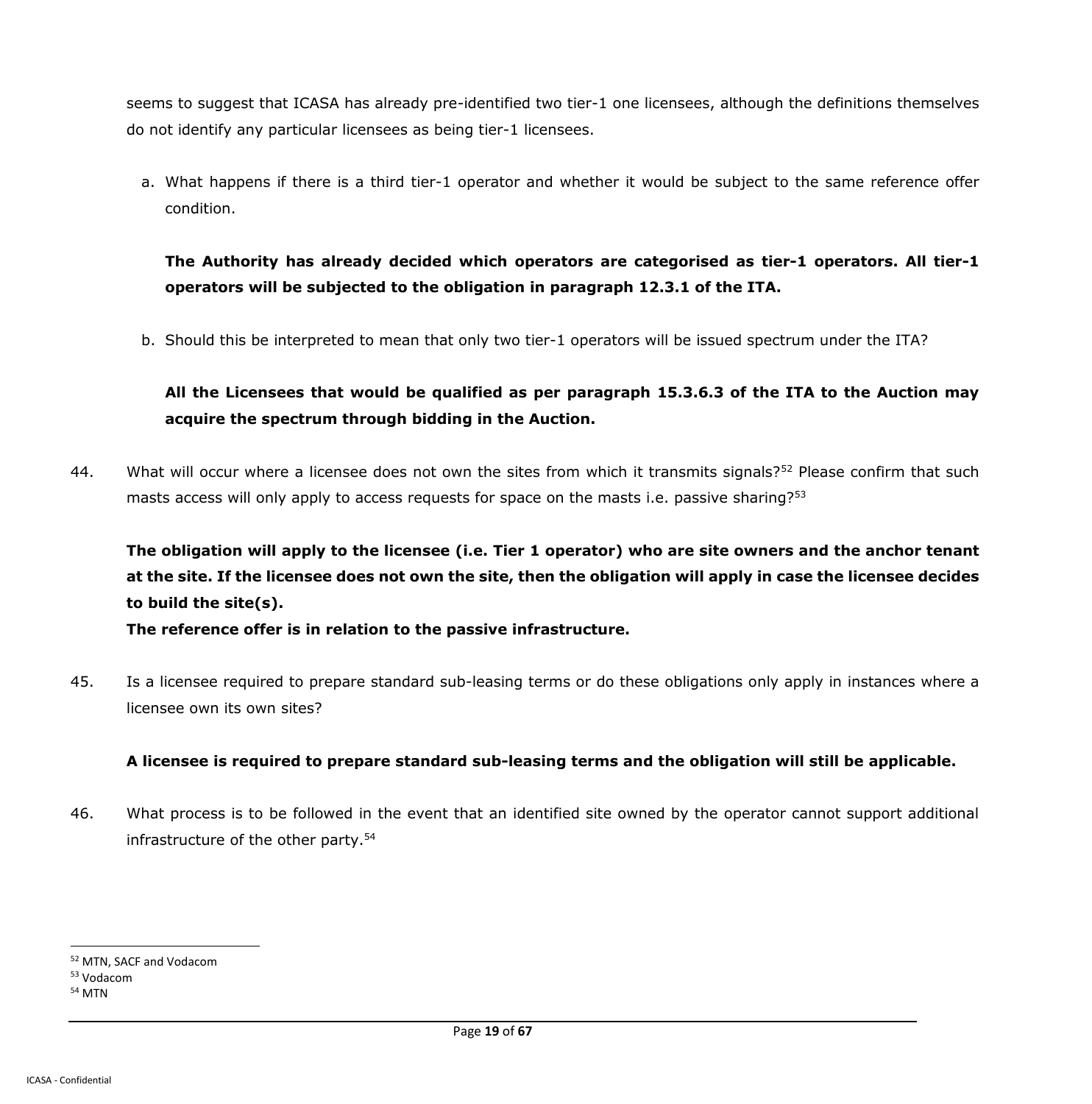seems to suggest that ICASA has already pre-identified two tier-1 one licensees, although the definitions themselves do not identify any particular licensees as being tier-1 licensees.

a. What happens if there is a third tier-1 operator and whether it would be subject to the same reference offer condition.

**The Authority has already decided which operators are categorised as tier-1 operators. All tier-1 operators will be subjected to the obligation in paragraph 12.3.1 of the ITA.**

b. Should this be interpreted to mean that only two tier-1 operators will be issued spectrum under the ITA?

**All the Licensees that would be qualified as per paragraph 15.3.6.3 of the ITA to the Auction may acquire the spectrum through bidding in the Auction.** 

44. What will occur where a licensee does not own the sites from which it transmits signals?<sup>52</sup> Please confirm that such masts access will only apply to access requests for space on the masts i.e. passive sharing?<sup>53</sup>

**The obligation will apply to the licensee (i.e. Tier 1 operator) who are site owners and the anchor tenant at the site. If the licensee does not own the site, then the obligation will apply in case the licensee decides to build the site(s).**

**The reference offer is in relation to the passive infrastructure.**

45. Is a licensee required to prepare standard sub-leasing terms or do these obligations only apply in instances where a licensee own its own sites?

## **A licensee is required to prepare standard sub-leasing terms and the obligation will still be applicable.**

46. What process is to be followed in the event that an identified site owned by the operator cannot support additional infrastructure of the other party. 54

<sup>52</sup> MTN, SACF and Vodacom

<sup>53</sup> Vodacom

<sup>54</sup> MTN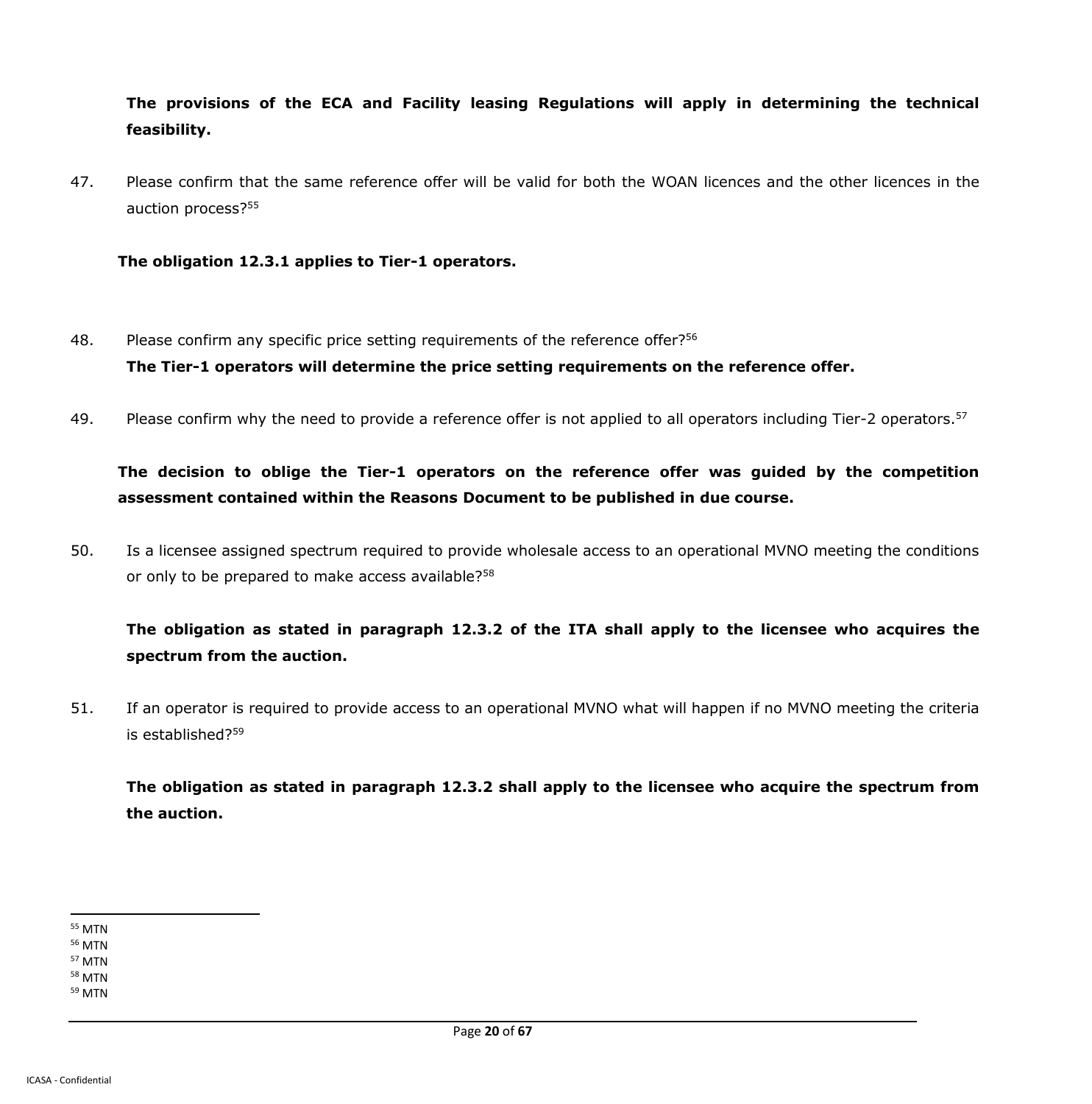**The provisions of the ECA and Facility leasing Regulations will apply in determining the technical feasibility.**

47. Please confirm that the same reference offer will be valid for both the WOAN licences and the other licences in the auction process?<sup>55</sup>

**The obligation 12.3.1 applies to Tier-1 operators.**

- 48. Please confirm any specific price setting requirements of the reference offer?<sup>56</sup> **The Tier-1 operators will determine the price setting requirements on the reference offer.**
- 49. Please confirm why the need to provide a reference offer is not applied to all operators including Tier-2 operators.<sup>57</sup>

**The decision to oblige the Tier-1 operators on the reference offer was guided by the competition assessment contained within the Reasons Document to be published in due course.**

50. Is a licensee assigned spectrum required to provide wholesale access to an operational MVNO meeting the conditions or only to be prepared to make access available?<sup>58</sup>

**The obligation as stated in paragraph 12.3.2 of the ITA shall apply to the licensee who acquires the spectrum from the auction.**

51. If an operator is required to provide access to an operational MVNO what will happen if no MVNO meeting the criteria is established?<sup>59</sup>

**The obligation as stated in paragraph 12.3.2 shall apply to the licensee who acquire the spectrum from the auction.**

 $\overline{a}$ <sup>55</sup> MTN

<sup>56</sup> MTN <sup>57</sup> MTN

<sup>58</sup> MTN

<sup>59</sup> MTN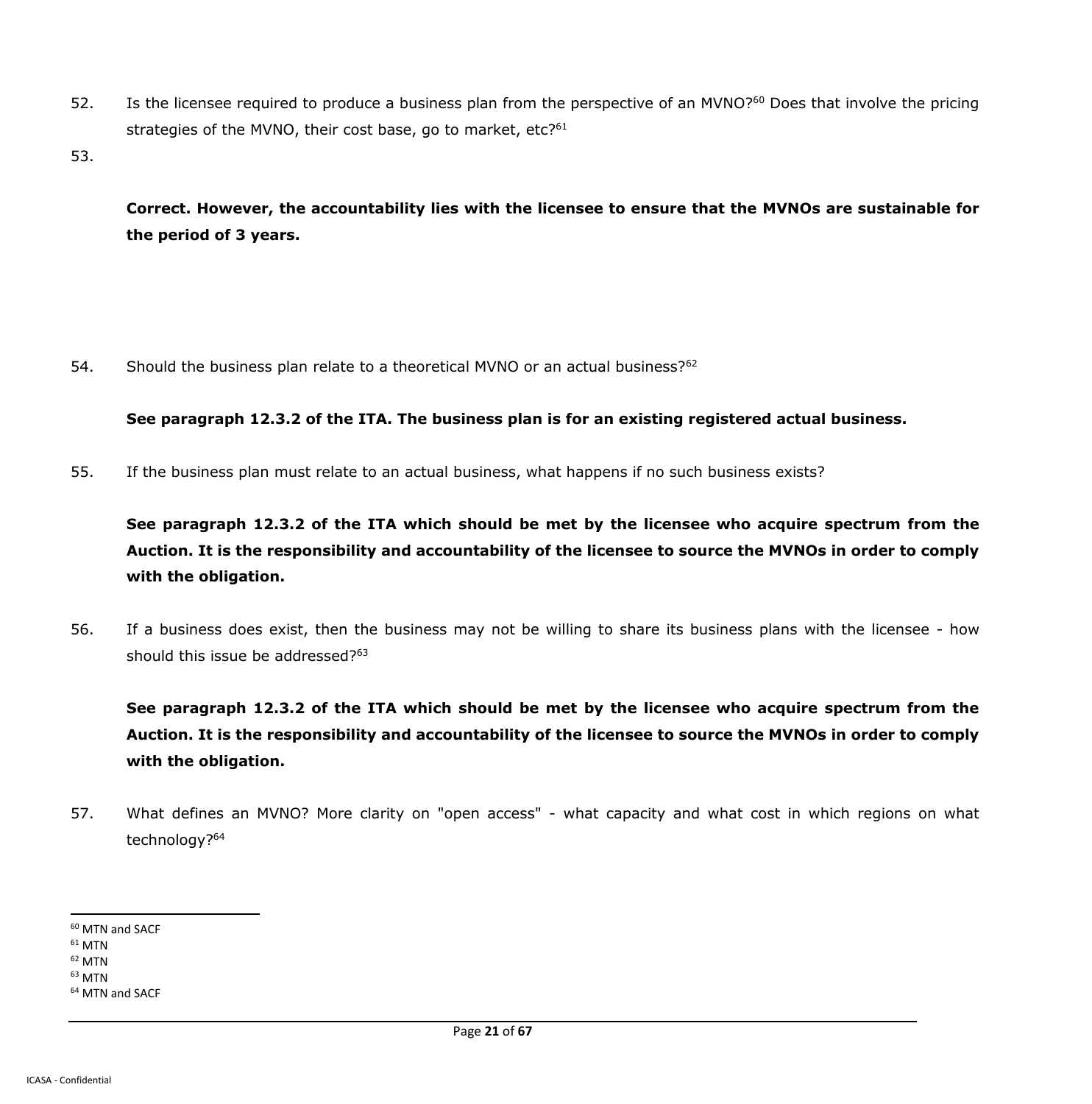- 52. Is the licensee required to produce a business plan from the perspective of an MVNO?<sup>60</sup> Does that involve the pricing strategies of the MVNO, their cost base, go to market, etc?<sup>61</sup>
- 53.

**Correct. However, the accountability lies with the licensee to ensure that the MVNOs are sustainable for the period of 3 years.**

54. Should the business plan relate to a theoretical MVNO or an actual business?<sup>62</sup>

**See paragraph 12.3.2 of the ITA. The business plan is for an existing registered actual business.**

55. If the business plan must relate to an actual business, what happens if no such business exists?

**See paragraph 12.3.2 of the ITA which should be met by the licensee who acquire spectrum from the Auction. It is the responsibility and accountability of the licensee to source the MVNOs in order to comply with the obligation.**

56. If a business does exist, then the business may not be willing to share its business plans with the licensee - how should this issue be addressed?<sup>63</sup>

**See paragraph 12.3.2 of the ITA which should be met by the licensee who acquire spectrum from the Auction. It is the responsibility and accountability of the licensee to source the MVNOs in order to comply with the obligation.**

57. What defines an MVNO? More clarity on "open access" - what capacity and what cost in which regions on what technology?<sup>64</sup>

<sup>60</sup> MTN and SACF

 $61$  MTN

<sup>62</sup> MTN <sup>63</sup> MTN

<sup>64</sup> MTN and SACF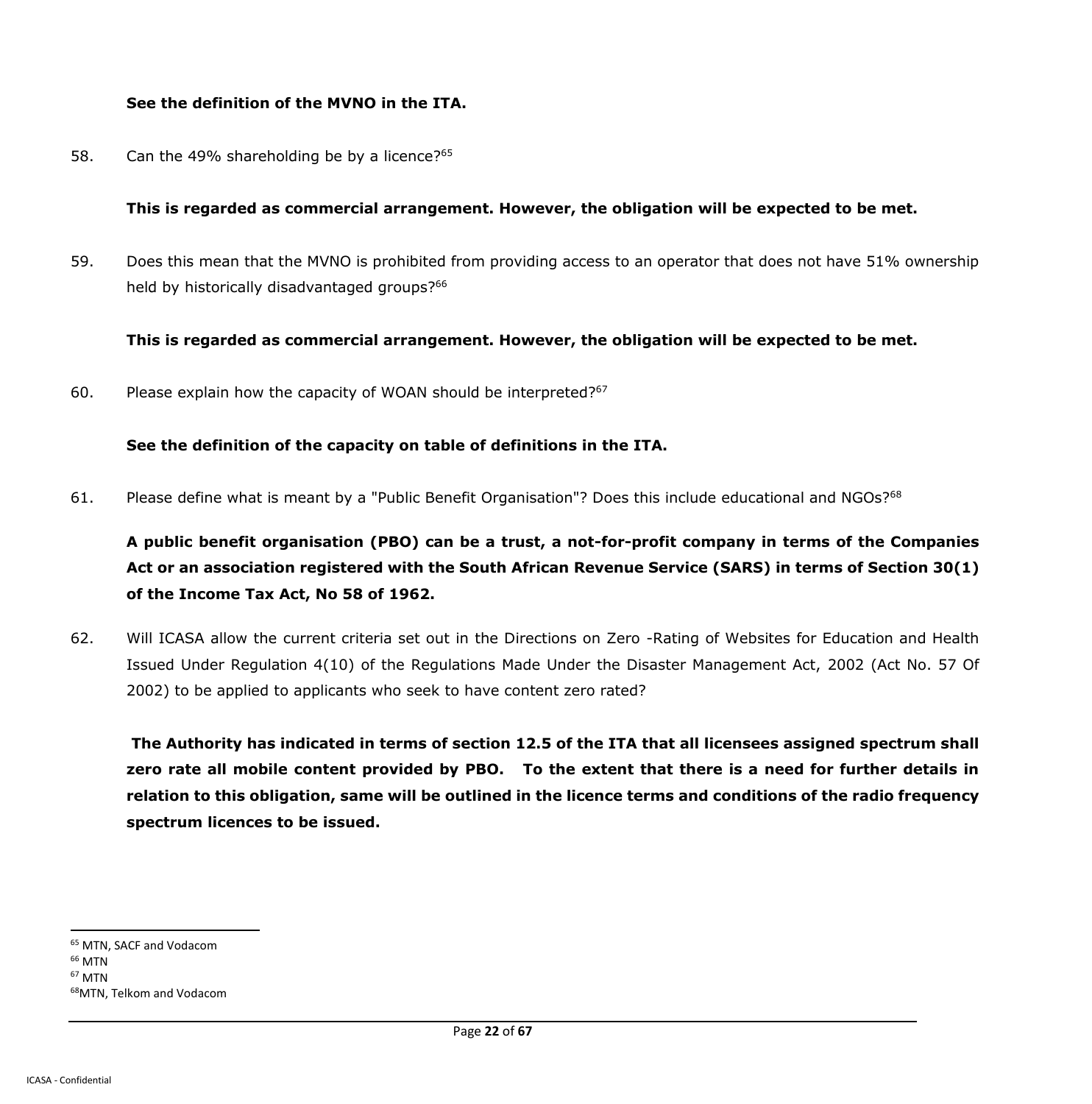#### **See the definition of the MVNO in the ITA.**

58. Can the 49% shareholding be by a licence?<sup>65</sup>

#### **This is regarded as commercial arrangement. However, the obligation will be expected to be met.**

59. Does this mean that the MVNO is prohibited from providing access to an operator that does not have 51% ownership held by historically disadvantaged groups?<sup>66</sup>

**This is regarded as commercial arrangement. However, the obligation will be expected to be met.**

60. Please explain how the capacity of WOAN should be interpreted?<sup>67</sup>

### **See the definition of the capacity on table of definitions in the ITA.**

61. Please define what is meant by a "Public Benefit Organisation"? Does this include educational and NGOs?<sup>68</sup>

**A public benefit organisation (PBO) can be a trust, a not-for-profit company in terms of the Companies Act or an association registered with the South African Revenue Service (SARS) in terms of Section 30(1) of the Income Tax Act, No 58 of 1962.**

62. Will ICASA allow the current criteria set out in the Directions on Zero -Rating of Websites for Education and Health Issued Under Regulation 4(10) of the Regulations Made Under the Disaster Management Act, 2002 (Act No. 57 Of 2002) to be applied to applicants who seek to have content zero rated?

**The Authority has indicated in terms of section 12.5 of the ITA that all licensees assigned spectrum shall zero rate all mobile content provided by PBO. To the extent that there is a need for further details in relation to this obligation, same will be outlined in the licence terms and conditions of the radio frequency spectrum licences to be issued.**

 $\overline{a}$ <sup>65</sup> MTN, SACF and Vodacom <sup>66</sup> MTN <sup>67</sup> MTN 68MTN, Telkom and Vodacom

Page **22** of **67**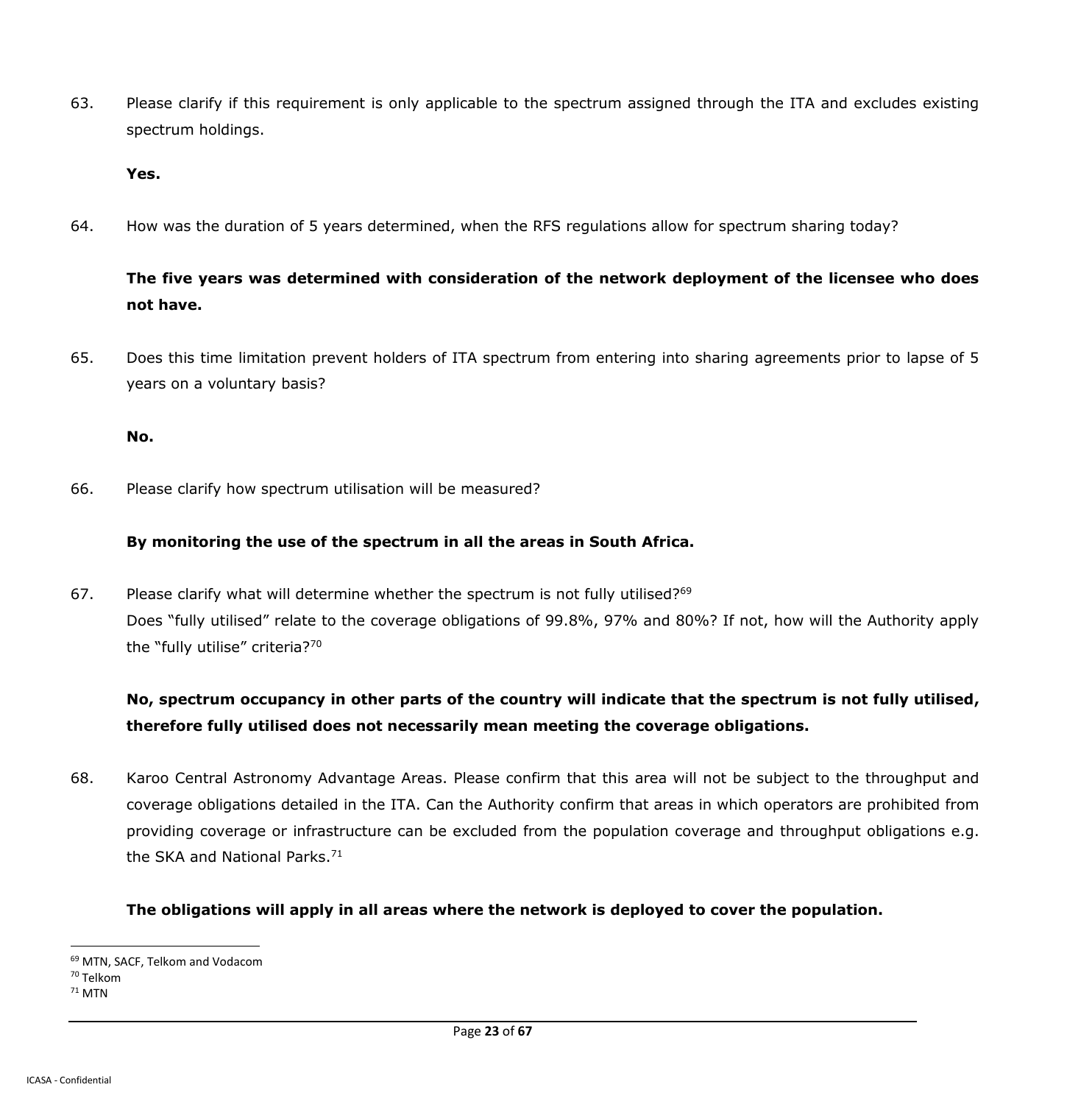63. Please clarify if this requirement is only applicable to the spectrum assigned through the ITA and excludes existing spectrum holdings.

#### **Yes.**

64. How was the duration of 5 years determined, when the RFS regulations allow for spectrum sharing today?

# **The five years was determined with consideration of the network deployment of the licensee who does not have.**

65. Does this time limitation prevent holders of ITA spectrum from entering into sharing agreements prior to lapse of 5 years on a voluntary basis?

#### **No.**

66. Please clarify how spectrum utilisation will be measured?

#### **By monitoring the use of the spectrum in all the areas in South Africa.**

67. Please clarify what will determine whether the spectrum is not fully utilised?<sup>69</sup> Does "fully utilised" relate to the coverage obligations of 99.8%, 97% and 80%? If not, how will the Authority apply the "fully utilise" criteria?70

# **No, spectrum occupancy in other parts of the country will indicate that the spectrum is not fully utilised, therefore fully utilised does not necessarily mean meeting the coverage obligations.**

68. Karoo Central Astronomy Advantage Areas. Please confirm that this area will not be subject to the throughput and coverage obligations detailed in the ITA. Can the Authority confirm that areas in which operators are prohibited from providing coverage or infrastructure can be excluded from the population coverage and throughput obligations e.g. the SKA and National Parks.<sup>71</sup>

#### **The obligations will apply in all areas where the network is deployed to cover the population.**

 $\overline{a}$ <sup>69</sup> MTN, SACF, Telkom and Vodacom

<sup>70</sup> Telkom

<sup>71</sup> MTN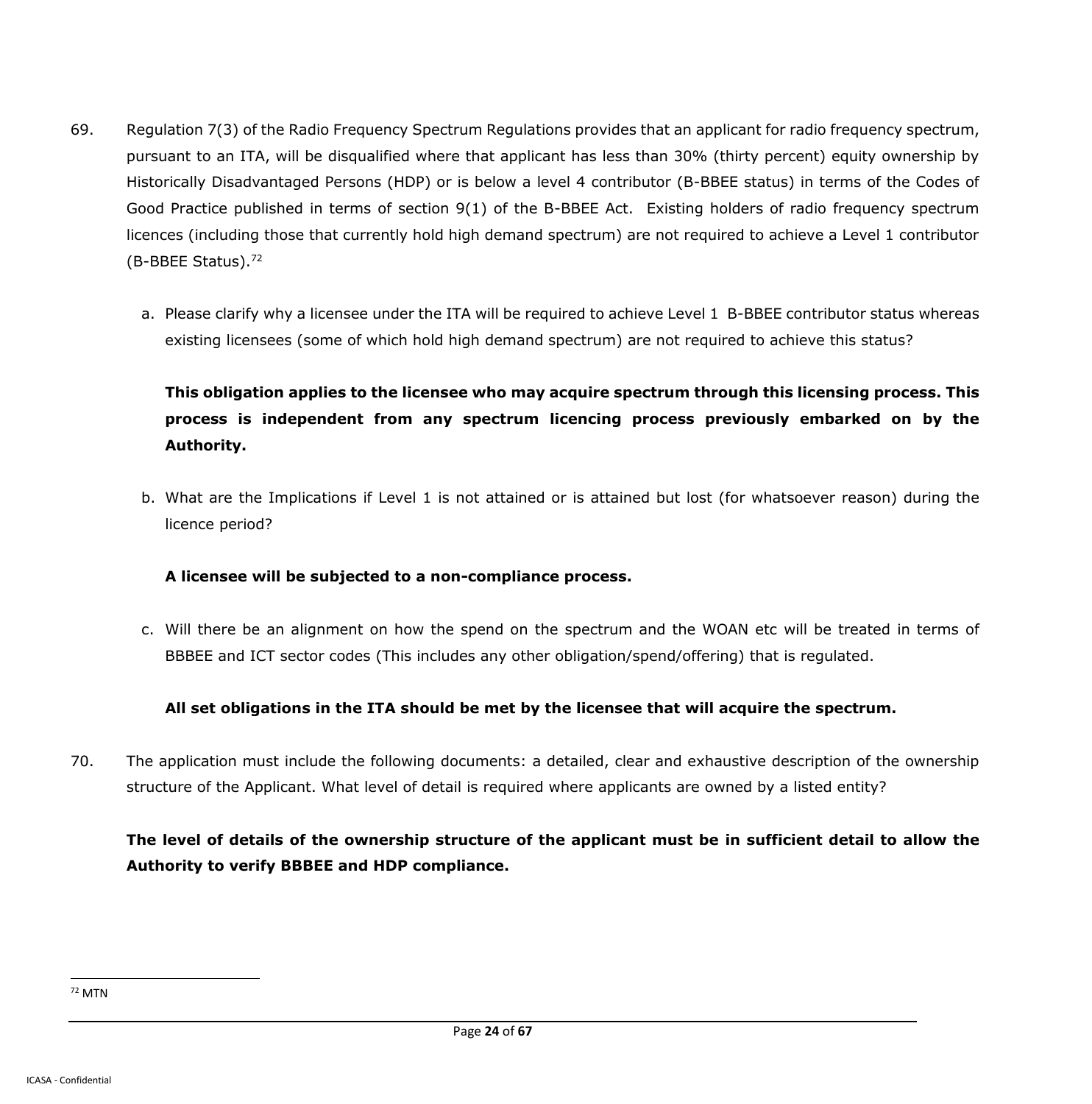- 69. Regulation 7(3) of the Radio Frequency Spectrum Regulations provides that an applicant for radio frequency spectrum, pursuant to an ITA, will be disqualified where that applicant has less than 30% (thirty percent) equity ownership by Historically Disadvantaged Persons (HDP) or is below a level 4 contributor (B-BBEE status) in terms of the Codes of Good Practice published in terms of section 9(1) of the B-BBEE Act. Existing holders of radio frequency spectrum licences (including those that currently hold high demand spectrum) are not required to achieve a Level 1 contributor (B-BBEE Status).<sup>72</sup>
	- a. Please clarify why a licensee under the ITA will be required to achieve Level 1 B-BBEE contributor status whereas existing licensees (some of which hold high demand spectrum) are not required to achieve this status?

# **This obligation applies to the licensee who may acquire spectrum through this licensing process. This process is independent from any spectrum licencing process previously embarked on by the Authority.**

b. What are the Implications if Level 1 is not attained or is attained but lost (for whatsoever reason) during the licence period?

## **A licensee will be subjected to a non-compliance process.**

c. Will there be an alignment on how the spend on the spectrum and the WOAN etc will be treated in terms of BBBEE and ICT sector codes (This includes any other obligation/spend/offering) that is regulated.

## **All set obligations in the ITA should be met by the licensee that will acquire the spectrum.**

70. The application must include the following documents: a detailed, clear and exhaustive description of the ownership structure of the Applicant. What level of detail is required where applicants are owned by a listed entity?

# **The level of details of the ownership structure of the applicant must be in sufficient detail to allow the Authority to verify BBBEE and HDP compliance.**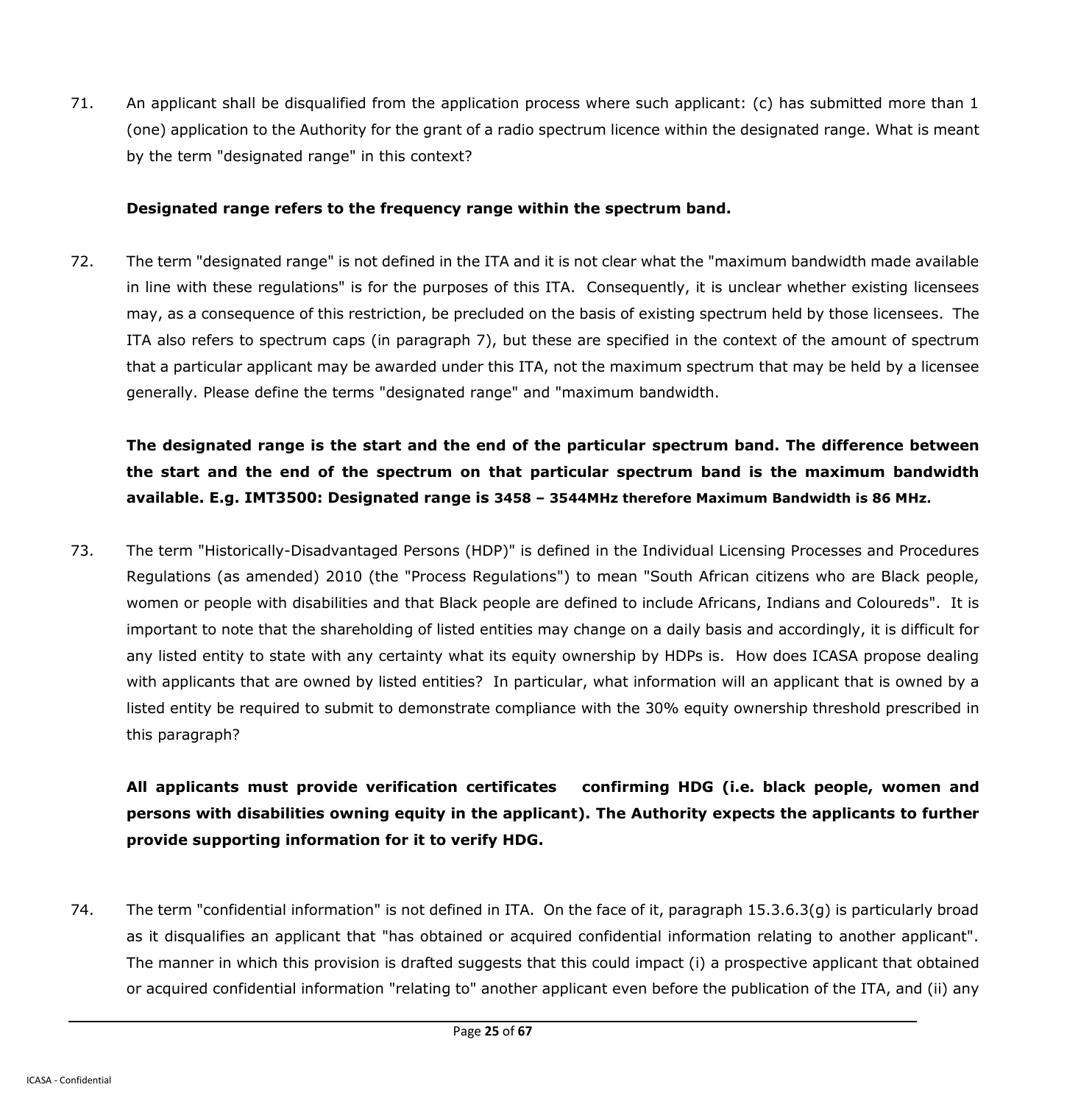71. An applicant shall be disqualified from the application process where such applicant: (c) has submitted more than 1 (one) application to the Authority for the grant of a radio spectrum licence within the designated range. What is meant by the term "designated range" in this context?

#### **Designated range refers to the frequency range within the spectrum band.**

72. The term "designated range" is not defined in the ITA and it is not clear what the "maximum bandwidth made available in line with these regulations" is for the purposes of this ITA. Consequently, it is unclear whether existing licensees may, as a consequence of this restriction, be precluded on the basis of existing spectrum held by those licensees. The ITA also refers to spectrum caps (in paragraph 7), but these are specified in the context of the amount of spectrum that a particular applicant may be awarded under this ITA, not the maximum spectrum that may be held by a licensee generally. Please define the terms "designated range" and "maximum bandwidth.

**The designated range is the start and the end of the particular spectrum band. The difference between the start and the end of the spectrum on that particular spectrum band is the maximum bandwidth available. E.g. IMT3500: Designated range is 3458 – 3544MHz therefore Maximum Bandwidth is 86 MHz.**

73. The term "Historically-Disadvantaged Persons (HDP)" is defined in the Individual Licensing Processes and Procedures Regulations (as amended) 2010 (the "Process Regulations") to mean "South African citizens who are Black people, women or people with disabilities and that Black people are defined to include Africans, Indians and Coloureds". It is important to note that the shareholding of listed entities may change on a daily basis and accordingly, it is difficult for any listed entity to state with any certainty what its equity ownership by HDPs is. How does ICASA propose dealing with applicants that are owned by listed entities? In particular, what information will an applicant that is owned by a listed entity be required to submit to demonstrate compliance with the 30% equity ownership threshold prescribed in this paragraph?

**All applicants must provide verification certificates confirming HDG (i.e. black people, women and persons with disabilities owning equity in the applicant). The Authority expects the applicants to further provide supporting information for it to verify HDG.**

74. The term "confidential information" is not defined in ITA. On the face of it, paragraph 15.3.6.3(g) is particularly broad as it disqualifies an applicant that "has obtained or acquired confidential information relating to another applicant". The manner in which this provision is drafted suggests that this could impact (i) a prospective applicant that obtained or acquired confidential information "relating to" another applicant even before the publication of the ITA, and (ii) any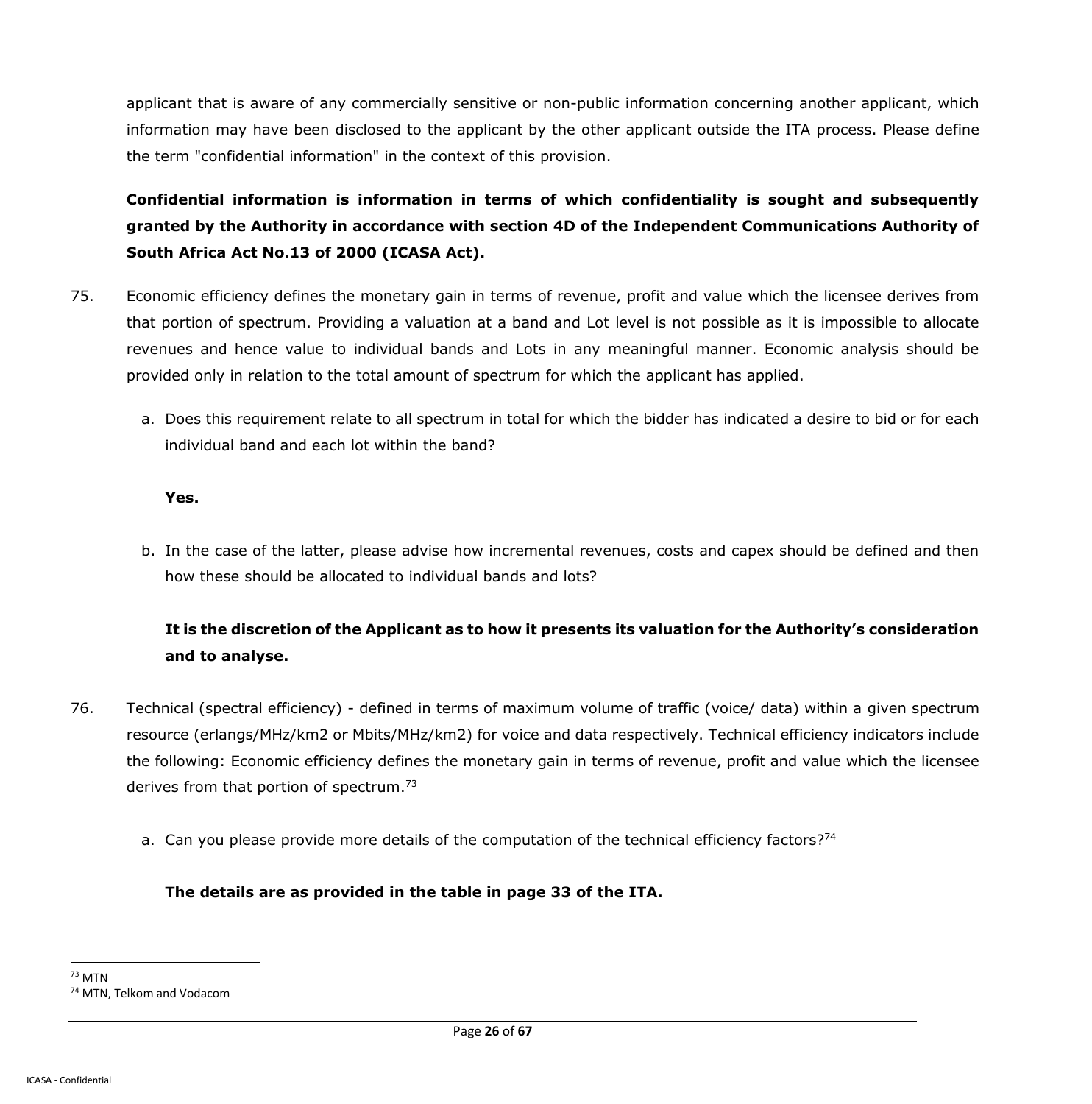applicant that is aware of any commercially sensitive or non-public information concerning another applicant, which information may have been disclosed to the applicant by the other applicant outside the ITA process. Please define the term "confidential information" in the context of this provision.

**Confidential information is information in terms of which confidentiality is sought and subsequently granted by the Authority in accordance with section 4D of the Independent Communications Authority of South Africa Act No.13 of 2000 (ICASA Act).** 

- 75. Economic efficiency defines the monetary gain in terms of revenue, profit and value which the licensee derives from that portion of spectrum. Providing a valuation at a band and Lot level is not possible as it is impossible to allocate revenues and hence value to individual bands and Lots in any meaningful manner. Economic analysis should be provided only in relation to the total amount of spectrum for which the applicant has applied.
	- a. Does this requirement relate to all spectrum in total for which the bidder has indicated a desire to bid or for each individual band and each lot within the band?

### **Yes.**

b. In the case of the latter, please advise how incremental revenues, costs and capex should be defined and then how these should be allocated to individual bands and lots?

# **It is the discretion of the Applicant as to how it presents its valuation for the Authority's consideration and to analyse.**

- 76. Technical (spectral efficiency) defined in terms of maximum volume of traffic (voice/ data) within a given spectrum resource (erlangs/MHz/km2 or Mbits/MHz/km2) for voice and data respectively. Technical efficiency indicators include the following: Economic efficiency defines the monetary gain in terms of revenue, profit and value which the licensee derives from that portion of spectrum.<sup>73</sup>
	- a. Can you please provide more details of the computation of the technical efficiency factors?<sup>74</sup>

## **The details are as provided in the table in page 33 of the ITA.**

 $\overline{a}$ <sup>73</sup> MTN <sup>74</sup> MTN, Telkom and Vodacom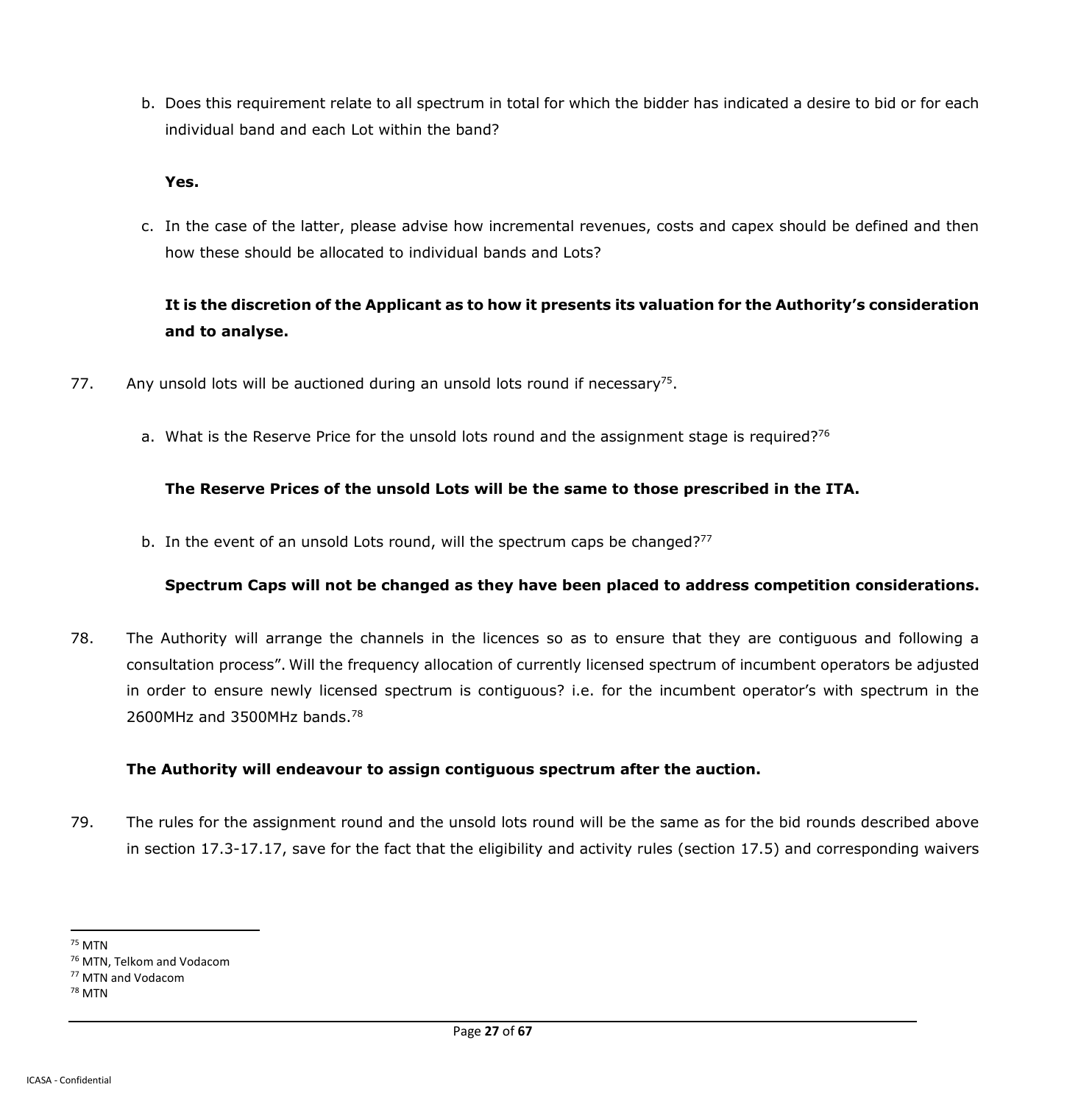b. Does this requirement relate to all spectrum in total for which the bidder has indicated a desire to bid or for each individual band and each Lot within the band?

#### **Yes.**

c. In the case of the latter, please advise how incremental revenues, costs and capex should be defined and then how these should be allocated to individual bands and Lots?

## **It is the discretion of the Applicant as to how it presents its valuation for the Authority's consideration and to analyse.**

- 77. Any unsold lots will be auctioned during an unsold lots round if necessary<sup>75</sup>.
	- a. What is the Reserve Price for the unsold lots round and the assignment stage is required?<sup>76</sup>

### **The Reserve Prices of the unsold Lots will be the same to those prescribed in the ITA.**

b. In the event of an unsold Lots round, will the spectrum caps be changed?<sup>77</sup>

### **Spectrum Caps will not be changed as they have been placed to address competition considerations.**

78. The Authority will arrange the channels in the licences so as to ensure that they are contiguous and following a consultation process". Will the frequency allocation of currently licensed spectrum of incumbent operators be adjusted in order to ensure newly licensed spectrum is contiguous? i.e. for the incumbent operator's with spectrum in the 2600MHz and 3500MHz bands.<sup>78</sup>

### **The Authority will endeavour to assign contiguous spectrum after the auction.**

79. The rules for the assignment round and the unsold lots round will be the same as for the bid rounds described above in section 17.3-17.17, save for the fact that the eligibility and activity rules (section 17.5) and corresponding waivers

 $\overline{a}$ <sup>75</sup> MTN

<sup>76</sup> MTN, Telkom and Vodacom

<sup>77</sup> MTN and Vodacom

<sup>78</sup> MTN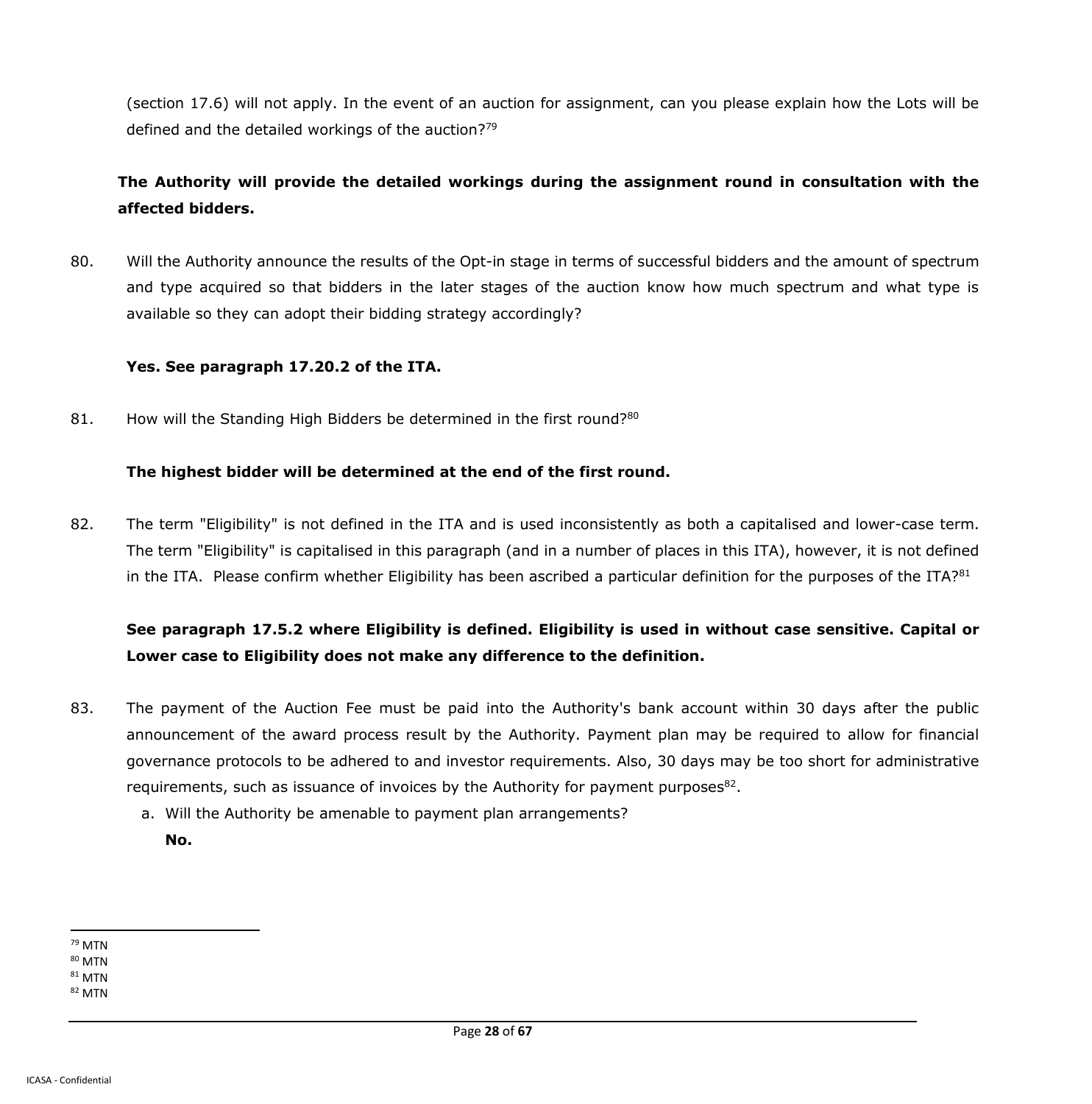(section 17.6) will not apply. In the event of an auction for assignment, can you please explain how the Lots will be defined and the detailed workings of the auction? $79$ 

## **The Authority will provide the detailed workings during the assignment round in consultation with the affected bidders.**

80. Will the Authority announce the results of the Opt-in stage in terms of successful bidders and the amount of spectrum and type acquired so that bidders in the later stages of the auction know how much spectrum and what type is available so they can adopt their bidding strategy accordingly?

### **Yes. See paragraph 17.20.2 of the ITA.**

81. How will the Standing High Bidders be determined in the first round?<sup>80</sup>

### **The highest bidder will be determined at the end of the first round.**

82. The term "Eligibility" is not defined in the ITA and is used inconsistently as both a capitalised and lower-case term. The term "Eligibility" is capitalised in this paragraph (and in a number of places in this ITA), however, it is not defined in the ITA. Please confirm whether Eligibility has been ascribed a particular definition for the purposes of the ITA?<sup>81</sup>

## **See paragraph 17.5.2 where Eligibility is defined. Eligibility is used in without case sensitive. Capital or Lower case to Eligibility does not make any difference to the definition.**

- 83. The payment of the Auction Fee must be paid into the Authority's bank account within 30 days after the public announcement of the award process result by the Authority. Payment plan may be required to allow for financial governance protocols to be adhered to and investor requirements. Also, 30 days may be too short for administrative requirements, such as issuance of invoices by the Authority for payment purposes $^{82}$ .
	- a. Will the Authority be amenable to payment plan arrangements?
		- **No.**

 $\overline{a}$ <sup>79</sup> MTN

<sup>80</sup> MTN

 $81$  MTN

<sup>82</sup> MTN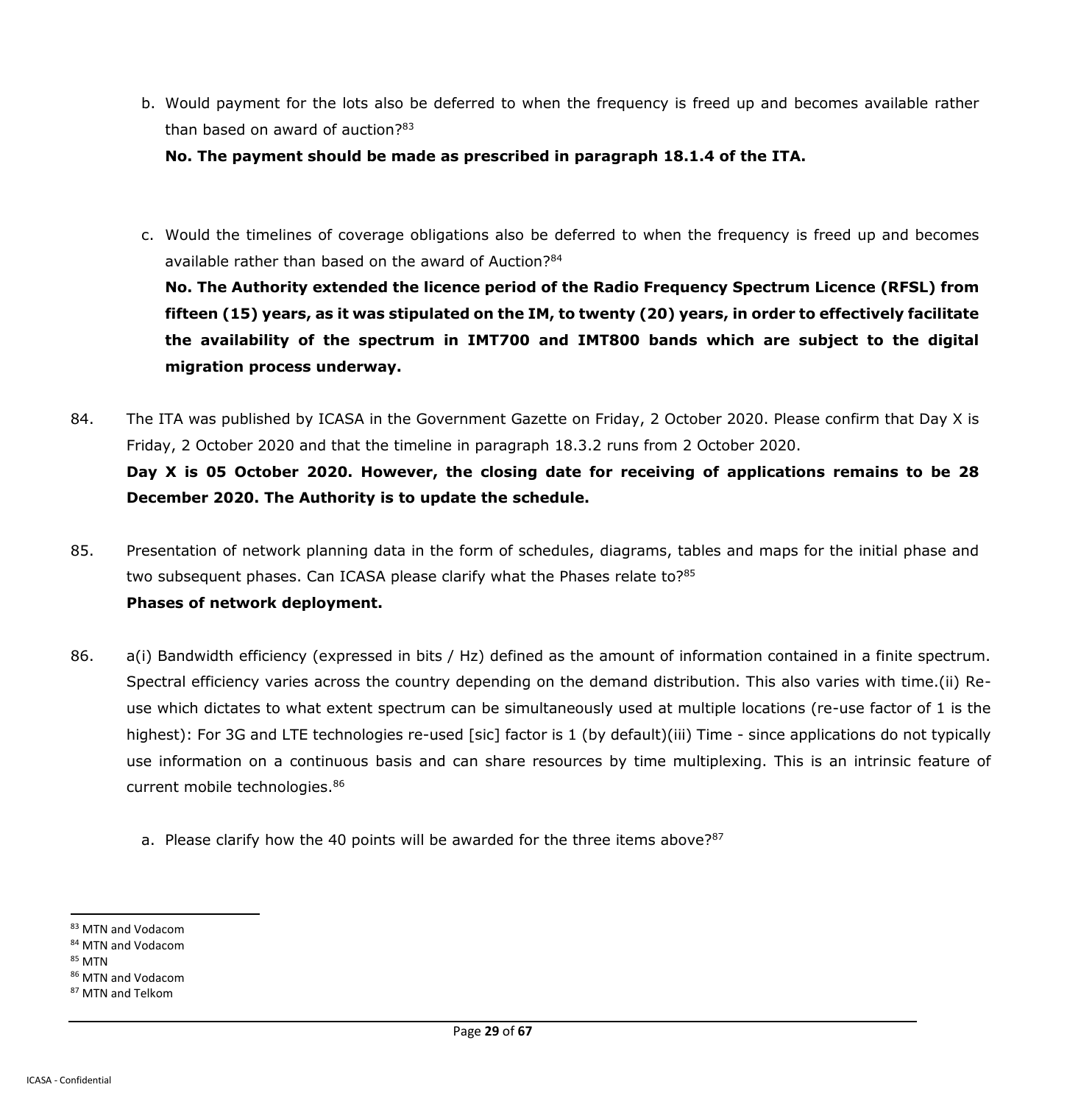b. Would payment for the lots also be deferred to when the frequency is freed up and becomes available rather than based on award of auction?<sup>83</sup>

**No. The payment should be made as prescribed in paragraph 18.1.4 of the ITA.**

c. Would the timelines of coverage obligations also be deferred to when the frequency is freed up and becomes available rather than based on the award of Auction?<sup>84</sup>

**No. The Authority extended the licence period of the Radio Frequency Spectrum Licence (RFSL) from fifteen (15) years, as it was stipulated on the IM, to twenty (20) years, in order to effectively facilitate the availability of the spectrum in IMT700 and IMT800 bands which are subject to the digital migration process underway.** 

- 84. The ITA was published by ICASA in the Government Gazette on Friday, 2 October 2020. Please confirm that Day X is Friday, 2 October 2020 and that the timeline in paragraph 18.3.2 runs from 2 October 2020. **Day X is 05 October 2020. However, the closing date for receiving of applications remains to be 28 December 2020. The Authority is to update the schedule.**
- 85. Presentation of network planning data in the form of schedules, diagrams, tables and maps for the initial phase and two subsequent phases. Can ICASA please clarify what the Phases relate to?<sup>85</sup> **Phases of network deployment.**
- 86. a(i) Bandwidth efficiency (expressed in bits / Hz) defined as the amount of information contained in a finite spectrum. Spectral efficiency varies across the country depending on the demand distribution. This also varies with time.(ii) Reuse which dictates to what extent spectrum can be simultaneously used at multiple locations (re-use factor of 1 is the highest): For 3G and LTE technologies re-used [sic] factor is 1 (by default)(iii) Time - since applications do not typically use information on a continuous basis and can share resources by time multiplexing. This is an intrinsic feature of current mobile technologies.<sup>86</sup>
	- a. Please clarify how the 40 points will be awarded for the three items above?<sup>87</sup>

<sup>85</sup> MTN

<sup>83</sup> MTN and Vodacom

<sup>84</sup> MTN and Vodacom

<sup>86</sup> MTN and Vodacom

<sup>87</sup> MTN and Telkom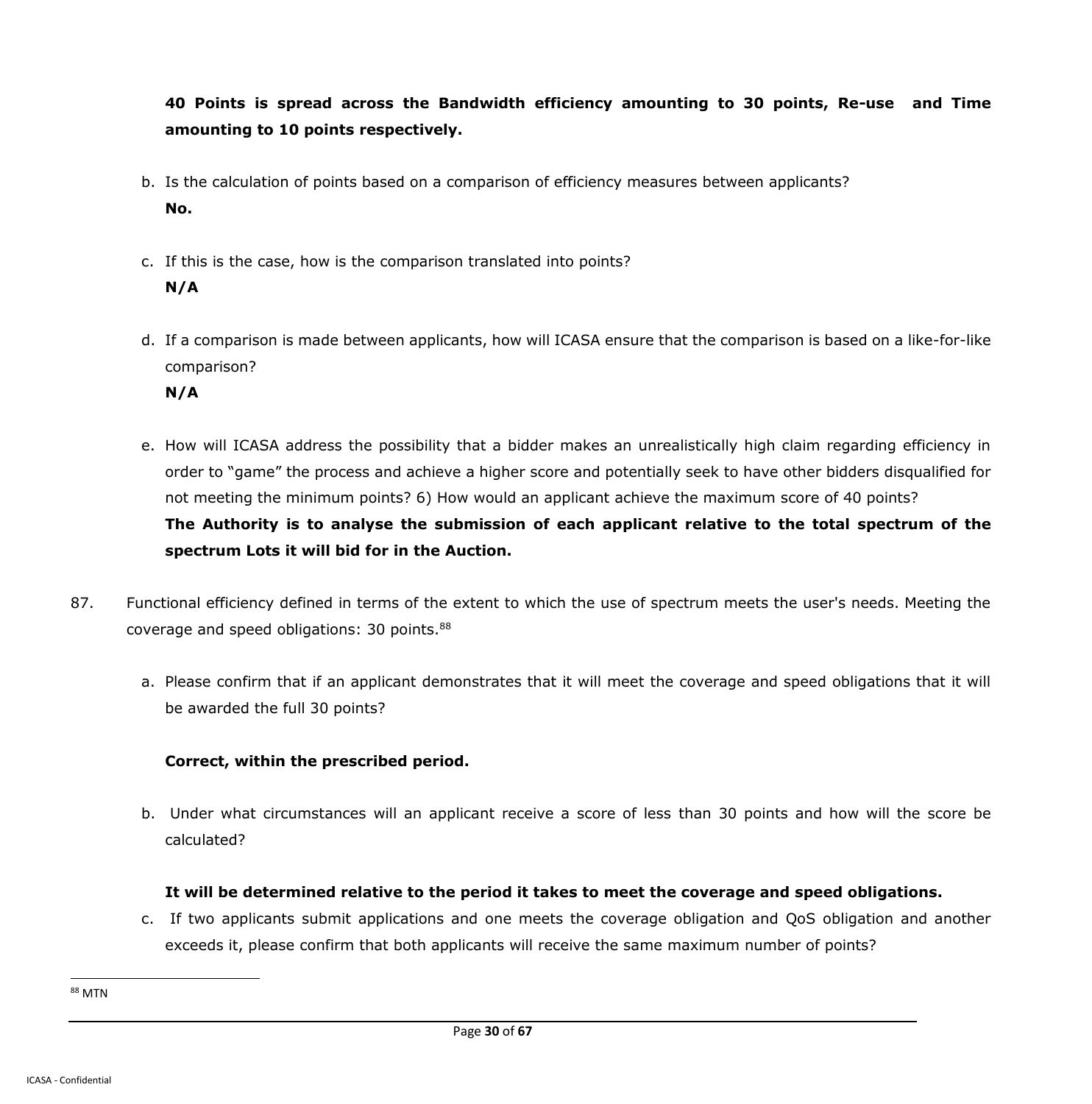**40 Points is spread across the Bandwidth efficiency amounting to 30 points, Re-use and Time amounting to 10 points respectively.**

- b. Is the calculation of points based on a comparison of efficiency measures between applicants? **No.**
- c. If this is the case, how is the comparison translated into points? **N/A**
- d. If a comparison is made between applicants, how will ICASA ensure that the comparison is based on a like-for-like comparison?

**N/A**

- e. How will ICASA address the possibility that a bidder makes an unrealistically high claim regarding efficiency in order to "game" the process and achieve a higher score and potentially seek to have other bidders disqualified for not meeting the minimum points? 6) How would an applicant achieve the maximum score of 40 points? **The Authority is to analyse the submission of each applicant relative to the total spectrum of the spectrum Lots it will bid for in the Auction.**
- 87. Functional efficiency defined in terms of the extent to which the use of spectrum meets the user's needs. Meeting the coverage and speed obligations: 30 points.<sup>88</sup>
	- a. Please confirm that if an applicant demonstrates that it will meet the coverage and speed obligations that it will be awarded the full 30 points?

## **Correct, within the prescribed period.**

b. Under what circumstances will an applicant receive a score of less than 30 points and how will the score be calculated?

## **It will be determined relative to the period it takes to meet the coverage and speed obligations.**

c. If two applicants submit applications and one meets the coverage obligation and QoS obligation and another exceeds it, please confirm that both applicants will receive the same maximum number of points?

<sup>88</sup> MTN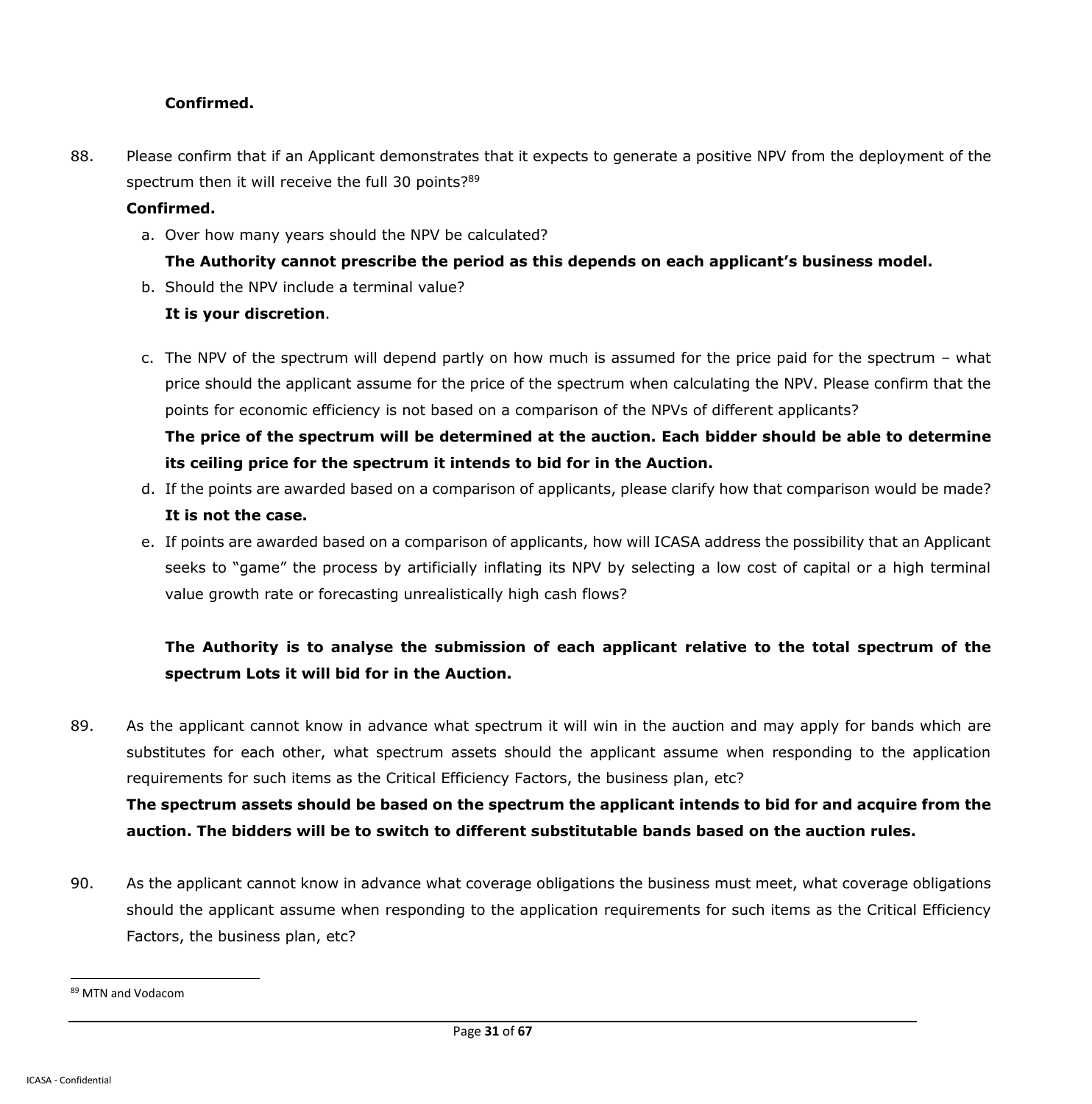### **Confirmed.**

88. Please confirm that if an Applicant demonstrates that it expects to generate a positive NPV from the deployment of the spectrum then it will receive the full 30 points?<sup>89</sup>

### **Confirmed.**

- a. Over how many years should the NPV be calculated?
	- **The Authority cannot prescribe the period as this depends on each applicant's business model.**
- b. Should the NPV include a terminal value?

## **It is your discretion**.

c. The NPV of the spectrum will depend partly on how much is assumed for the price paid for the spectrum – what price should the applicant assume for the price of the spectrum when calculating the NPV. Please confirm that the points for economic efficiency is not based on a comparison of the NPVs of different applicants? **The price of the spectrum will be determined at the auction. Each bidder should be able to determine** 

## **its ceiling price for the spectrum it intends to bid for in the Auction.**

- d. If the points are awarded based on a comparison of applicants, please clarify how that comparison would be made? **It is not the case.**
- e. If points are awarded based on a comparison of applicants, how will ICASA address the possibility that an Applicant seeks to "game" the process by artificially inflating its NPV by selecting a low cost of capital or a high terminal value growth rate or forecasting unrealistically high cash flows?

# **The Authority is to analyse the submission of each applicant relative to the total spectrum of the spectrum Lots it will bid for in the Auction.**

- 89. As the applicant cannot know in advance what spectrum it will win in the auction and may apply for bands which are substitutes for each other, what spectrum assets should the applicant assume when responding to the application requirements for such items as the Critical Efficiency Factors, the business plan, etc? **The spectrum assets should be based on the spectrum the applicant intends to bid for and acquire from the auction. The bidders will be to switch to different substitutable bands based on the auction rules.**
- 90. As the applicant cannot know in advance what coverage obligations the business must meet, what coverage obligations should the applicant assume when responding to the application requirements for such items as the Critical Efficiency Factors, the business plan, etc?

<sup>89</sup> MTN and Vodacom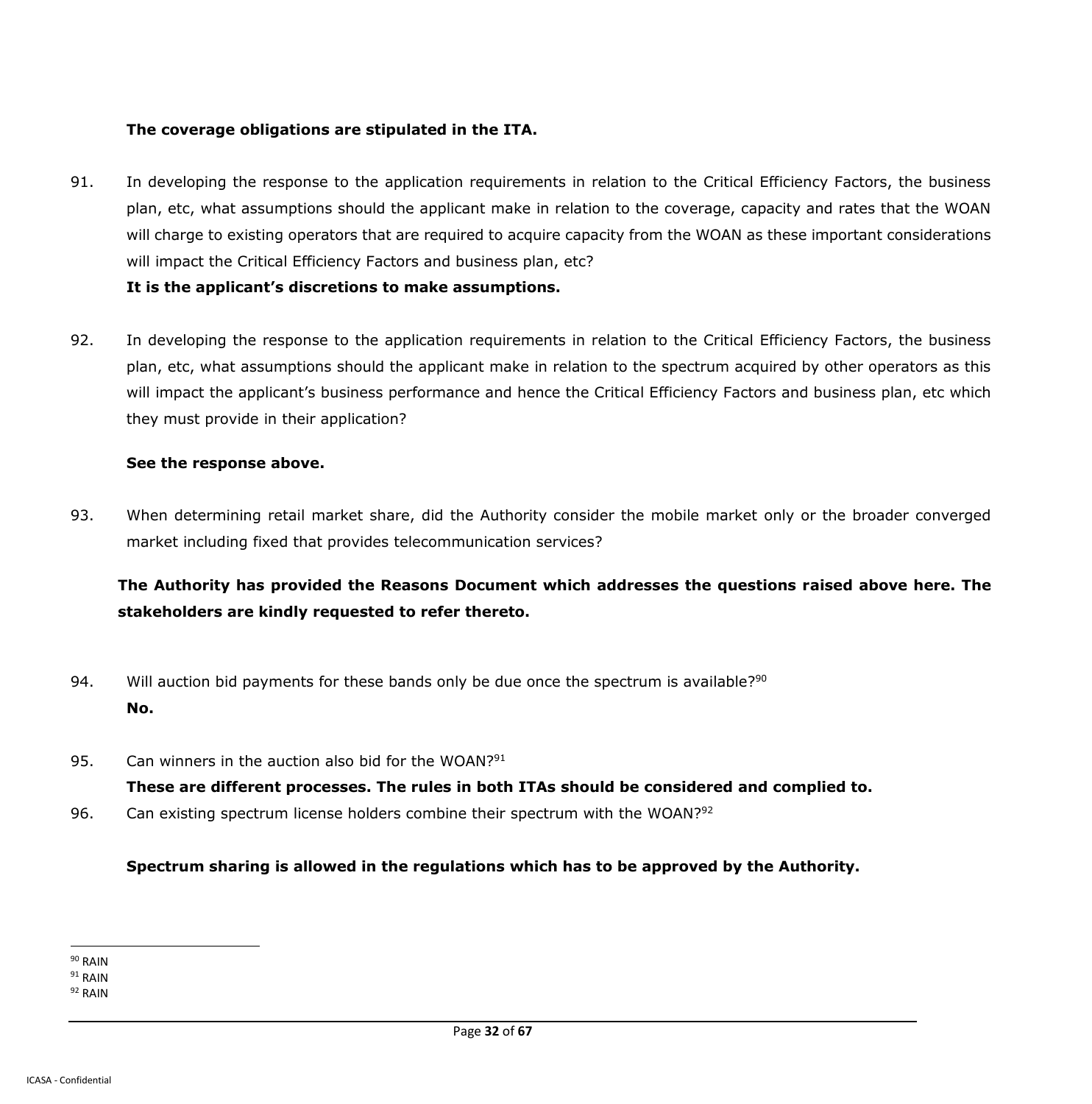#### **The coverage obligations are stipulated in the ITA.**

91. In developing the response to the application requirements in relation to the Critical Efficiency Factors, the business plan, etc, what assumptions should the applicant make in relation to the coverage, capacity and rates that the WOAN will charge to existing operators that are required to acquire capacity from the WOAN as these important considerations will impact the Critical Efficiency Factors and business plan, etc?

#### **It is the applicant's discretions to make assumptions.**

92. In developing the response to the application requirements in relation to the Critical Efficiency Factors, the business plan, etc, what assumptions should the applicant make in relation to the spectrum acquired by other operators as this will impact the applicant's business performance and hence the Critical Efficiency Factors and business plan, etc which they must provide in their application?

#### **See the response above.**

93. When determining retail market share, did the Authority consider the mobile market only or the broader converged market including fixed that provides telecommunication services?

# **The Authority has provided the Reasons Document which addresses the questions raised above here. The stakeholders are kindly requested to refer thereto.**

- 94. Will auction bid payments for these bands only be due once the spectrum is available?<sup>90</sup> **No.**
- 95. Can winners in the auction also bid for the WOAN?<sup>91</sup>

**These are different processes. The rules in both ITAs should be considered and complied to.**

96. Can existing spectrum license holders combine their spectrum with the WOAN?<sup>92</sup>

### **Spectrum sharing is allowed in the regulations which has to be approved by the Authority.**

 $\overline{a}$ <sup>90</sup> RAIN

 $91$  RAIN

<sup>92</sup> RAIN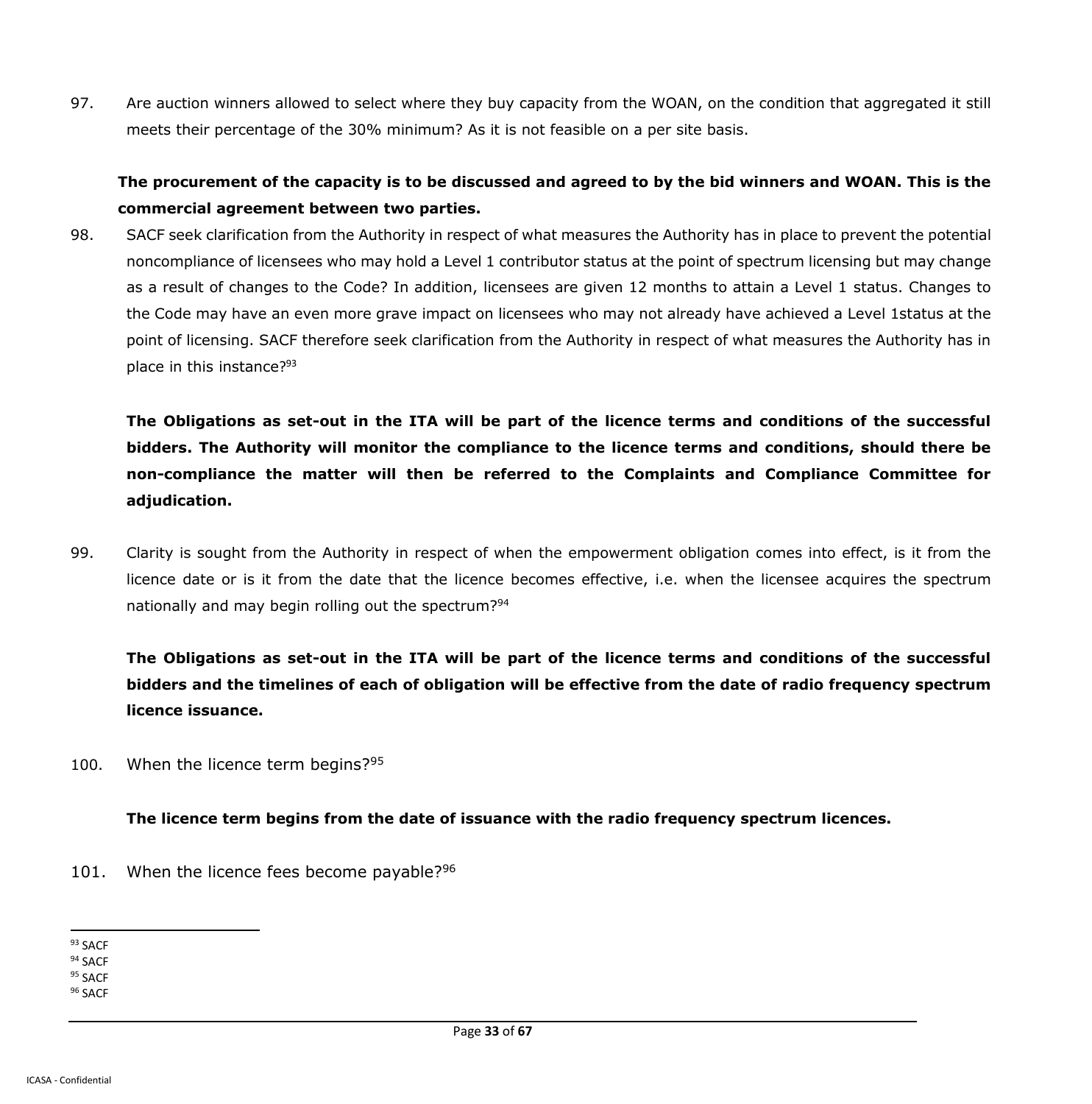97. Are auction winners allowed to select where they buy capacity from the WOAN, on the condition that aggregated it still meets their percentage of the 30% minimum? As it is not feasible on a per site basis.

## **The procurement of the capacity is to be discussed and agreed to by the bid winners and WOAN. This is the commercial agreement between two parties.**

98. SACF seek clarification from the Authority in respect of what measures the Authority has in place to prevent the potential noncompliance of licensees who may hold a Level 1 contributor status at the point of spectrum licensing but may change as a result of changes to the Code? In addition, licensees are given 12 months to attain a Level 1 status. Changes to the Code may have an even more grave impact on licensees who may not already have achieved a Level 1status at the point of licensing. SACF therefore seek clarification from the Authority in respect of what measures the Authority has in place in this instance?<sup>93</sup>

**The Obligations as set-out in the ITA will be part of the licence terms and conditions of the successful bidders. The Authority will monitor the compliance to the licence terms and conditions, should there be non-compliance the matter will then be referred to the Complaints and Compliance Committee for adjudication.**

99. Clarity is sought from the Authority in respect of when the empowerment obligation comes into effect, is it from the licence date or is it from the date that the licence becomes effective, i.e. when the licensee acquires the spectrum nationally and may begin rolling out the spectrum?<sup>94</sup>

**The Obligations as set-out in the ITA will be part of the licence terms and conditions of the successful bidders and the timelines of each of obligation will be effective from the date of radio frequency spectrum licence issuance.**

100. When the licence term begins?<sup>95</sup>

**The licence term begins from the date of issuance with the radio frequency spectrum licences.**

- 101. When the licence fees become payable? $96$
- $\overline{a}$ <sup>93</sup> SACF

<sup>94</sup> SACF

<sup>95</sup> SACF

<sup>96</sup> SACF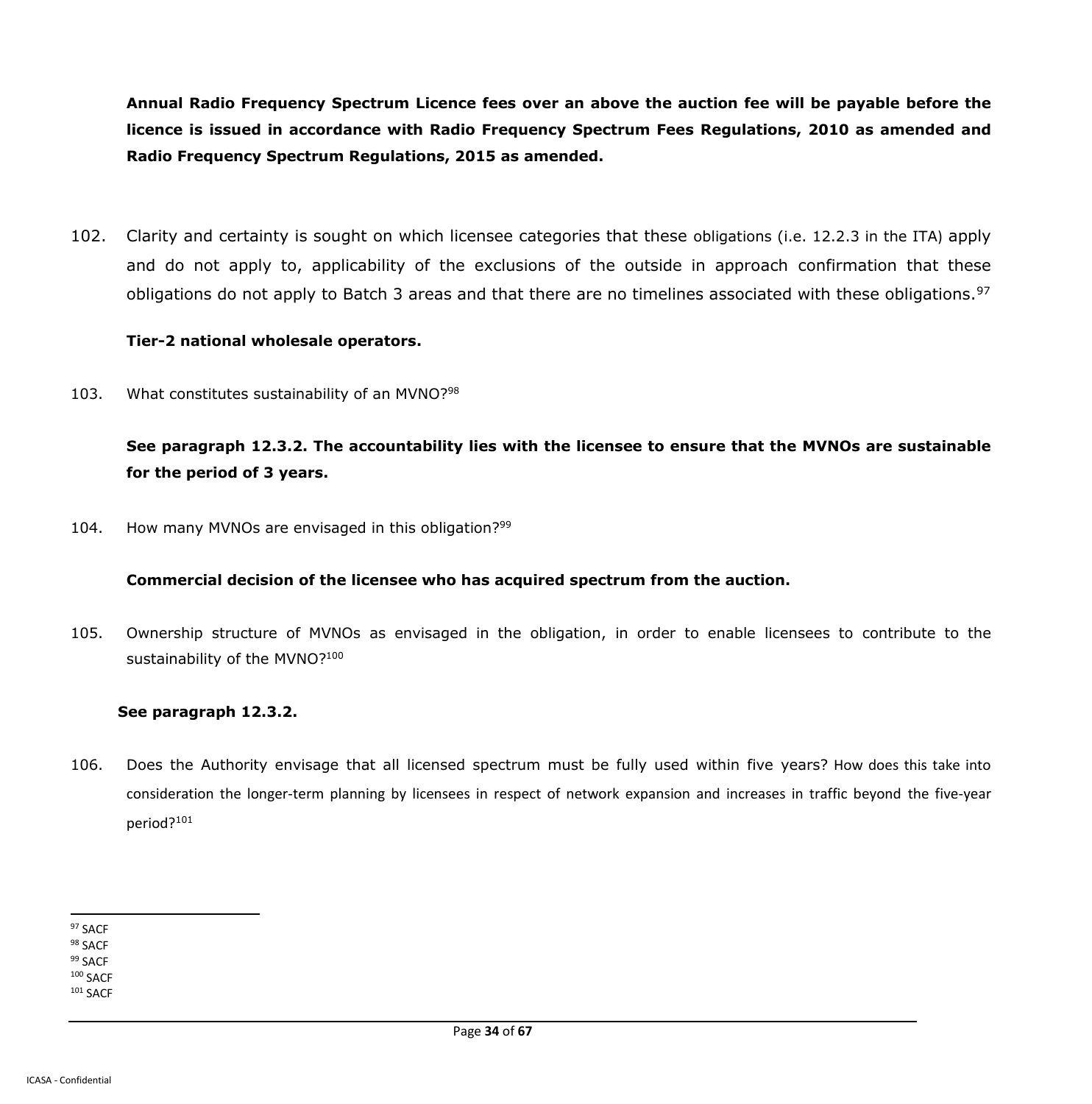**Annual Radio Frequency Spectrum Licence fees over an above the auction fee will be payable before the licence is issued in accordance with Radio Frequency Spectrum Fees Regulations, 2010 as amended and Radio Frequency Spectrum Regulations, 2015 as amended.**

102. Clarity and certainty is sought on which licensee categories that these obligations (i.e. 12.2.3 in the ITA) apply and do not apply to, applicability of the exclusions of the outside in approach confirmation that these obligations do not apply to Batch 3 areas and that there are no timelines associated with these obligations.<sup>97</sup>

#### **Tier-2 national wholesale operators.**

103. What constitutes sustainability of an MVNO?<sup>98</sup>

## **See paragraph 12.3.2. The accountability lies with the licensee to ensure that the MVNOs are sustainable for the period of 3 years.**

104. How many MVNOs are envisaged in this obligation?<sup>99</sup>

### **Commercial decision of the licensee who has acquired spectrum from the auction.**

105. Ownership structure of MVNOs as envisaged in the obligation, in order to enable licensees to contribute to the sustainability of the MVNO?<sup>100</sup>

### **See paragraph 12.3.2.**

106. Does the Authority envisage that all licensed spectrum must be fully used within five years? How does this take into consideration the longer-term planning by licensees in respect of network expansion and increases in traffic beyond the five-year period?<sup>101</sup>

 $\overline{a}$ <sup>97</sup> SACF

<sup>98</sup> SACF 99 SACF

<sup>100</sup> SACF

<sup>101</sup> SACF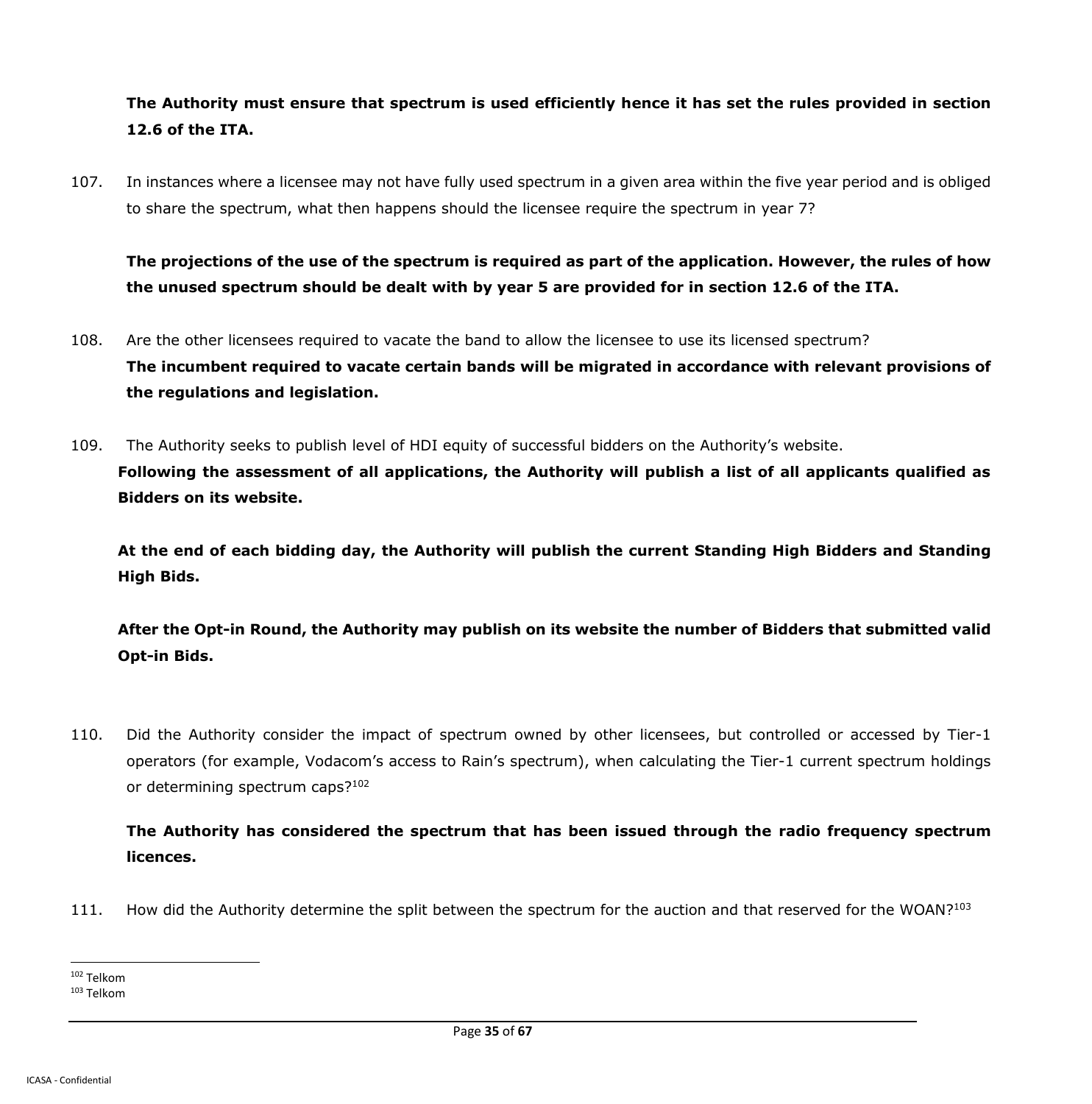# **The Authority must ensure that spectrum is used efficiently hence it has set the rules provided in section 12.6 of the ITA.**

107. In instances where a licensee may not have fully used spectrum in a given area within the five year period and is obliged to share the spectrum, what then happens should the licensee require the spectrum in year 7?

**The projections of the use of the spectrum is required as part of the application. However, the rules of how the unused spectrum should be dealt with by year 5 are provided for in section 12.6 of the ITA.**

- 108. Are the other licensees required to vacate the band to allow the licensee to use its licensed spectrum? **The incumbent required to vacate certain bands will be migrated in accordance with relevant provisions of the regulations and legislation.**
- 109. The Authority seeks to publish level of HDI equity of successful bidders on the Authority's website. **Following the assessment of all applications, the Authority will publish a list of all applicants qualified as Bidders on its website.**

**At the end of each bidding day, the Authority will publish the current Standing High Bidders and Standing High Bids.**

**After the Opt-in Round, the Authority may publish on its website the number of Bidders that submitted valid Opt-in Bids.**

110. Did the Authority consider the impact of spectrum owned by other licensees, but controlled or accessed by Tier-1 operators (for example, Vodacom's access to Rain's spectrum), when calculating the Tier-1 current spectrum holdings or determining spectrum caps?<sup>102</sup>

**The Authority has considered the spectrum that has been issued through the radio frequency spectrum licences.**

111. How did the Authority determine the split between the spectrum for the auction and that reserved for the WOAN?<sup>103</sup>

<sup>102</sup> Telkom

<sup>103</sup> Telkom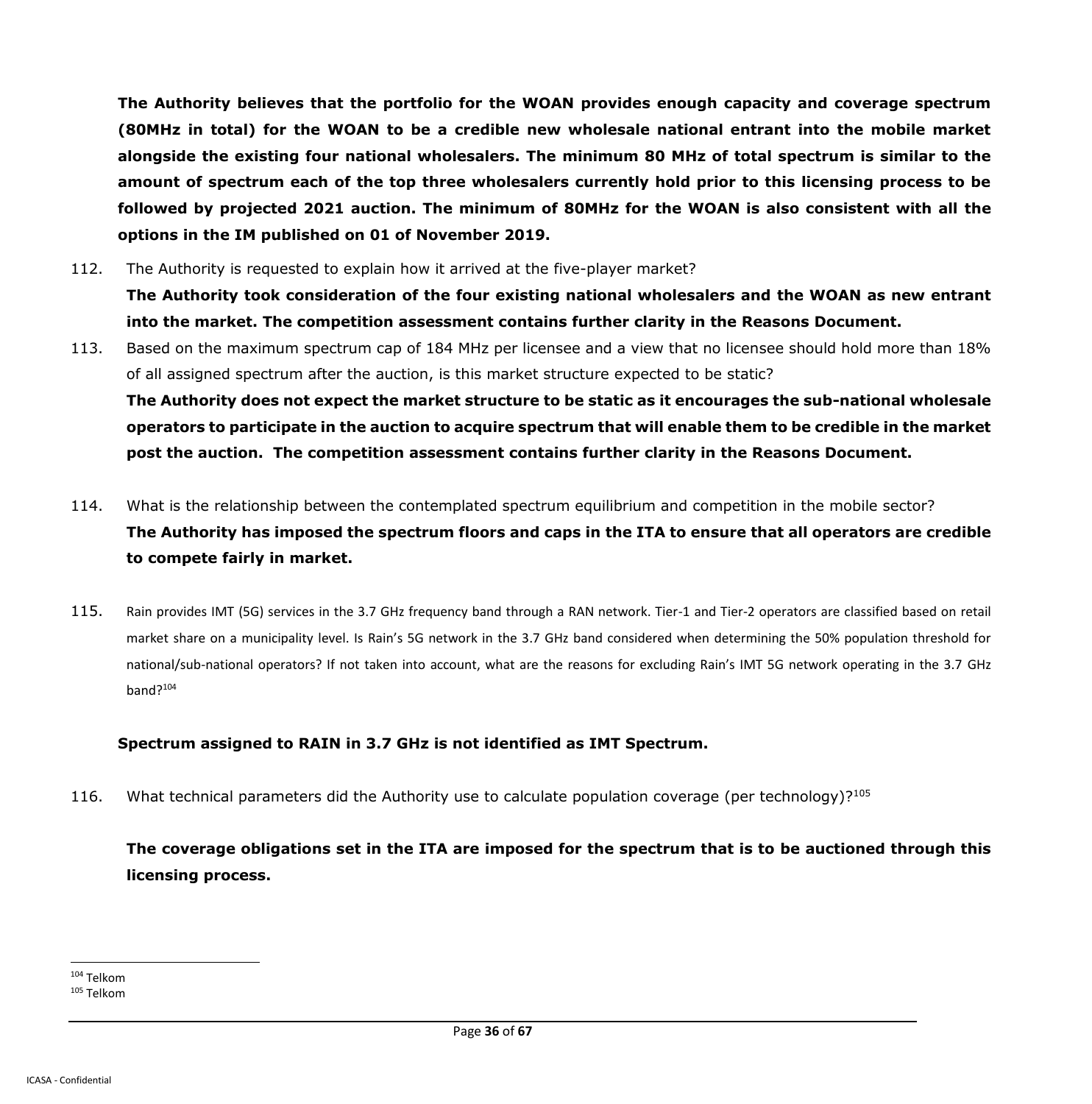**The Authority believes that the portfolio for the WOAN provides enough capacity and coverage spectrum (80MHz in total) for the WOAN to be a credible new wholesale national entrant into the mobile market alongside the existing four national wholesalers. The minimum 80 MHz of total spectrum is similar to the amount of spectrum each of the top three wholesalers currently hold prior to this licensing process to be followed by projected 2021 auction. The minimum of 80MHz for the WOAN is also consistent with all the options in the IM published on 01 of November 2019.** 

- 112. The Authority is requested to explain how it arrived at the five-player market? **The Authority took consideration of the four existing national wholesalers and the WOAN as new entrant into the market. The competition assessment contains further clarity in the Reasons Document.**
- 113. Based on the maximum spectrum cap of 184 MHz per licensee and a view that no licensee should hold more than 18% of all assigned spectrum after the auction, is this market structure expected to be static? **The Authority does not expect the market structure to be static as it encourages the sub-national wholesale operators to participate in the auction to acquire spectrum that will enable them to be credible in the market post the auction. The competition assessment contains further clarity in the Reasons Document.**
- 114. What is the relationship between the contemplated spectrum equilibrium and competition in the mobile sector? **The Authority has imposed the spectrum floors and caps in the ITA to ensure that all operators are credible to compete fairly in market.**
- 115. Rain provides IMT (5G) services in the 3.7 GHz frequency band through a RAN network. Tier-1 and Tier-2 operators are classified based on retail market share on a municipality level. Is Rain's 5G network in the 3.7 GHz band considered when determining the 50% population threshold for national/sub-national operators? If not taken into account, what are the reasons for excluding Rain's IMT 5G network operating in the 3.7 GHz band?<sup>104</sup>

#### **Spectrum assigned to RAIN in 3.7 GHz is not identified as IMT Spectrum.**

116. What technical parameters did the Authority use to calculate population coverage (per technology)?<sup>105</sup>

**The coverage obligations set in the ITA are imposed for the spectrum that is to be auctioned through this licensing process.**

<sup>104</sup> Telkom

<sup>105</sup> Telkom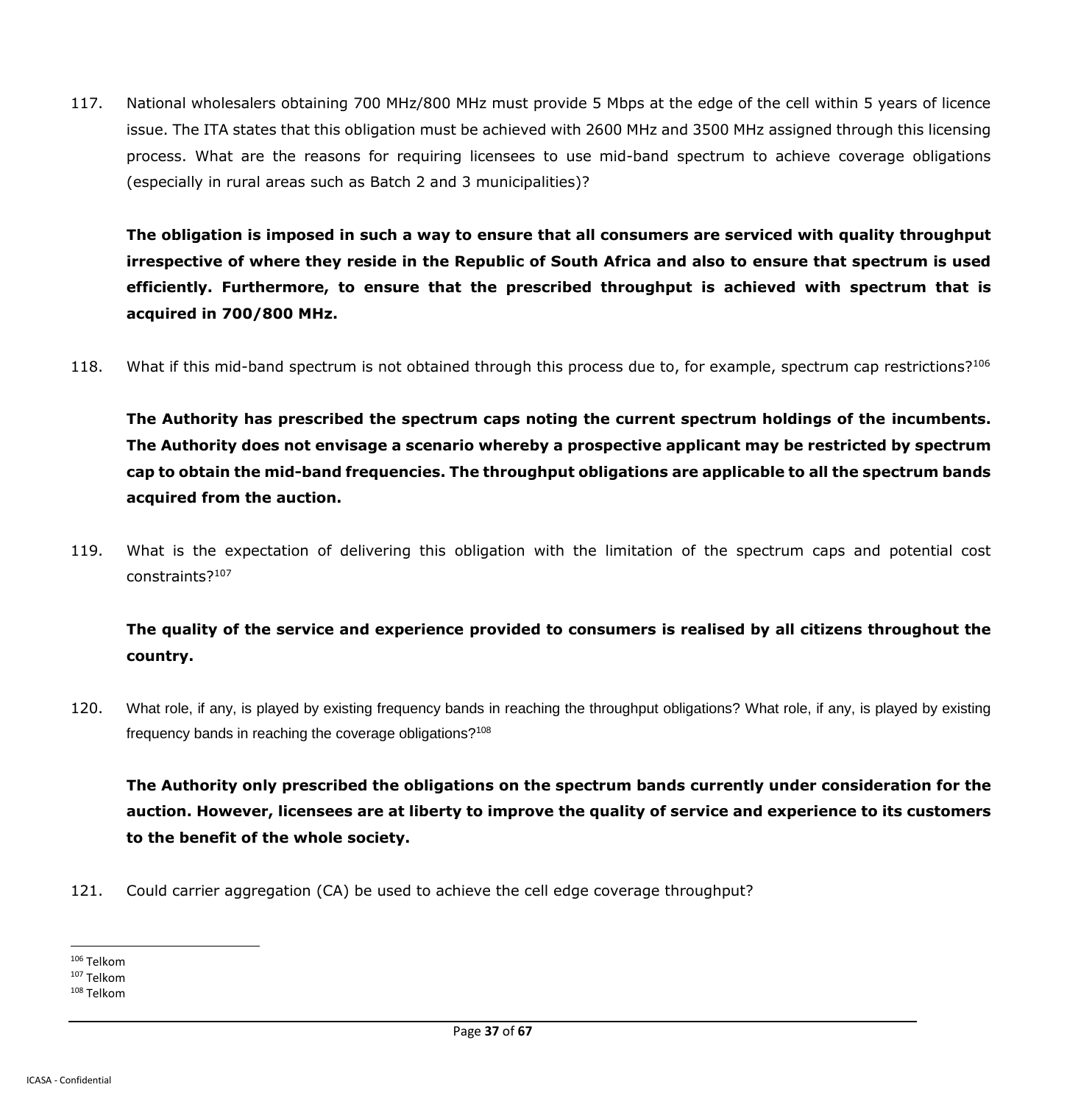117. National wholesalers obtaining 700 MHz/800 MHz must provide 5 Mbps at the edge of the cell within 5 years of licence issue. The ITA states that this obligation must be achieved with 2600 MHz and 3500 MHz assigned through this licensing process. What are the reasons for requiring licensees to use mid-band spectrum to achieve coverage obligations (especially in rural areas such as Batch 2 and 3 municipalities)?

**The obligation is imposed in such a way to ensure that all consumers are serviced with quality throughput irrespective of where they reside in the Republic of South Africa and also to ensure that spectrum is used efficiently. Furthermore, to ensure that the prescribed throughput is achieved with spectrum that is acquired in 700/800 MHz.**

118. What if this mid-band spectrum is not obtained through this process due to, for example, spectrum cap restrictions?<sup>106</sup>

**The Authority has prescribed the spectrum caps noting the current spectrum holdings of the incumbents. The Authority does not envisage a scenario whereby a prospective applicant may be restricted by spectrum cap to obtain the mid-band frequencies. The throughput obligations are applicable to all the spectrum bands acquired from the auction.**

119. What is the expectation of delivering this obligation with the limitation of the spectrum caps and potential cost constraints?<sup>107</sup>

# **The quality of the service and experience provided to consumers is realised by all citizens throughout the country.**

120. What role, if any, is played by existing frequency bands in reaching the throughput obligations? What role, if any, is played by existing frequency bands in reaching the coverage obligations?<sup>108</sup>

**The Authority only prescribed the obligations on the spectrum bands currently under consideration for the auction. However, licensees are at liberty to improve the quality of service and experience to its customers to the benefit of the whole society.**

121. Could carrier aggregation (CA) be used to achieve the cell edge coverage throughput?

 $\overline{a}$ <sup>106</sup> Telkom

<sup>107</sup> Telkom

<sup>108</sup> Telkom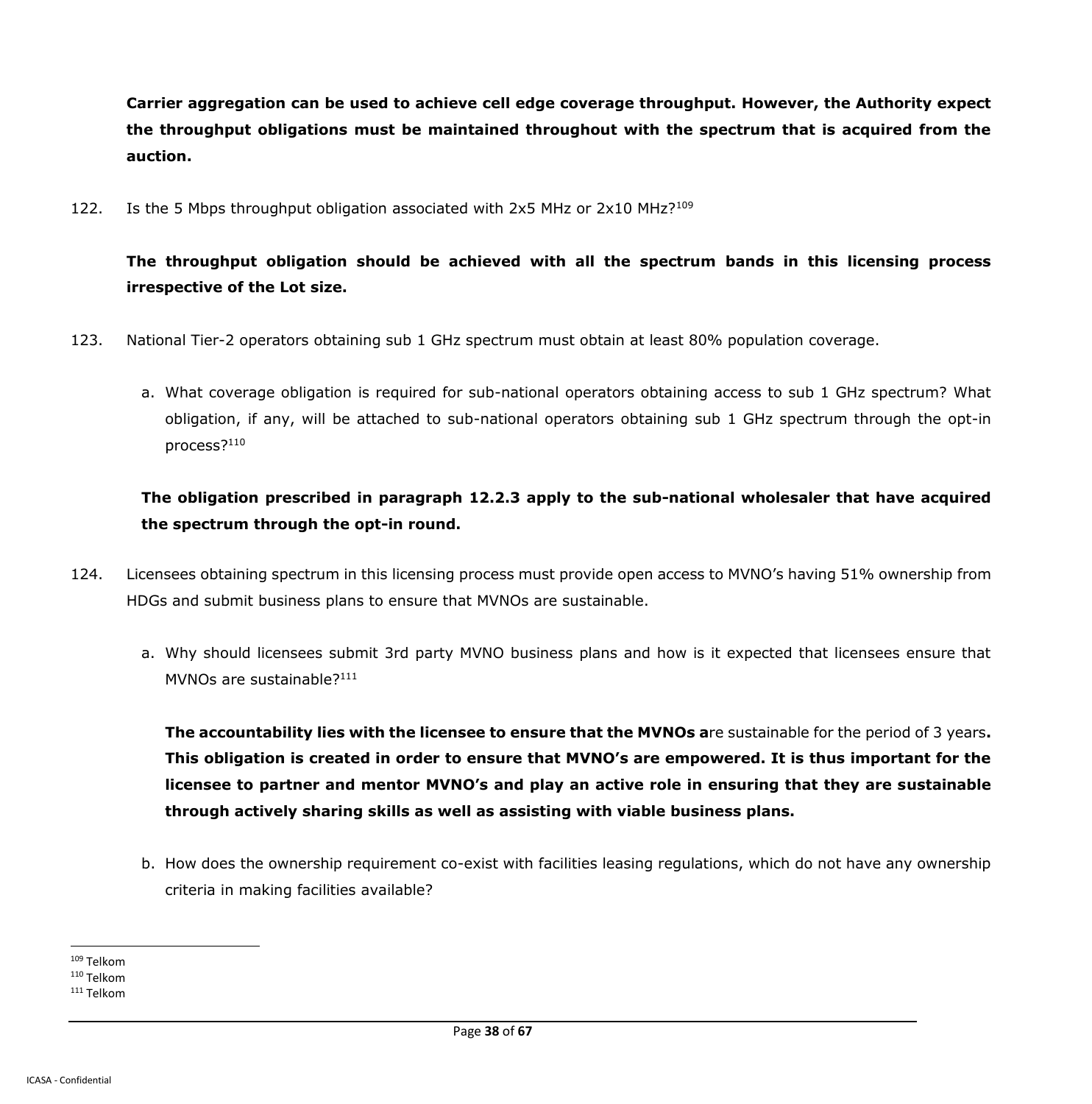**Carrier aggregation can be used to achieve cell edge coverage throughput. However, the Authority expect the throughput obligations must be maintained throughout with the spectrum that is acquired from the auction.**

122. Is the 5 Mbps throughput obligation associated with 2x5 MHz or 2x10 MHz?<sup>109</sup>

# **The throughput obligation should be achieved with all the spectrum bands in this licensing process irrespective of the Lot size.**

- 123. National Tier-2 operators obtaining sub 1 GHz spectrum must obtain at least 80% population coverage.
	- a. What coverage obligation is required for sub-national operators obtaining access to sub 1 GHz spectrum? What obligation, if any, will be attached to sub-national operators obtaining sub 1 GHz spectrum through the opt-in process?<sup>110</sup>

**The obligation prescribed in paragraph 12.2.3 apply to the sub-national wholesaler that have acquired the spectrum through the opt-in round.**

- 124. Licensees obtaining spectrum in this licensing process must provide open access to MVNO's having 51% ownership from HDGs and submit business plans to ensure that MVNOs are sustainable.
	- a. Why should licensees submit 3rd party MVNO business plans and how is it expected that licensees ensure that MVNOs are sustainable?<sup>111</sup>

**The accountability lies with the licensee to ensure that the MVNOs a**re sustainable for the period of 3 years**. This obligation is created in order to ensure that MVNO's are empowered. It is thus important for the licensee to partner and mentor MVNO's and play an active role in ensuring that they are sustainable through actively sharing skills as well as assisting with viable business plans.**

b. How does the ownership requirement co-exist with facilities leasing regulations, which do not have any ownership criteria in making facilities available?

 $\overline{a}$ <sup>109</sup> Telkom

<sup>110</sup> Telkom

<sup>111</sup> Telkom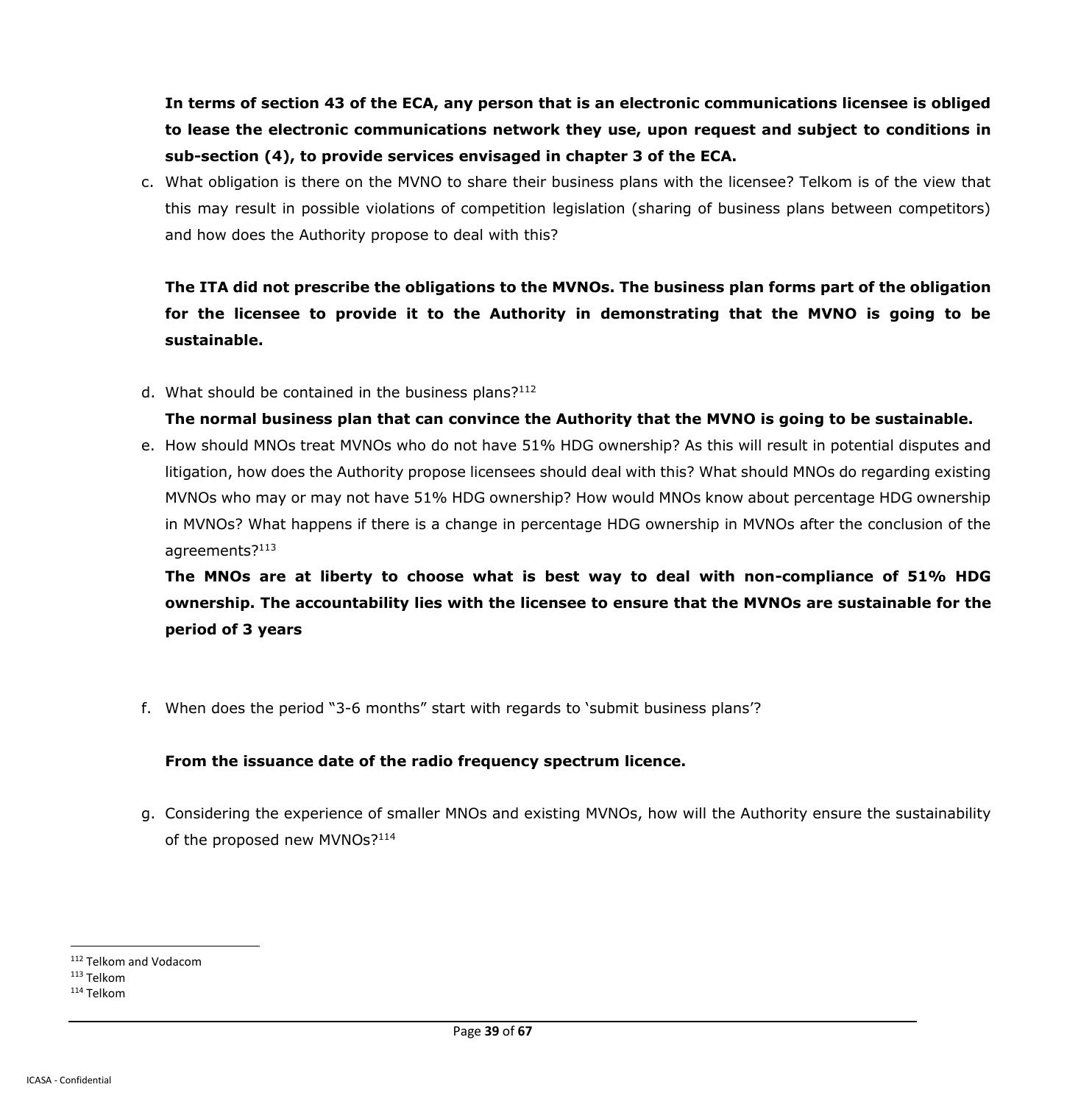**In terms of section 43 of the ECA, any person that is an electronic communications licensee is obliged to lease the electronic communications network they use, upon request and subject to conditions in sub-section (4), to provide services envisaged in chapter 3 of the ECA.**

c. What obligation is there on the MVNO to share their business plans with the licensee? Telkom is of the view that this may result in possible violations of competition legislation (sharing of business plans between competitors) and how does the Authority propose to deal with this?

# **The ITA did not prescribe the obligations to the MVNOs. The business plan forms part of the obligation for the licensee to provide it to the Authority in demonstrating that the MVNO is going to be sustainable.**

d. What should be contained in the business plans? $112$ 

## **The normal business plan that can convince the Authority that the MVNO is going to be sustainable.**

e. How should MNOs treat MVNOs who do not have 51% HDG ownership? As this will result in potential disputes and litigation, how does the Authority propose licensees should deal with this? What should MNOs do regarding existing MVNOs who may or may not have 51% HDG ownership? How would MNOs know about percentage HDG ownership in MVNOs? What happens if there is a change in percentage HDG ownership in MVNOs after the conclusion of the agreements?<sup>113</sup>

**The MNOs are at liberty to choose what is best way to deal with non-compliance of 51% HDG ownership. The accountability lies with the licensee to ensure that the MVNOs are sustainable for the period of 3 years**

f. When does the period "3-6 months" start with regards to 'submit business plans'?

### **From the issuance date of the radio frequency spectrum licence.**

g. Considering the experience of smaller MNOs and existing MVNOs, how will the Authority ensure the sustainability of the proposed new MVNOs?<sup>114</sup>

<sup>112</sup> Telkom and Vodacom

<sup>113</sup> Telkom

<sup>114</sup> Telkom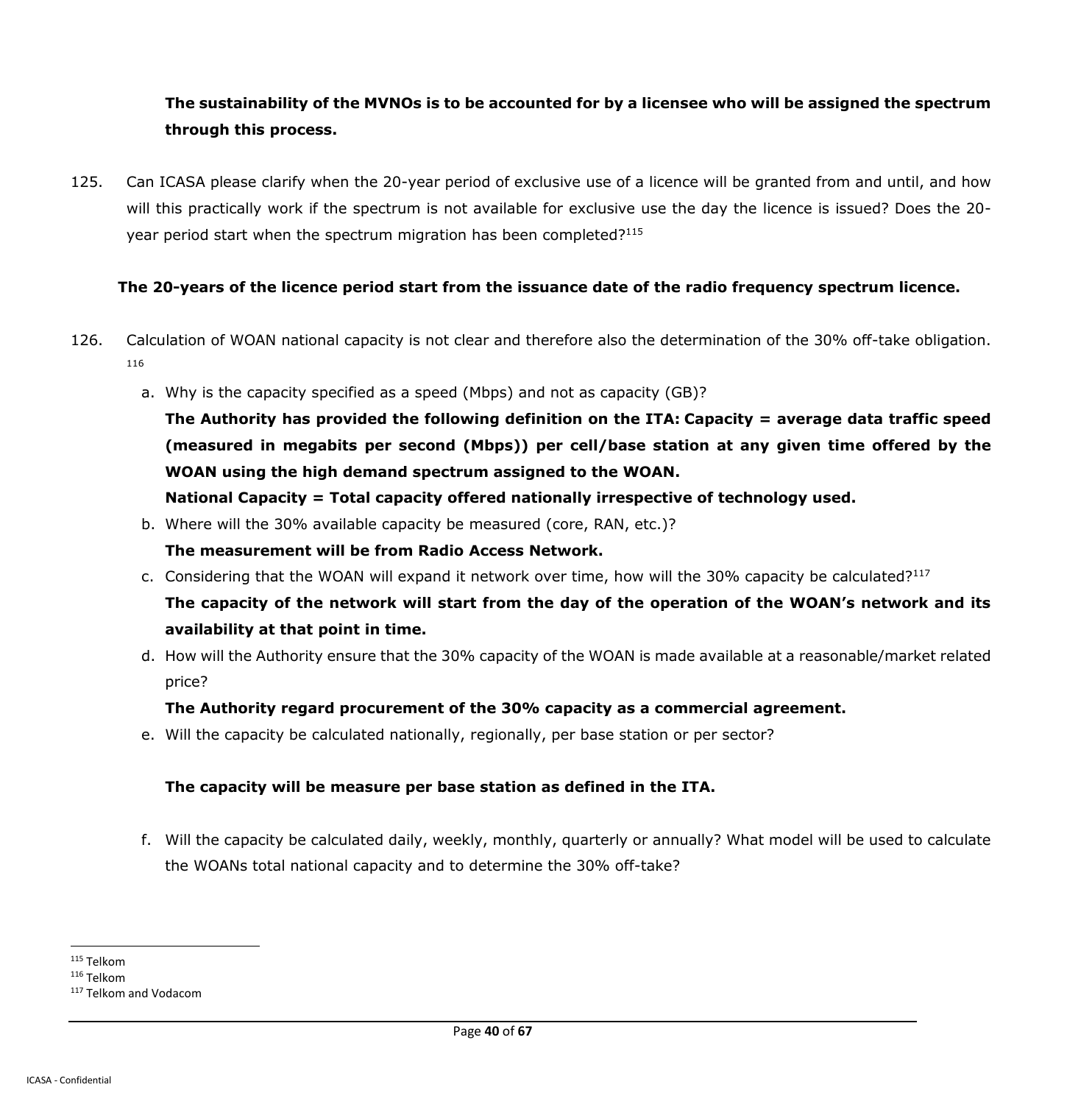## **The sustainability of the MVNOs is to be accounted for by a licensee who will be assigned the spectrum through this process.**

125. Can ICASA please clarify when the 20-year period of exclusive use of a licence will be granted from and until, and how will this practically work if the spectrum is not available for exclusive use the day the licence is issued? Does the 20 year period start when the spectrum migration has been completed?<sup>115</sup>

### **The 20-years of the licence period start from the issuance date of the radio frequency spectrum licence.**

- 126. Calculation of WOAN national capacity is not clear and therefore also the determination of the 30% off-take obligation. 116
	- a. Why is the capacity specified as a speed (Mbps) and not as capacity (GB)?

**The Authority has provided the following definition on the ITA: Capacity = average data traffic speed (measured in megabits per second (Mbps)) per cell/base station at any given time offered by the WOAN using the high demand spectrum assigned to the WOAN.**

**National Capacity = Total capacity offered nationally irrespective of technology used.** 

b. Where will the 30% available capacity be measured (core, RAN, etc.)?

## **The measurement will be from Radio Access Network.**

c. Considering that the WOAN will expand it network over time, how will the 30% capacity be calculated?<sup>117</sup>

**The capacity of the network will start from the day of the operation of the WOAN's network and its availability at that point in time.**

d. How will the Authority ensure that the 30% capacity of the WOAN is made available at a reasonable/market related price?

### **The Authority regard procurement of the 30% capacity as a commercial agreement.**

e. Will the capacity be calculated nationally, regionally, per base station or per sector?

### **The capacity will be measure per base station as defined in the ITA.**

f. Will the capacity be calculated daily, weekly, monthly, quarterly or annually? What model will be used to calculate the WOANs total national capacity and to determine the 30% off-take?

 $\overline{a}$ <sup>115</sup> Telkom

<sup>116</sup> Telkom

<sup>117</sup> Telkom and Vodacom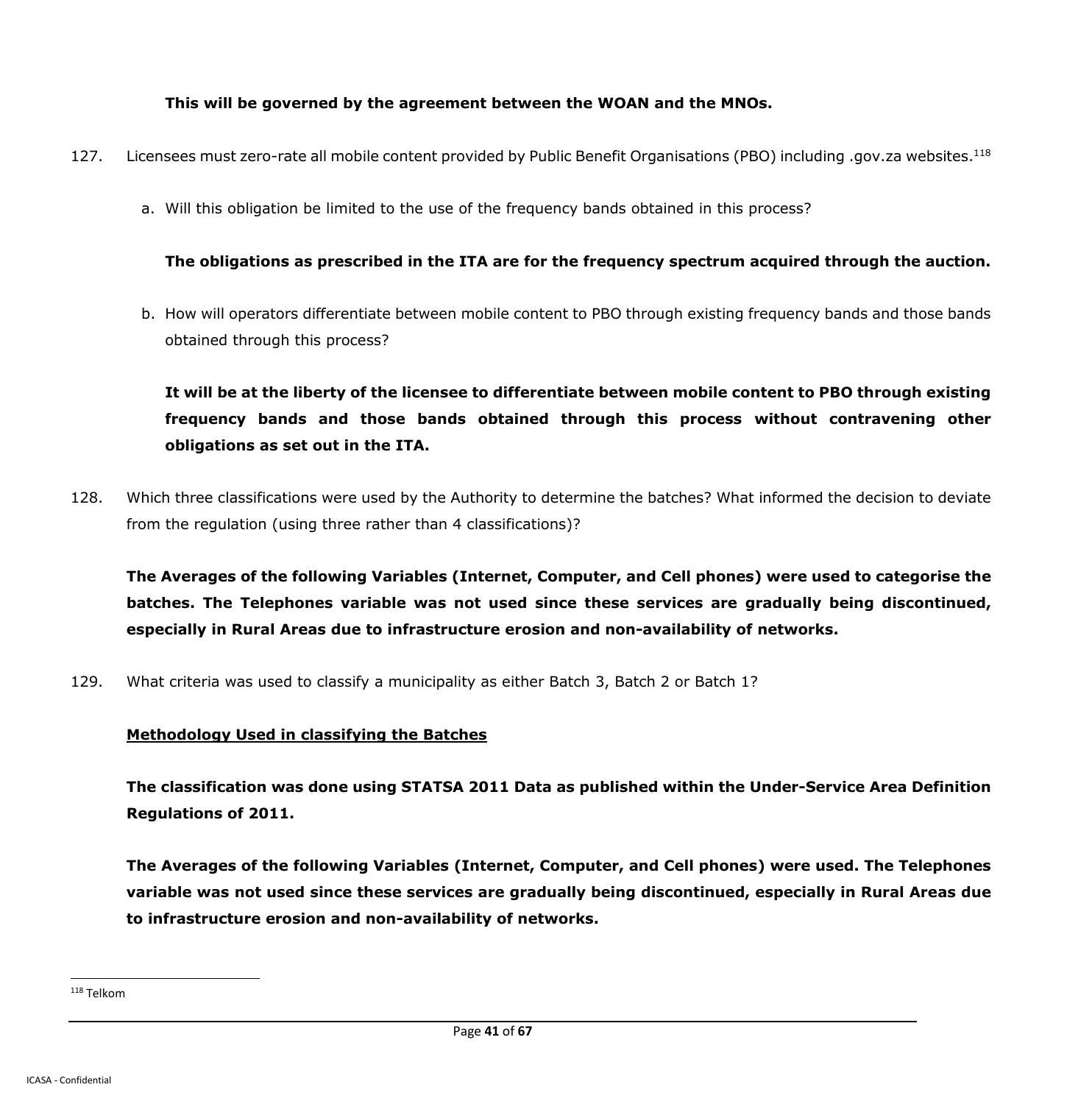## **This will be governed by the agreement between the WOAN and the MNOs.**

- 127. Licensees must zero-rate all mobile content provided by Public Benefit Organisations (PBO) including .gov.za websites.<sup>118</sup>
	- a. Will this obligation be limited to the use of the frequency bands obtained in this process?

## **The obligations as prescribed in the ITA are for the frequency spectrum acquired through the auction.**

b. How will operators differentiate between mobile content to PBO through existing frequency bands and those bands obtained through this process?

**It will be at the liberty of the licensee to differentiate between mobile content to PBO through existing frequency bands and those bands obtained through this process without contravening other obligations as set out in the ITA.**

128. Which three classifications were used by the Authority to determine the batches? What informed the decision to deviate from the regulation (using three rather than 4 classifications)?

**The Averages of the following Variables (Internet, Computer, and Cell phones) were used to categorise the batches. The Telephones variable was not used since these services are gradually being discontinued, especially in Rural Areas due to infrastructure erosion and non-availability of networks.**

129. What criteria was used to classify a municipality as either Batch 3, Batch 2 or Batch 1?

## **Methodology Used in classifying the Batches**

**The classification was done using STATSA 2011 Data as published within the Under-Service Area Definition Regulations of 2011.**

**The Averages of the following Variables (Internet, Computer, and Cell phones) were used. The Telephones variable was not used since these services are gradually being discontinued, especially in Rural Areas due to infrastructure erosion and non-availability of networks.**

<sup>118</sup> Telkom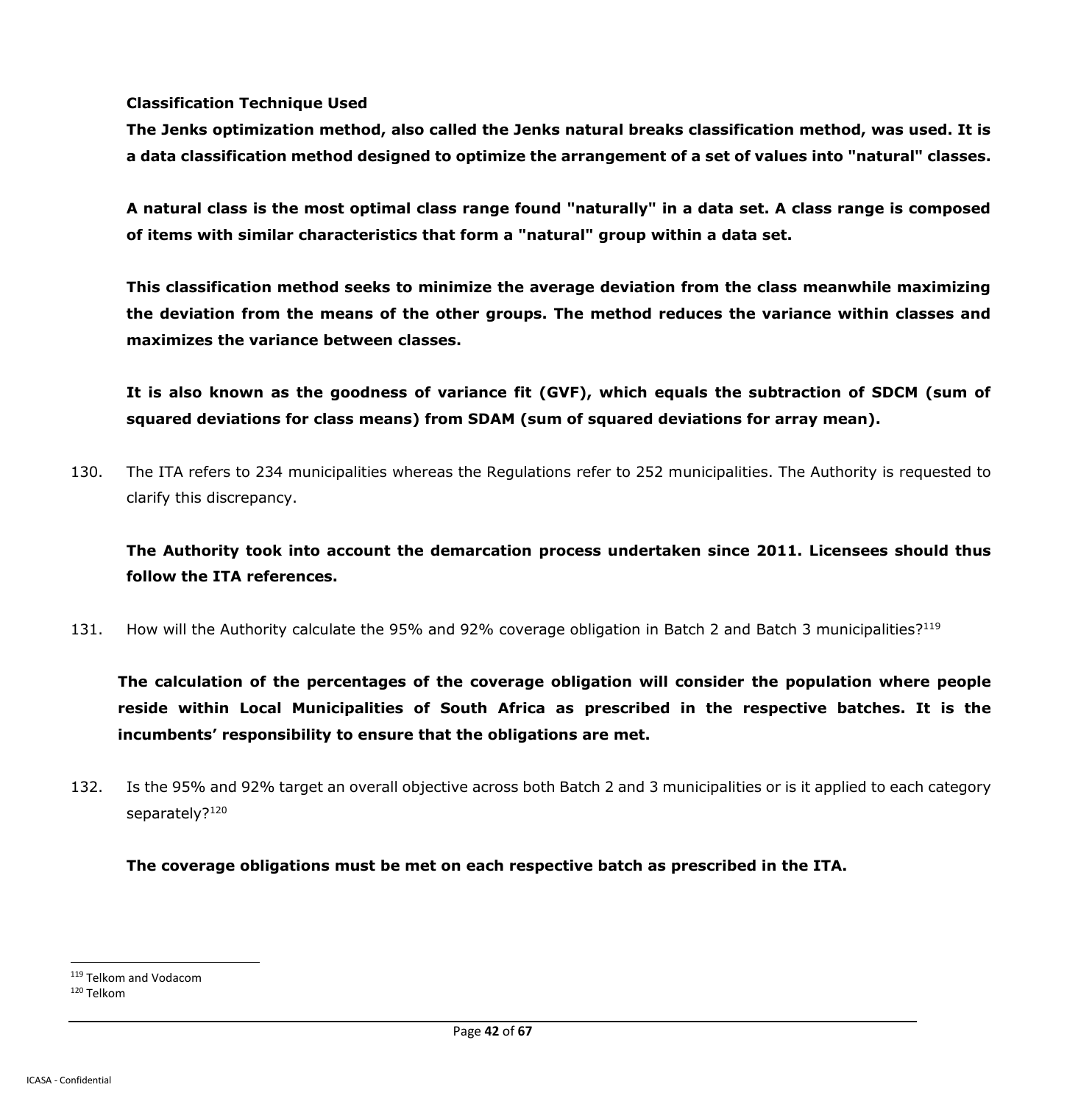**Classification Technique Used**

**The Jenks optimization method, also called the Jenks natural breaks classification method, was used. It is a data classification method designed to optimize the arrangement of a set of values into "natural" classes.**

**A natural class is the most optimal class range found "naturally" in a data set. A class range is composed of items with similar characteristics that form a "natural" group within a data set.**

**This classification method seeks to minimize the average deviation from the class meanwhile maximizing the deviation from the means of the other groups. The method reduces the variance within classes and maximizes the variance between classes.**

**It is also known as the goodness of variance fit (GVF), which equals the subtraction of SDCM (sum of squared deviations for class means) from SDAM (sum of squared deviations for array mean).**

130. The ITA refers to 234 municipalities whereas the Regulations refer to 252 municipalities. The Authority is requested to clarify this discrepancy.

**The Authority took into account the demarcation process undertaken since 2011. Licensees should thus follow the ITA references.**

131. How will the Authority calculate the 95% and 92% coverage obligation in Batch 2 and Batch 3 municipalities?<sup>119</sup>

**The calculation of the percentages of the coverage obligation will consider the population where people reside within Local Municipalities of South Africa as prescribed in the respective batches. It is the incumbents' responsibility to ensure that the obligations are met.**

132. Is the 95% and 92% target an overall objective across both Batch 2 and 3 municipalities or is it applied to each category separately?<sup>120</sup>

**The coverage obligations must be met on each respective batch as prescribed in the ITA.**

<sup>119</sup> Telkom and Vodacom

<sup>120</sup> Telkom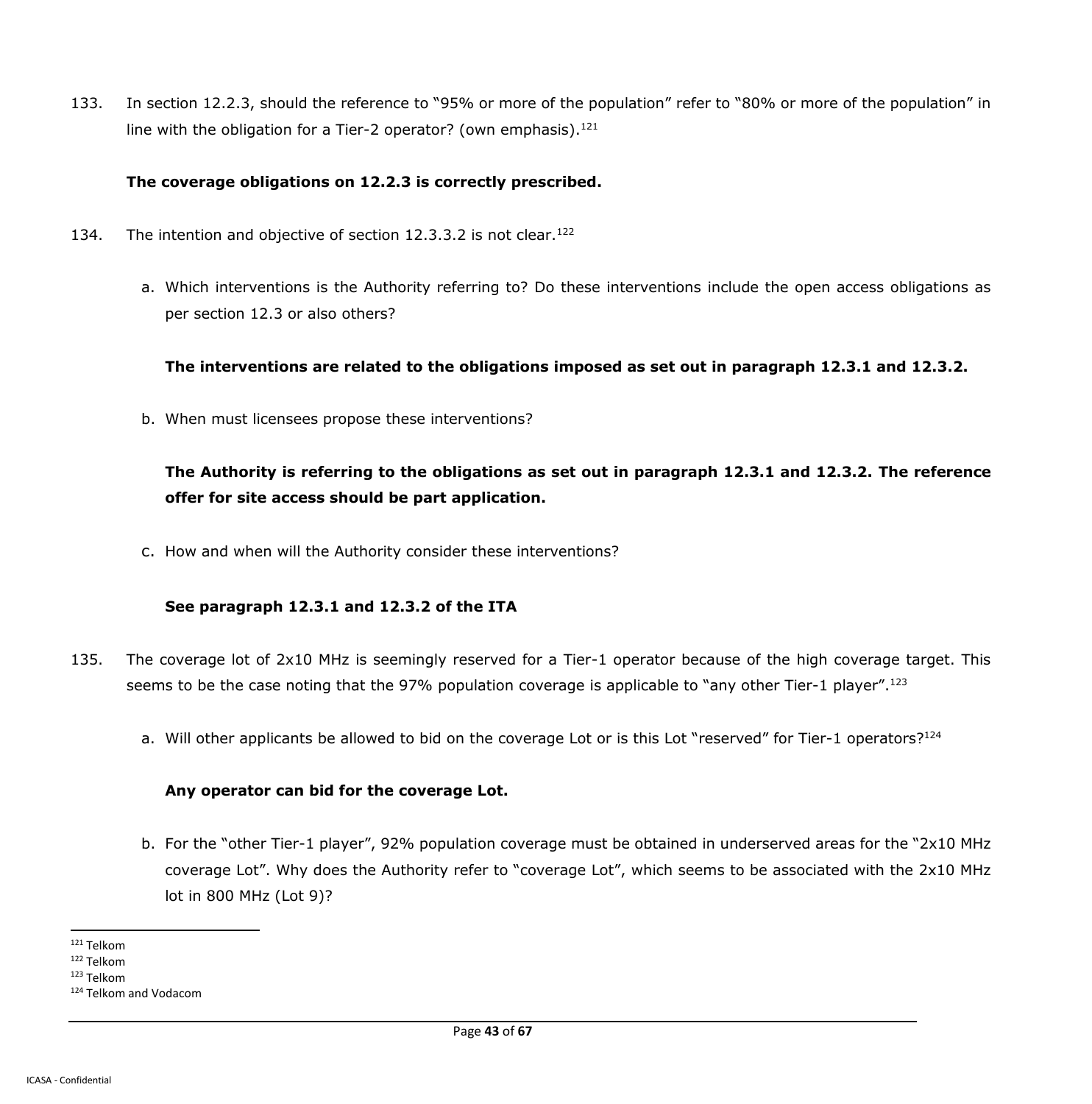133. In section 12.2.3, should the reference to "95% or more of the population" refer to "80% or more of the population" in line with the obligation for a Tier-2 operator? (own emphasis). $121$ 

### **The coverage obligations on 12.2.3 is correctly prescribed.**

- 134. The intention and objective of section 12.3.3.2 is not clear.<sup>122</sup>
	- a. Which interventions is the Authority referring to? Do these interventions include the open access obligations as per section 12.3 or also others?

**The interventions are related to the obligations imposed as set out in paragraph 12.3.1 and 12.3.2.**

b. When must licensees propose these interventions?

**The Authority is referring to the obligations as set out in paragraph 12.3.1 and 12.3.2. The reference offer for site access should be part application.**

c. How and when will the Authority consider these interventions?

#### **See paragraph 12.3.1 and 12.3.2 of the ITA**

- 135. The coverage lot of 2x10 MHz is seemingly reserved for a Tier-1 operator because of the high coverage target. This seems to be the case noting that the 97% population coverage is applicable to "any other Tier-1 player".<sup>123</sup>
	- a. Will other applicants be allowed to bid on the coverage Lot or is this Lot "reserved" for Tier-1 operators?<sup>124</sup>

#### **Any operator can bid for the coverage Lot.**

b. For the "other Tier-1 player", 92% population coverage must be obtained in underserved areas for the "2x10 MHz coverage Lot". Why does the Authority refer to "coverage Lot", which seems to be associated with the 2x10 MHz lot in 800 MHz (Lot 9)?

 $\overline{a}$ <sup>121</sup> Telkom

<sup>122</sup> Telkom

<sup>123</sup> Telkom

<sup>124</sup> Telkom and Vodacom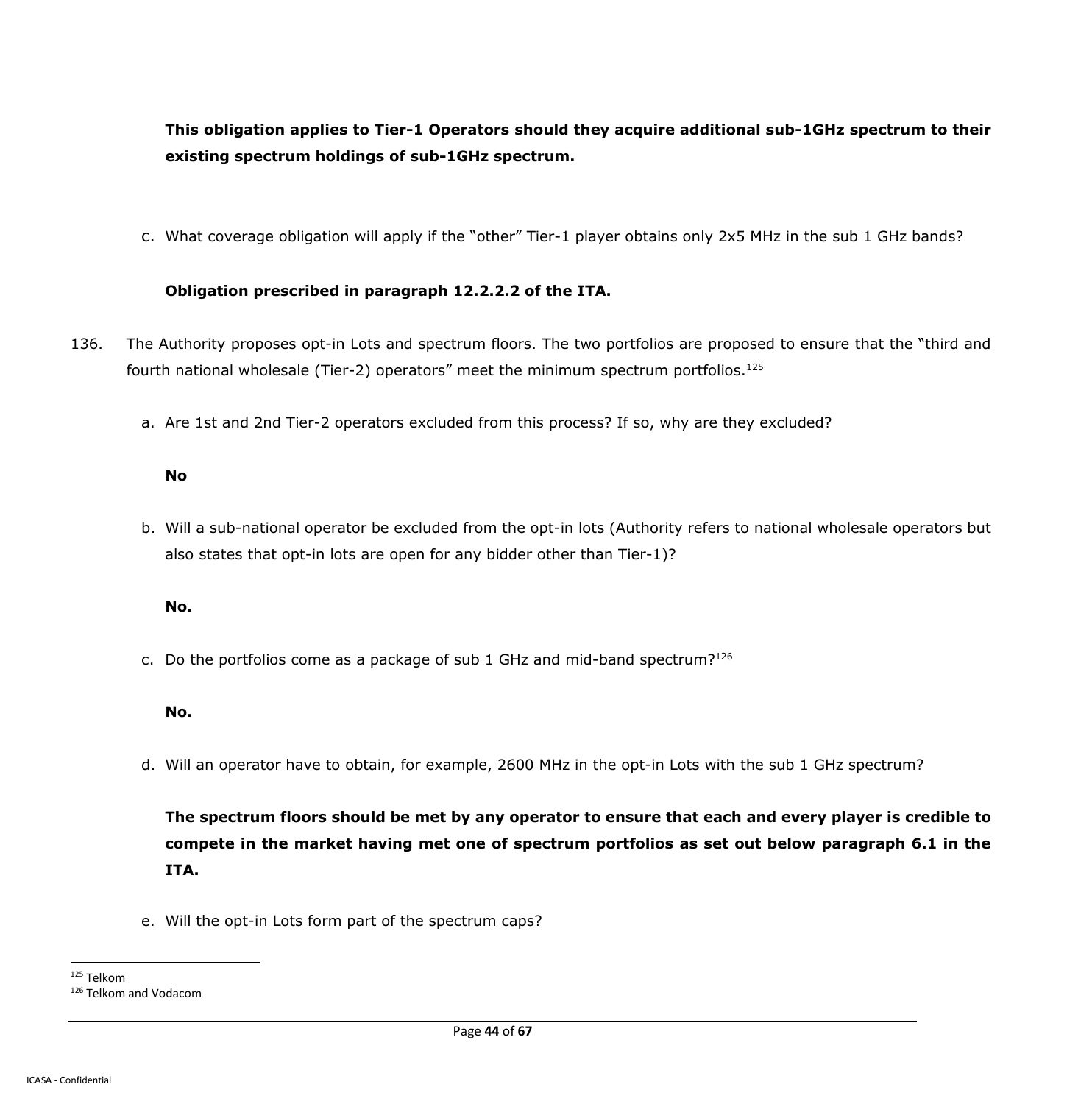# **This obligation applies to Tier-1 Operators should they acquire additional sub-1GHz spectrum to their existing spectrum holdings of sub-1GHz spectrum.**

c. What coverage obligation will apply if the "other" Tier-1 player obtains only 2x5 MHz in the sub 1 GHz bands?

#### **Obligation prescribed in paragraph 12.2.2.2 of the ITA.**

- 136. The Authority proposes opt-in Lots and spectrum floors. The two portfolios are proposed to ensure that the "third and fourth national wholesale (Tier-2) operators" meet the minimum spectrum portfolios.<sup>125</sup>
	- a. Are 1st and 2nd Tier-2 operators excluded from this process? If so, why are they excluded?

#### **No**

b. Will a sub-national operator be excluded from the opt-in lots (Authority refers to national wholesale operators but also states that opt-in lots are open for any bidder other than Tier-1)?

#### **No.**

c. Do the portfolios come as a package of sub 1 GHz and mid-band spectrum?<sup>126</sup>

#### **No.**

d. Will an operator have to obtain, for example, 2600 MHz in the opt-in Lots with the sub 1 GHz spectrum?

**The spectrum floors should be met by any operator to ensure that each and every player is credible to compete in the market having met one of spectrum portfolios as set out below paragraph 6.1 in the ITA.**

e. Will the opt-in Lots form part of the spectrum caps?

 $\overline{a}$ <sup>125</sup> Telkom

<sup>126</sup> Telkom and Vodacom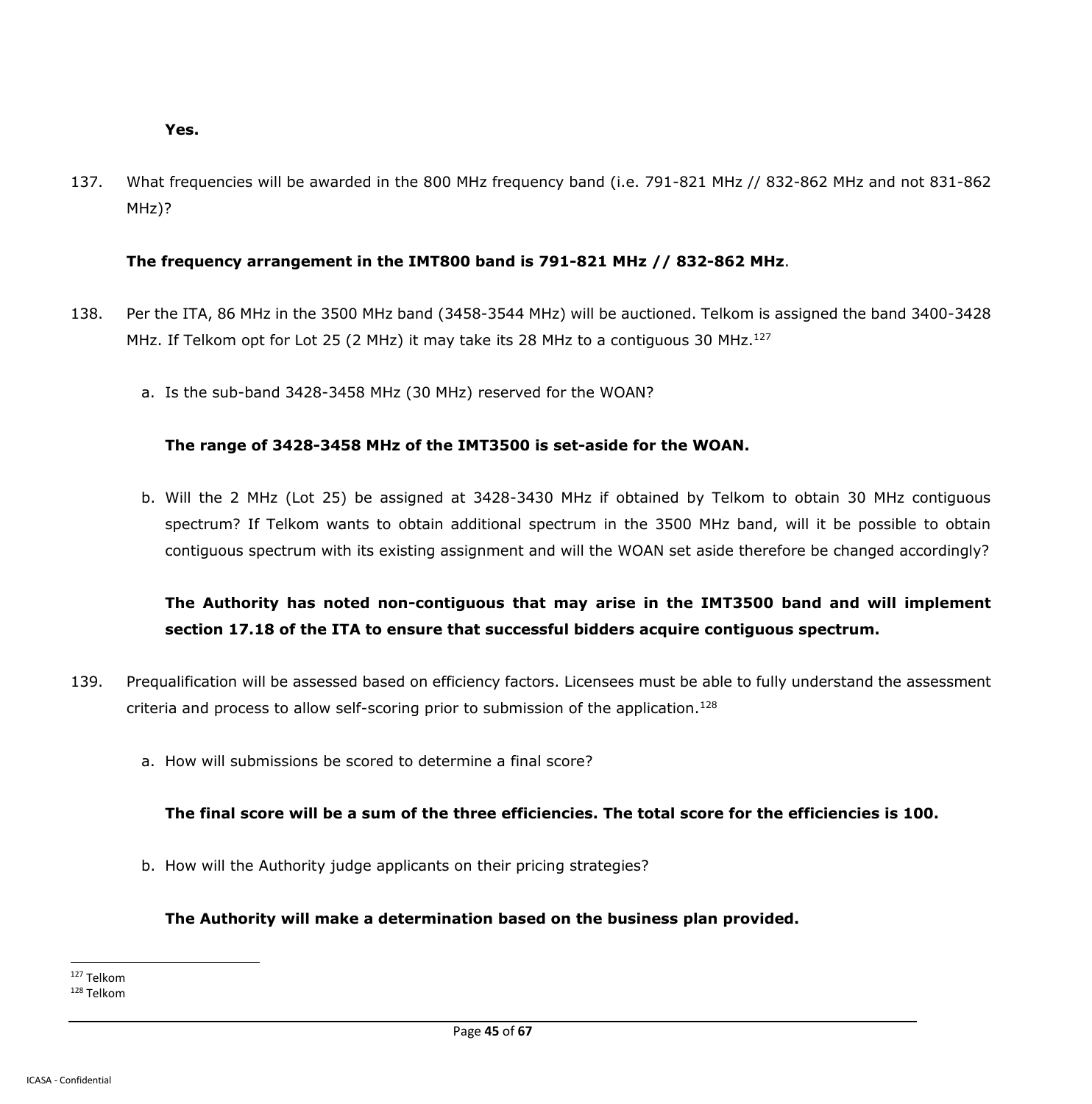#### **Yes.**

137. What frequencies will be awarded in the 800 MHz frequency band (i.e. 791-821 MHz // 832-862 MHz and not 831-862 MHz)?

#### **The frequency arrangement in the IMT800 band is 791-821 MHz // 832-862 MHz**.

- 138. Per the ITA, 86 MHz in the 3500 MHz band (3458-3544 MHz) will be auctioned. Telkom is assigned the band 3400-3428 MHz. If Telkom opt for Lot 25 (2 MHz) it may take its 28 MHz to a contiguous 30 MHz.<sup>127</sup>
	- a. Is the sub-band 3428-3458 MHz (30 MHz) reserved for the WOAN?

#### **The range of 3428-3458 MHz of the IMT3500 is set-aside for the WOAN.**

b. Will the 2 MHz (Lot 25) be assigned at 3428-3430 MHz if obtained by Telkom to obtain 30 MHz contiguous spectrum? If Telkom wants to obtain additional spectrum in the 3500 MHz band, will it be possible to obtain contiguous spectrum with its existing assignment and will the WOAN set aside therefore be changed accordingly?

# **The Authority has noted non-contiguous that may arise in the IMT3500 band and will implement section 17.18 of the ITA to ensure that successful bidders acquire contiguous spectrum.**

- 139. Prequalification will be assessed based on efficiency factors. Licensees must be able to fully understand the assessment criteria and process to allow self-scoring prior to submission of the application.<sup>128</sup>
	- a. How will submissions be scored to determine a final score?

## **The final score will be a sum of the three efficiencies. The total score for the efficiencies is 100.**

b. How will the Authority judge applicants on their pricing strategies?

### **The Authority will make a determination based on the business plan provided.**

<sup>127</sup> Telkom

<sup>128</sup> Telkom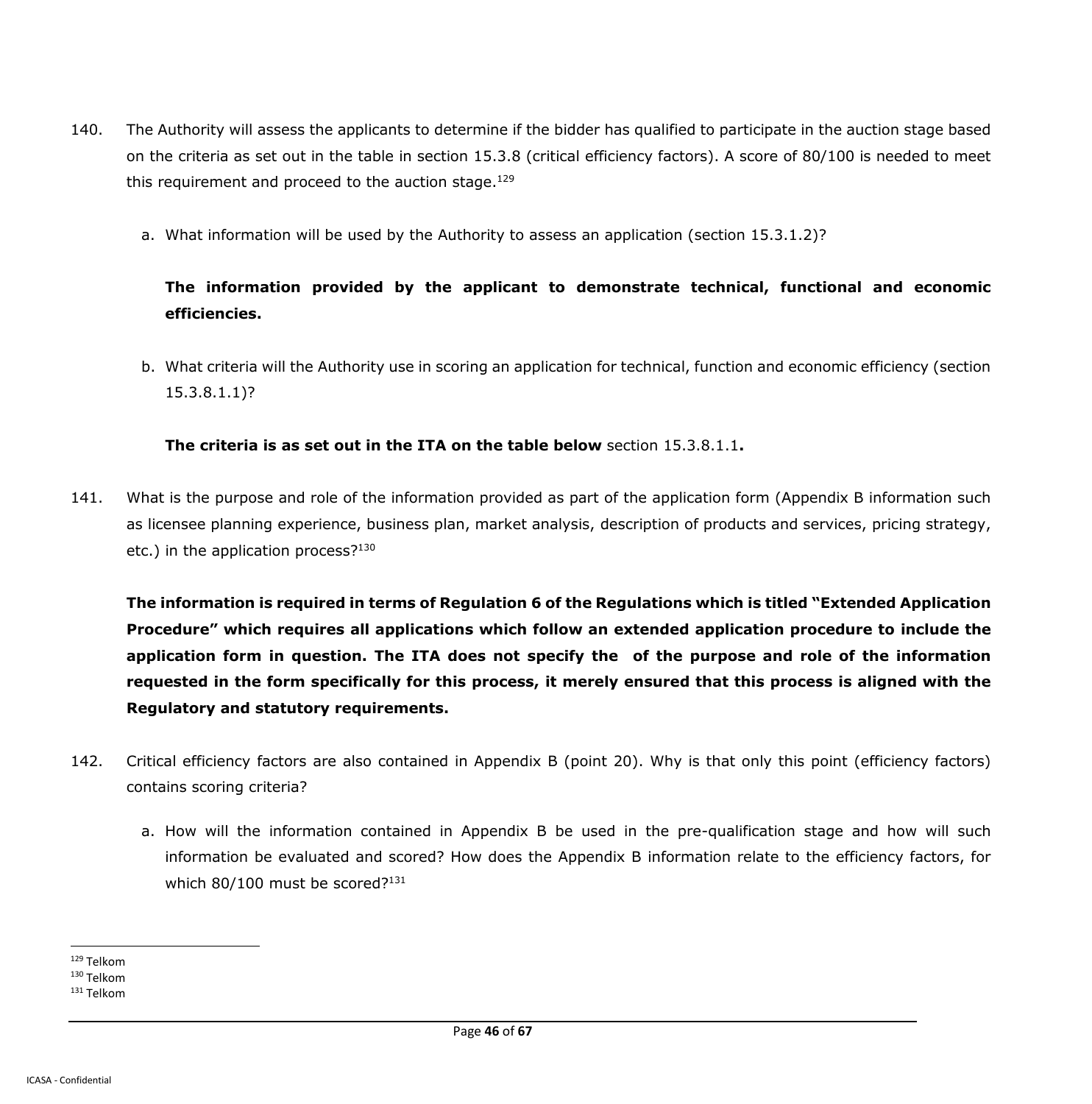- 140. The Authority will assess the applicants to determine if the bidder has qualified to participate in the auction stage based on the criteria as set out in the table in section 15.3.8 (critical efficiency factors). A score of 80/100 is needed to meet this requirement and proceed to the auction stage. $129$ 
	- a. What information will be used by the Authority to assess an application (section 15.3.1.2)?

# **The information provided by the applicant to demonstrate technical, functional and economic efficiencies.**

b. What criteria will the Authority use in scoring an application for technical, function and economic efficiency (section 15.3.8.1.1)?

**The criteria is as set out in the ITA on the table below** section 15.3.8.1.1**.**

141. What is the purpose and role of the information provided as part of the application form (Appendix B information such as licensee planning experience, business plan, market analysis, description of products and services, pricing strategy, etc.) in the application process? $130$ 

**The information is required in terms of Regulation 6 of the Regulations which is titled "Extended Application Procedure" which requires all applications which follow an extended application procedure to include the application form in question. The ITA does not specify the of the purpose and role of the information requested in the form specifically for this process, it merely ensured that this process is aligned with the Regulatory and statutory requirements.** 

- 142. Critical efficiency factors are also contained in Appendix B (point 20). Why is that only this point (efficiency factors) contains scoring criteria?
	- a. How will the information contained in Appendix B be used in the pre-qualification stage and how will such information be evaluated and scored? How does the Appendix B information relate to the efficiency factors, for which 80/100 must be scored?<sup>131</sup>

 $\overline{a}$ <sup>129</sup> Telkom

<sup>130</sup> Telkom

<sup>131</sup> Telkom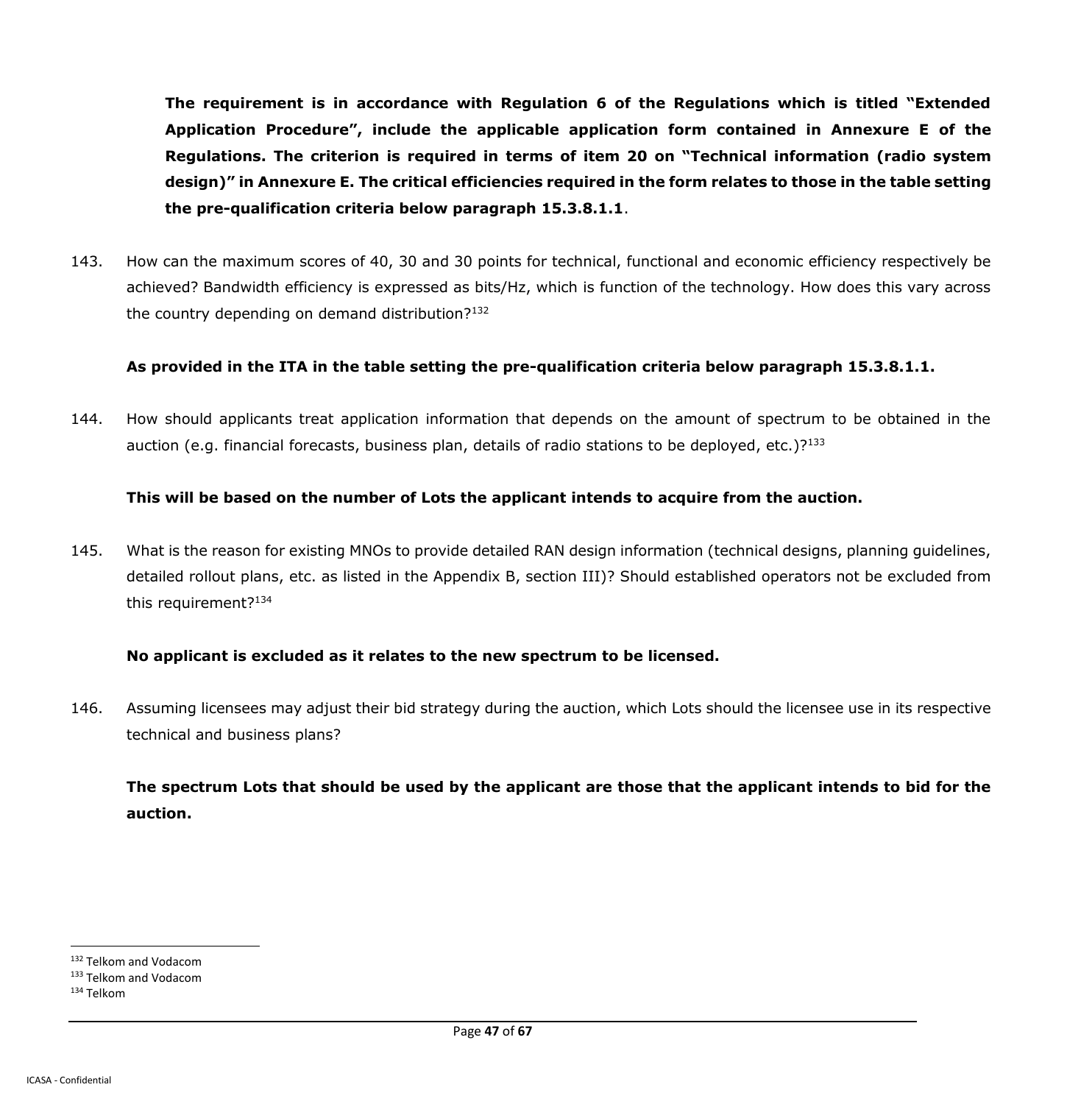**The requirement is in accordance with Regulation 6 of the Regulations which is titled "Extended Application Procedure", include the applicable application form contained in Annexure E of the Regulations. The criterion is required in terms of item 20 on "Technical information (radio system design)" in Annexure E. The critical efficiencies required in the form relates to those in the table setting the pre-qualification criteria below paragraph 15.3.8.1.1**.

143. How can the maximum scores of 40, 30 and 30 points for technical, functional and economic efficiency respectively be achieved? Bandwidth efficiency is expressed as bits/Hz, which is function of the technology. How does this vary across the country depending on demand distribution?<sup>132</sup>

### **As provided in the ITA in the table setting the pre-qualification criteria below paragraph 15.3.8.1.1.**

144. How should applicants treat application information that depends on the amount of spectrum to be obtained in the auction (e.g. financial forecasts, business plan, details of radio stations to be deployed, etc.)? $133$ 

### **This will be based on the number of Lots the applicant intends to acquire from the auction.**

145. What is the reason for existing MNOs to provide detailed RAN design information (technical designs, planning guidelines, detailed rollout plans, etc. as listed in the Appendix B, section III)? Should established operators not be excluded from this requirement?<sup>134</sup>

### **No applicant is excluded as it relates to the new spectrum to be licensed.**

146. Assuming licensees may adjust their bid strategy during the auction, which Lots should the licensee use in its respective technical and business plans?

**The spectrum Lots that should be used by the applicant are those that the applicant intends to bid for the auction.**

<sup>132</sup> Telkom and Vodacom

<sup>133</sup> Telkom and Vodacom

<sup>134</sup> Telkom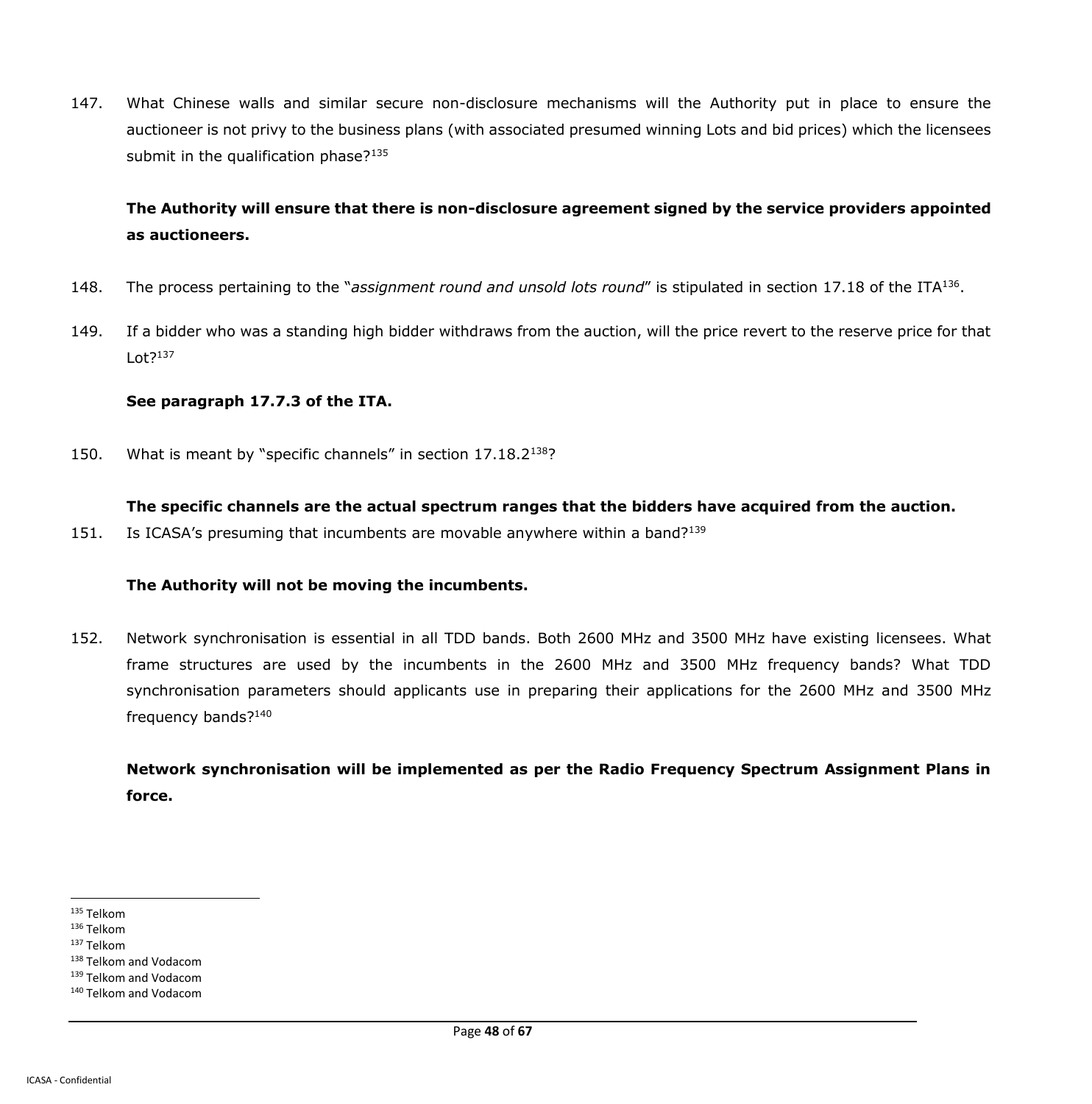147. What Chinese walls and similar secure non-disclosure mechanisms will the Authority put in place to ensure the auctioneer is not privy to the business plans (with associated presumed winning Lots and bid prices) which the licensees submit in the qualification phase?<sup>135</sup>

## **The Authority will ensure that there is non-disclosure agreement signed by the service providers appointed as auctioneers.**

- 148. The process pertaining to the "*assignment round and unsold lots round"* is stipulated in section 17.18 of the ITA<sup>136</sup>.
- 149. If a bidder who was a standing high bidder withdraws from the auction, will the price revert to the reserve price for that  $L$ ot?<sup>137</sup>

#### **See paragraph 17.7.3 of the ITA.**

150. What is meant by "specific channels" in section 17.18.2<sup>138</sup>?

#### **The specific channels are the actual spectrum ranges that the bidders have acquired from the auction.**

151. Is ICASA's presuming that incumbents are movable anywhere within a band?<sup>139</sup>

### **The Authority will not be moving the incumbents.**

152. Network synchronisation is essential in all TDD bands. Both 2600 MHz and 3500 MHz have existing licensees. What frame structures are used by the incumbents in the 2600 MHz and 3500 MHz frequency bands? What TDD synchronisation parameters should applicants use in preparing their applications for the 2600 MHz and 3500 MHz frequency bands?<sup>140</sup>

**Network synchronisation will be implemented as per the Radio Frequency Spectrum Assignment Plans in force.**

 $\overline{a}$ <sup>135</sup> Telkom

<sup>136</sup> Telkom

<sup>137</sup> Telkom

<sup>138</sup> Telkom and Vodacom

<sup>139</sup> Telkom and Vodacom

<sup>140</sup> Telkom and Vodacom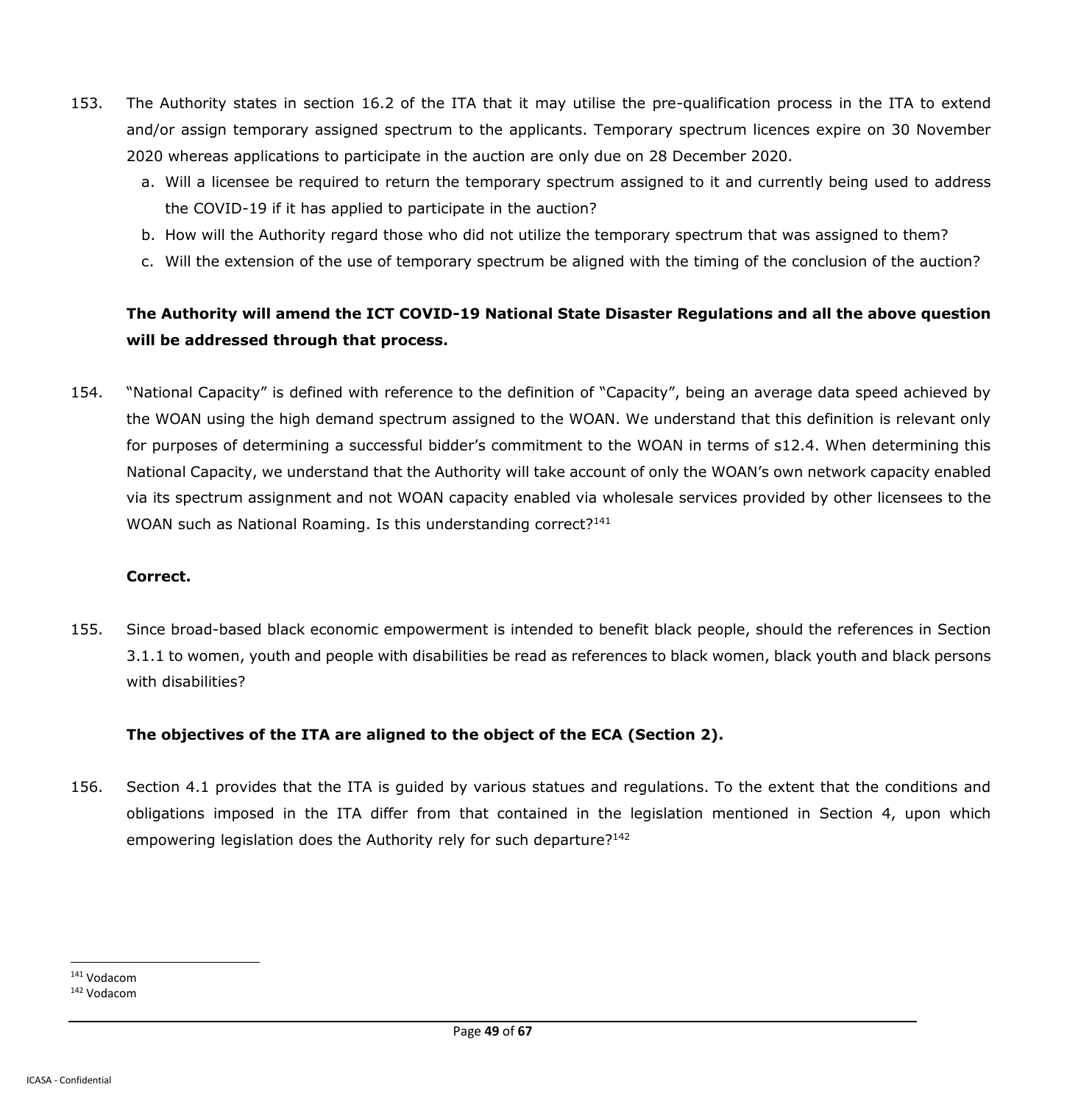- 153. The Authority states in section 16.2 of the ITA that it may utilise the pre-qualification process in the ITA to extend and/or assign temporary assigned spectrum to the applicants. Temporary spectrum licences expire on 30 November 2020 whereas applications to participate in the auction are only due on 28 December 2020.
	- a. Will a licensee be required to return the temporary spectrum assigned to it and currently being used to address the COVID-19 if it has applied to participate in the auction?
	- b. How will the Authority regard those who did not utilize the temporary spectrum that was assigned to them?
	- c. Will the extension of the use of temporary spectrum be aligned with the timing of the conclusion of the auction?

## **The Authority will amend the ICT COVID-19 National State Disaster Regulations and all the above question will be addressed through that process.**

154. "National Capacity" is defined with reference to the definition of "Capacity", being an average data speed achieved by the WOAN using the high demand spectrum assigned to the WOAN. We understand that this definition is relevant only for purposes of determining a successful bidder's commitment to the WOAN in terms of s12.4. When determining this National Capacity, we understand that the Authority will take account of only the WOAN's own network capacity enabled via its spectrum assignment and not WOAN capacity enabled via wholesale services provided by other licensees to the WOAN such as National Roaming. Is this understanding correct?<sup>141</sup>

#### **Correct.**

155. Since broad-based black economic empowerment is intended to benefit black people, should the references in Section 3.1.1 to women, youth and people with disabilities be read as references to black women, black youth and black persons with disabilities?

### **The objectives of the ITA are aligned to the object of the ECA (Section 2).**

156. Section 4.1 provides that the ITA is guided by various statues and regulations. To the extent that the conditions and obligations imposed in the ITA differ from that contained in the legislation mentioned in Section 4, upon which empowering legislation does the Authority rely for such departure?<sup>142</sup>

<sup>141</sup> Vodacom

<sup>142</sup> Vodacom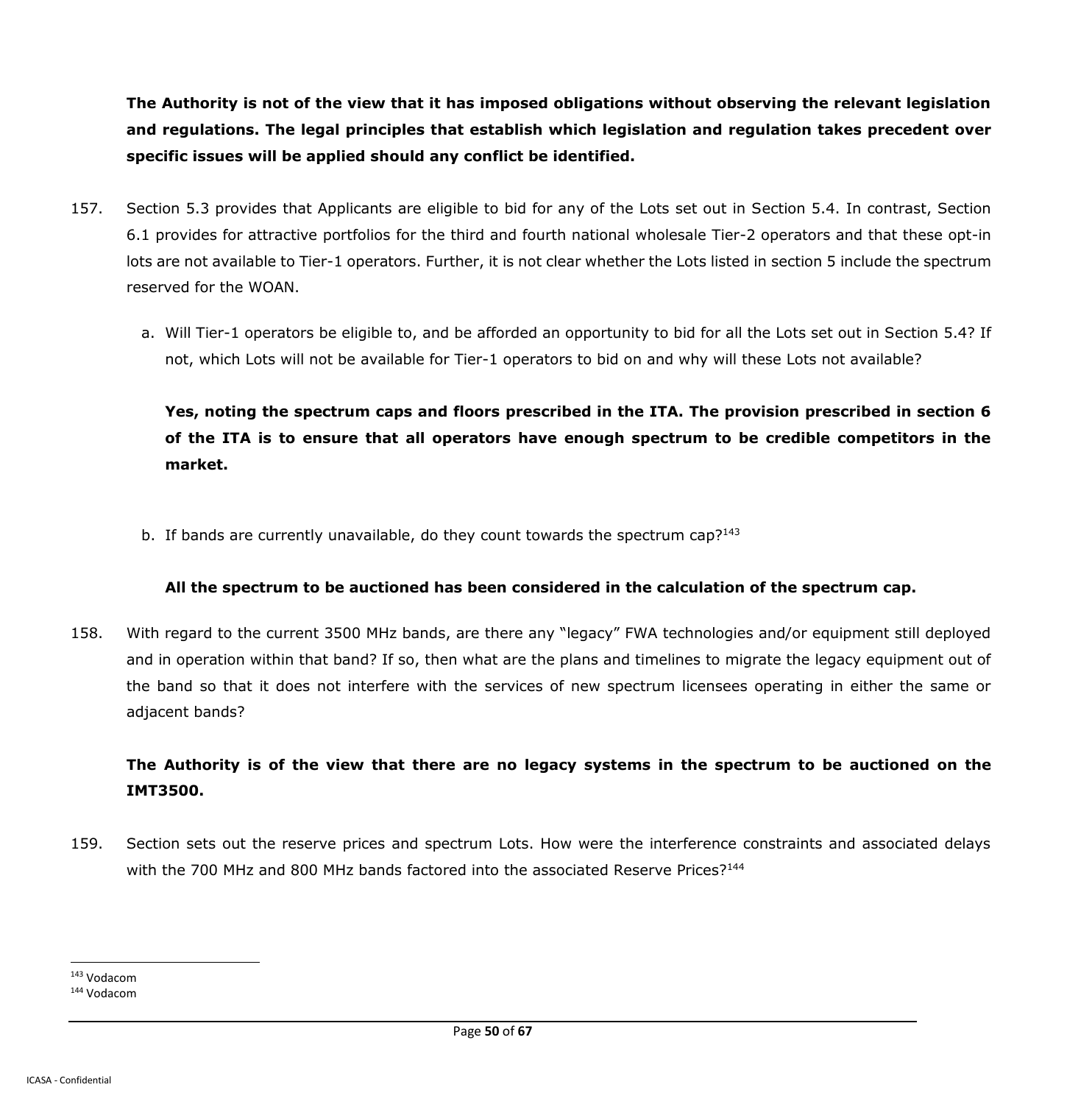**The Authority is not of the view that it has imposed obligations without observing the relevant legislation and regulations. The legal principles that establish which legislation and regulation takes precedent over specific issues will be applied should any conflict be identified.**

- 157. Section 5.3 provides that Applicants are eligible to bid for any of the Lots set out in Section 5.4. In contrast, Section 6.1 provides for attractive portfolios for the third and fourth national wholesale Tier-2 operators and that these opt-in lots are not available to Tier-1 operators. Further, it is not clear whether the Lots listed in section 5 include the spectrum reserved for the WOAN.
	- a. Will Tier-1 operators be eligible to, and be afforded an opportunity to bid for all the Lots set out in Section 5.4? If not, which Lots will not be available for Tier-1 operators to bid on and why will these Lots not available?

**Yes, noting the spectrum caps and floors prescribed in the ITA. The provision prescribed in section 6 of the ITA is to ensure that all operators have enough spectrum to be credible competitors in the market.**

b. If bands are currently unavailable, do they count towards the spectrum cap? $143$ 

## **All the spectrum to be auctioned has been considered in the calculation of the spectrum cap.**

158. With regard to the current 3500 MHz bands, are there any "legacy" FWA technologies and/or equipment still deployed and in operation within that band? If so, then what are the plans and timelines to migrate the legacy equipment out of the band so that it does not interfere with the services of new spectrum licensees operating in either the same or adjacent bands?

# **The Authority is of the view that there are no legacy systems in the spectrum to be auctioned on the IMT3500.**

159. Section sets out the reserve prices and spectrum Lots. How were the interference constraints and associated delays with the 700 MHz and 800 MHz bands factored into the associated Reserve Prices?<sup>144</sup>

<sup>143</sup> Vodacom

<sup>144</sup> Vodacom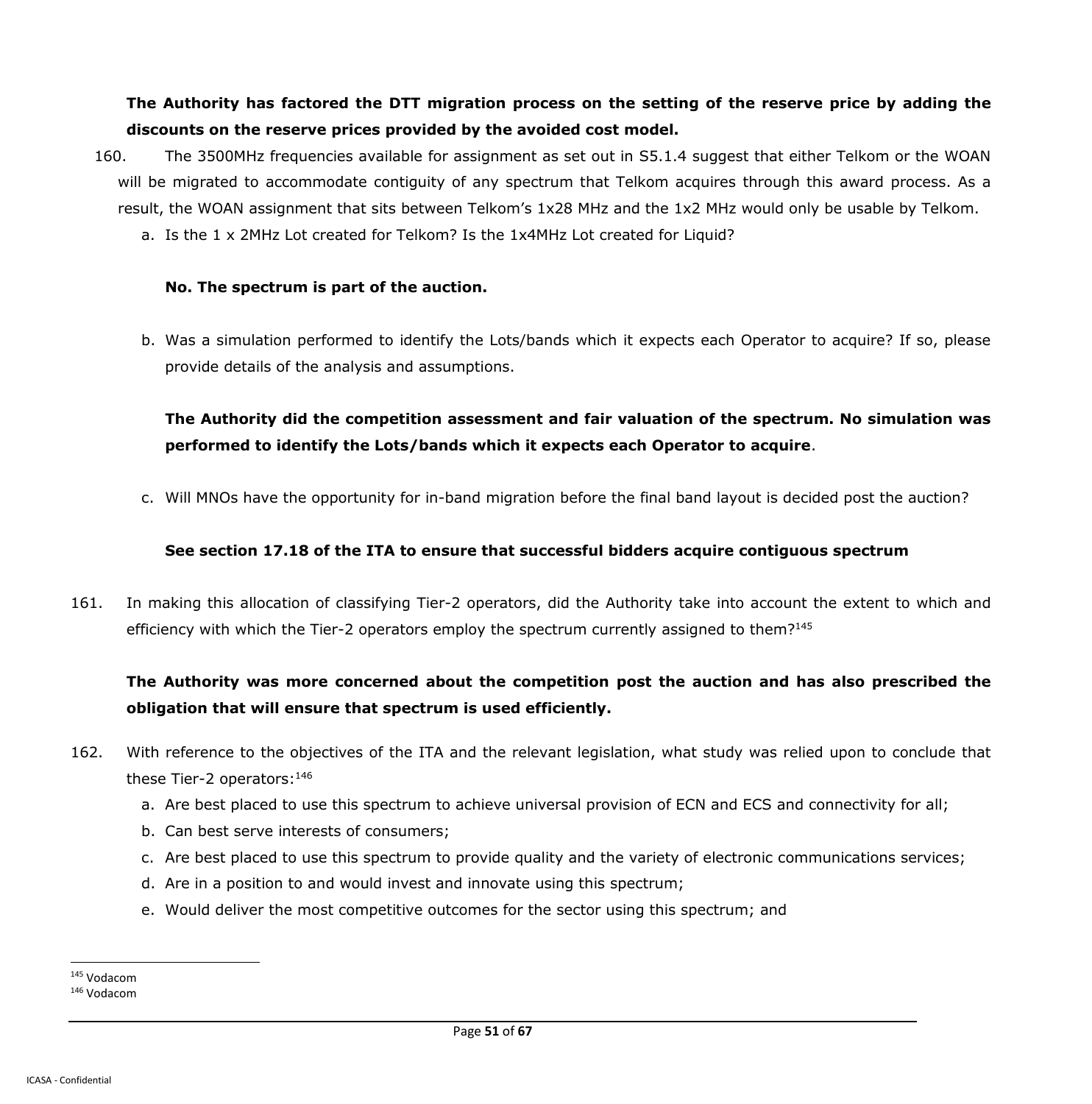## **The Authority has factored the DTT migration process on the setting of the reserve price by adding the discounts on the reserve prices provided by the avoided cost model.**

- 160. The 3500MHz frequencies available for assignment as set out in S5.1.4 suggest that either Telkom or the WOAN will be migrated to accommodate contiguity of any spectrum that Telkom acquires through this award process. As a result, the WOAN assignment that sits between Telkom's 1x28 MHz and the 1x2 MHz would only be usable by Telkom.
	- a. Is the 1 x 2MHz Lot created for Telkom? Is the 1x4MHz Lot created for Liquid?

#### **No. The spectrum is part of the auction.**

b. Was a simulation performed to identify the Lots/bands which it expects each Operator to acquire? If so, please provide details of the analysis and assumptions.

## **The Authority did the competition assessment and fair valuation of the spectrum. No simulation was performed to identify the Lots/bands which it expects each Operator to acquire**.

c. Will MNOs have the opportunity for in-band migration before the final band layout is decided post the auction?

### **See section 17.18 of the ITA to ensure that successful bidders acquire contiguous spectrum**

161. In making this allocation of classifying Tier-2 operators, did the Authority take into account the extent to which and efficiency with which the Tier-2 operators employ the spectrum currently assigned to them?<sup>145</sup>

# **The Authority was more concerned about the competition post the auction and has also prescribed the obligation that will ensure that spectrum is used efficiently.**

- 162. With reference to the objectives of the ITA and the relevant legislation, what study was relied upon to conclude that these Tier-2 operators: 146
	- a. Are best placed to use this spectrum to achieve universal provision of ECN and ECS and connectivity for all;
	- b. Can best serve interests of consumers;
	- c. Are best placed to use this spectrum to provide quality and the variety of electronic communications services;
	- d. Are in a position to and would invest and innovate using this spectrum;
	- e. Would deliver the most competitive outcomes for the sector using this spectrum; and

<sup>145</sup> Vodacom

<sup>146</sup> Vodacom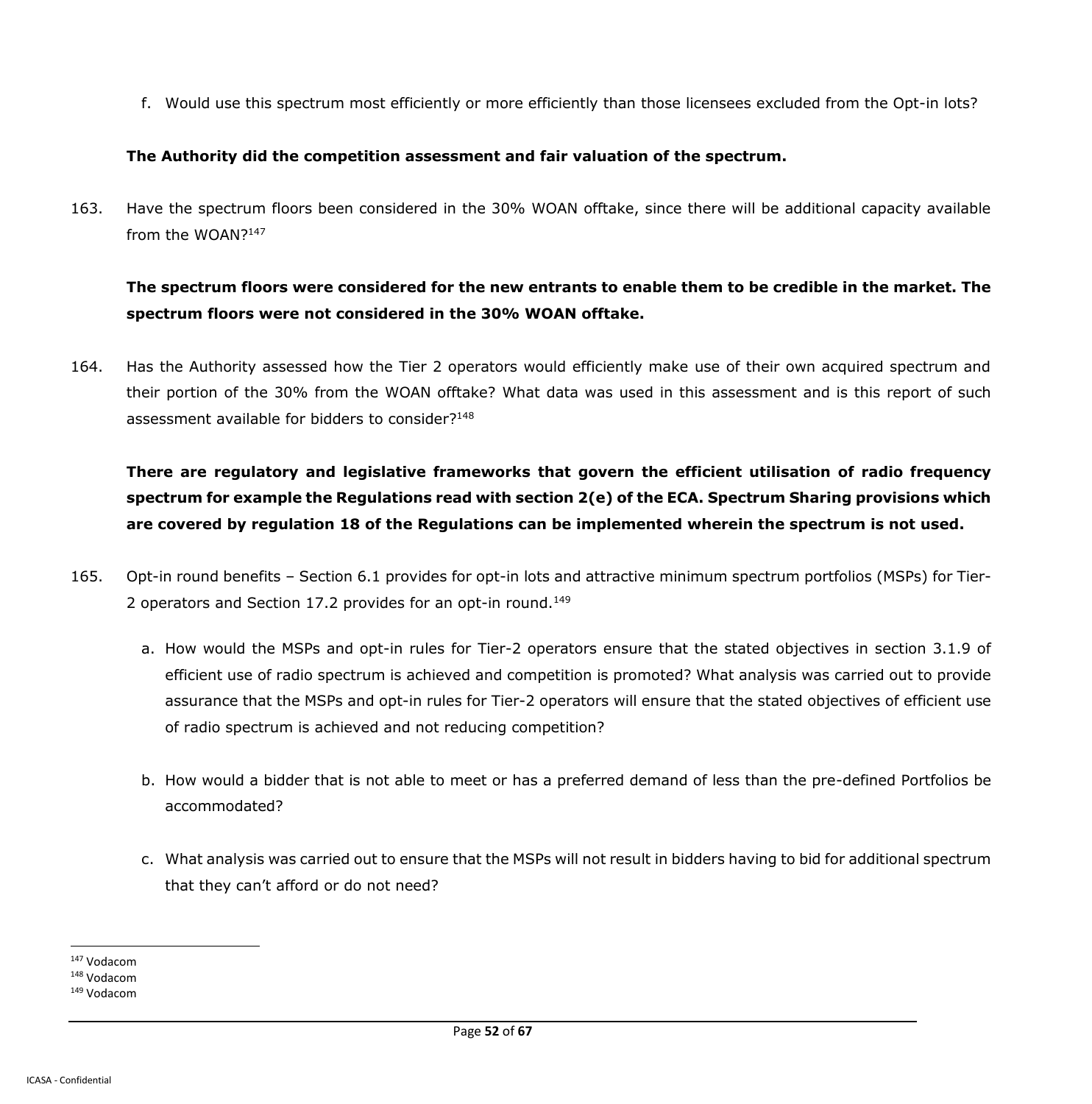f. Would use this spectrum most efficiently or more efficiently than those licensees excluded from the Opt-in lots?

#### **The Authority did the competition assessment and fair valuation of the spectrum.**

163. Have the spectrum floors been considered in the 30% WOAN offtake, since there will be additional capacity available from the WOAN?<sup>147</sup>

## **The spectrum floors were considered for the new entrants to enable them to be credible in the market. The spectrum floors were not considered in the 30% WOAN offtake.**

164. Has the Authority assessed how the Tier 2 operators would efficiently make use of their own acquired spectrum and their portion of the 30% from the WOAN offtake? What data was used in this assessment and is this report of such assessment available for bidders to consider?<sup>148</sup>

**There are regulatory and legislative frameworks that govern the efficient utilisation of radio frequency spectrum for example the Regulations read with section 2(e) of the ECA. Spectrum Sharing provisions which are covered by regulation 18 of the Regulations can be implemented wherein the spectrum is not used.**

- 165. Opt-in round benefits Section 6.1 provides for opt-in lots and attractive minimum spectrum portfolios (MSPs) for Tier-2 operators and Section 17.2 provides for an opt-in round.<sup>149</sup>
	- a. How would the MSPs and opt-in rules for Tier-2 operators ensure that the stated objectives in section 3.1.9 of efficient use of radio spectrum is achieved and competition is promoted? What analysis was carried out to provide assurance that the MSPs and opt-in rules for Tier-2 operators will ensure that the stated objectives of efficient use of radio spectrum is achieved and not reducing competition?
	- b. How would a bidder that is not able to meet or has a preferred demand of less than the pre-defined Portfolios be accommodated?
	- c. What analysis was carried out to ensure that the MSPs will not result in bidders having to bid for additional spectrum that they can't afford or do not need?

 $\overline{a}$ <sup>147</sup> Vodacom

<sup>148</sup> Vodacom

<sup>149</sup> Vodacom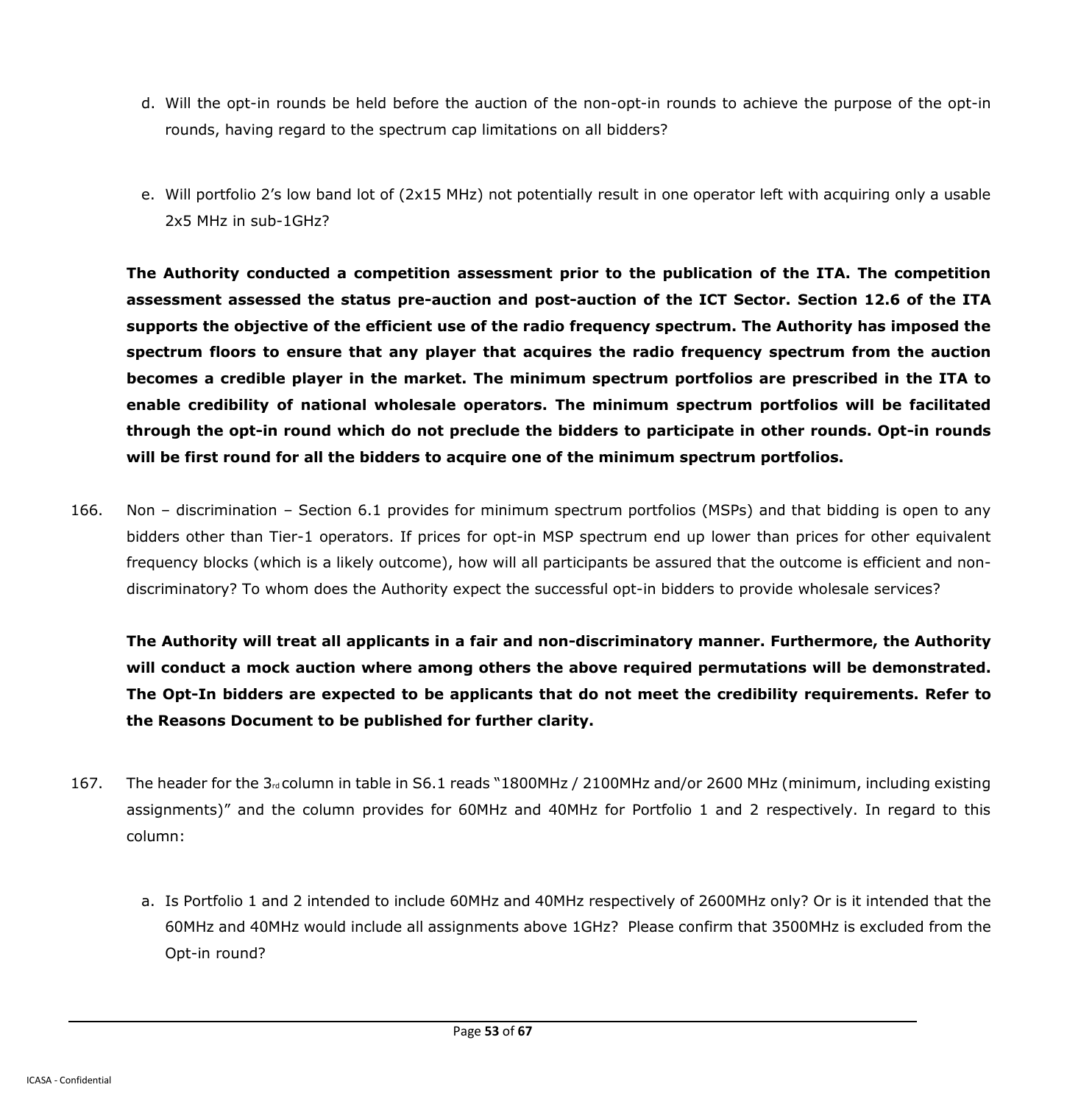- d. Will the opt-in rounds be held before the auction of the non-opt-in rounds to achieve the purpose of the opt-in rounds, having regard to the spectrum cap limitations on all bidders?
- e. Will portfolio 2's low band lot of (2x15 MHz) not potentially result in one operator left with acquiring only a usable 2x5 MHz in sub-1GHz?

**The Authority conducted a competition assessment prior to the publication of the ITA. The competition assessment assessed the status pre-auction and post-auction of the ICT Sector. Section 12.6 of the ITA supports the objective of the efficient use of the radio frequency spectrum. The Authority has imposed the spectrum floors to ensure that any player that acquires the radio frequency spectrum from the auction becomes a credible player in the market. The minimum spectrum portfolios are prescribed in the ITA to enable credibility of national wholesale operators. The minimum spectrum portfolios will be facilitated through the opt-in round which do not preclude the bidders to participate in other rounds. Opt-in rounds will be first round for all the bidders to acquire one of the minimum spectrum portfolios.**

166. Non – discrimination – Section 6.1 provides for minimum spectrum portfolios (MSPs) and that bidding is open to any bidders other than Tier-1 operators. If prices for opt-in MSP spectrum end up lower than prices for other equivalent frequency blocks (which is a likely outcome), how will all participants be assured that the outcome is efficient and nondiscriminatory? To whom does the Authority expect the successful opt-in bidders to provide wholesale services?

**The Authority will treat all applicants in a fair and non-discriminatory manner. Furthermore, the Authority will conduct a mock auction where among others the above required permutations will be demonstrated. The Opt-In bidders are expected to be applicants that do not meet the credibility requirements. Refer to the Reasons Document to be published for further clarity.**

- 167. The header for the 3<sub>rd</sub> column in table in S6.1 reads "1800MHz / 2100MHz and/or 2600 MHz (minimum, including existing assignments)" and the column provides for 60MHz and 40MHz for Portfolio 1 and 2 respectively. In regard to this column:
	- a. Is Portfolio 1 and 2 intended to include 60MHz and 40MHz respectively of 2600MHz only? Or is it intended that the 60MHz and 40MHz would include all assignments above 1GHz? Please confirm that 3500MHz is excluded from the Opt-in round?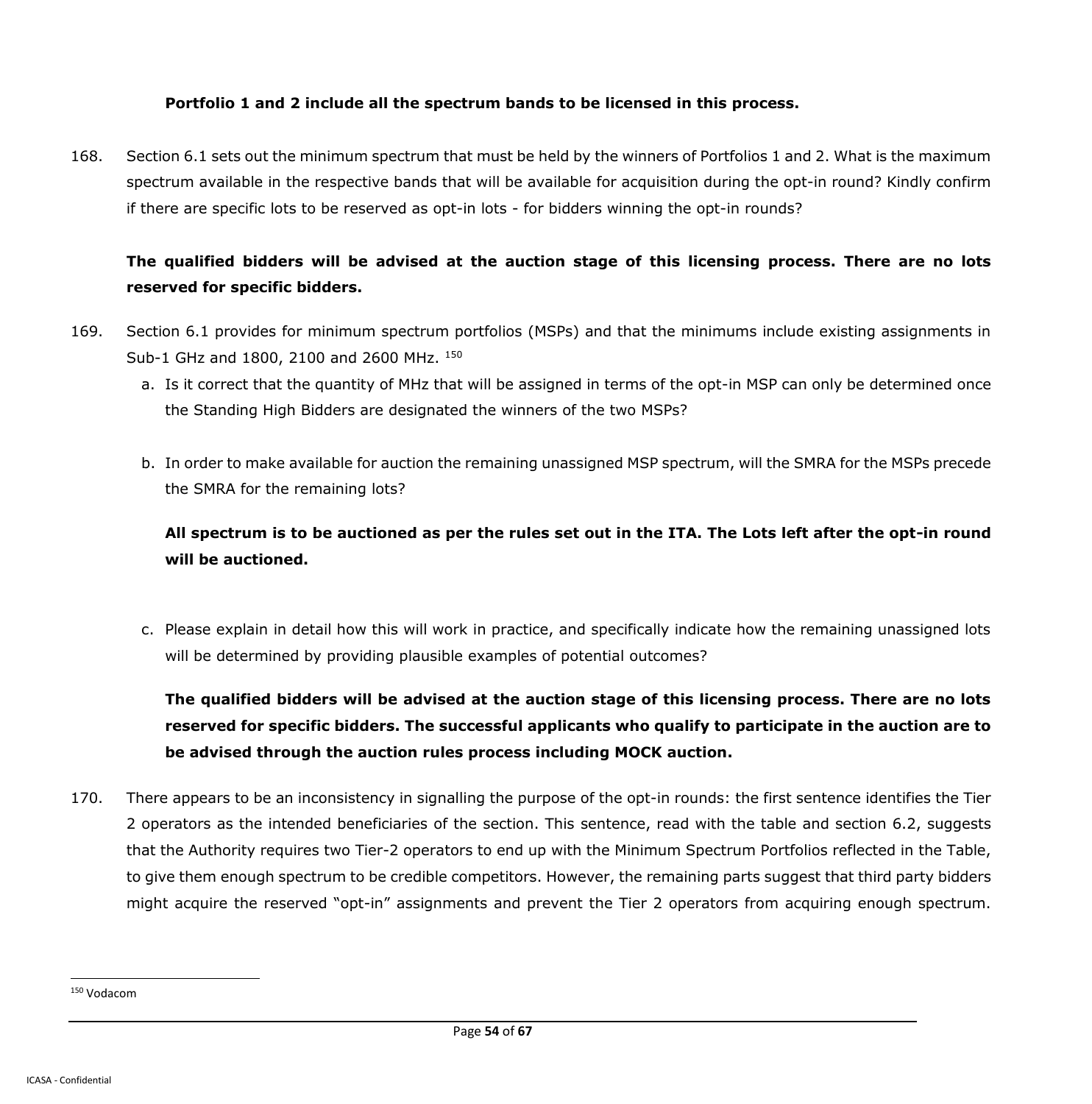### **Portfolio 1 and 2 include all the spectrum bands to be licensed in this process.**

168. Section 6.1 sets out the minimum spectrum that must be held by the winners of Portfolios 1 and 2. What is the maximum spectrum available in the respective bands that will be available for acquisition during the opt-in round? Kindly confirm if there are specific lots to be reserved as opt-in lots - for bidders winning the opt-in rounds?

## **The qualified bidders will be advised at the auction stage of this licensing process. There are no lots reserved for specific bidders.**

- 169. Section 6.1 provides for minimum spectrum portfolios (MSPs) and that the minimums include existing assignments in Sub-1 GHz and 1800, 2100 and 2600 MHz. <sup>150</sup>
	- a. Is it correct that the quantity of MHz that will be assigned in terms of the opt-in MSP can only be determined once the Standing High Bidders are designated the winners of the two MSPs?
	- b. In order to make available for auction the remaining unassigned MSP spectrum, will the SMRA for the MSPs precede the SMRA for the remaining lots?

## **All spectrum is to be auctioned as per the rules set out in the ITA. The Lots left after the opt-in round will be auctioned.**

c. Please explain in detail how this will work in practice, and specifically indicate how the remaining unassigned lots will be determined by providing plausible examples of potential outcomes?

**The qualified bidders will be advised at the auction stage of this licensing process. There are no lots reserved for specific bidders. The successful applicants who qualify to participate in the auction are to be advised through the auction rules process including MOCK auction.**

170. There appears to be an inconsistency in signalling the purpose of the opt-in rounds: the first sentence identifies the Tier 2 operators as the intended beneficiaries of the section. This sentence, read with the table and section 6.2, suggests that the Authority requires two Tier-2 operators to end up with the Minimum Spectrum Portfolios reflected in the Table, to give them enough spectrum to be credible competitors. However, the remaining parts suggest that third party bidders might acquire the reserved "opt-in" assignments and prevent the Tier 2 operators from acquiring enough spectrum.

<sup>150</sup> Vodacom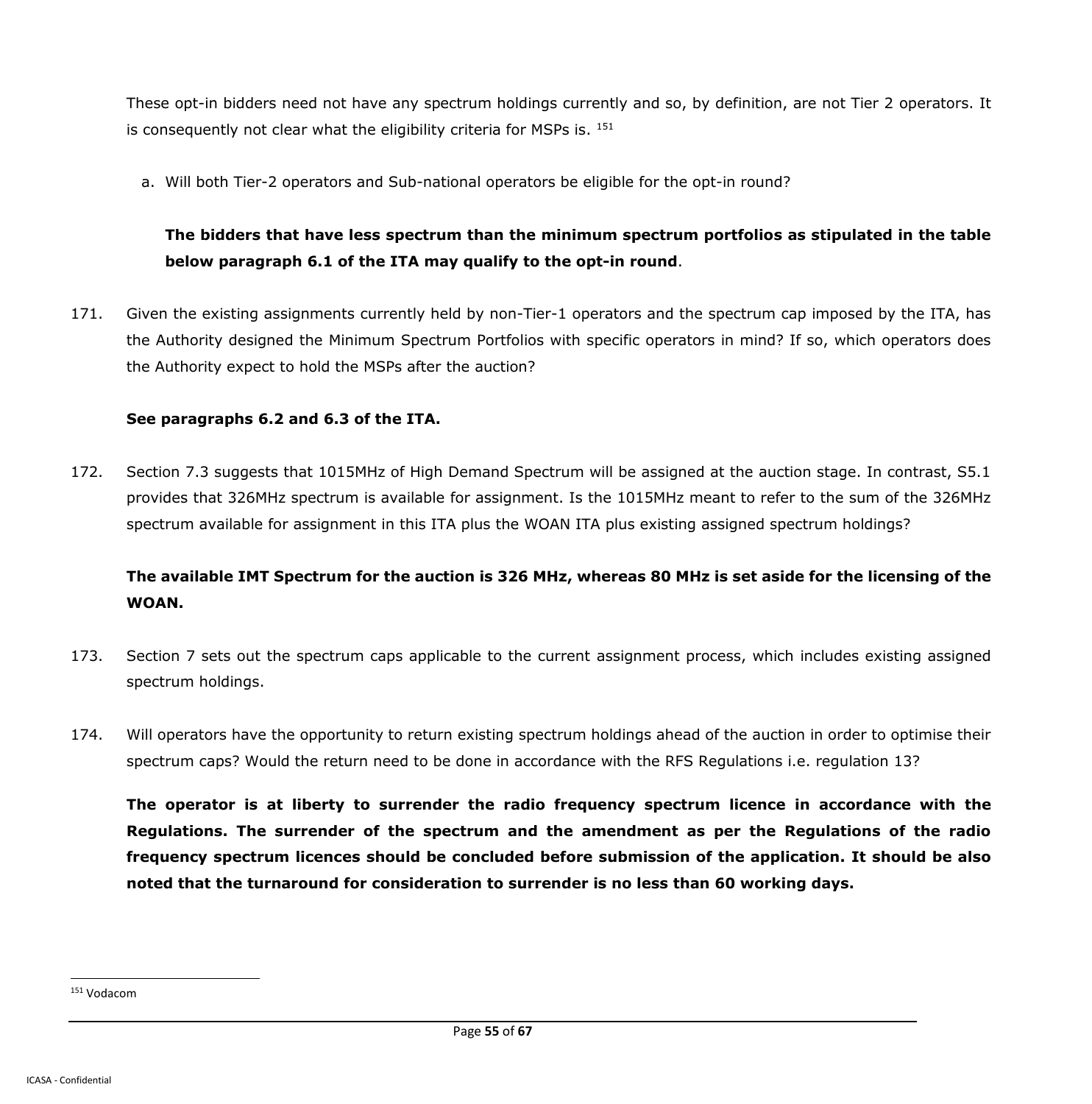These opt-in bidders need not have any spectrum holdings currently and so, by definition, are not Tier 2 operators. It is consequently not clear what the eligibility criteria for MSPs is.  $151$ 

a. Will both Tier-2 operators and Sub-national operators be eligible for the opt-in round?

# **The bidders that have less spectrum than the minimum spectrum portfolios as stipulated in the table below paragraph 6.1 of the ITA may qualify to the opt-in round**.

171. Given the existing assignments currently held by non-Tier-1 operators and the spectrum cap imposed by the ITA, has the Authority designed the Minimum Spectrum Portfolios with specific operators in mind? If so, which operators does the Authority expect to hold the MSPs after the auction?

#### **See paragraphs 6.2 and 6.3 of the ITA.**

172. Section 7.3 suggests that 1015MHz of High Demand Spectrum will be assigned at the auction stage. In contrast, S5.1 provides that 326MHz spectrum is available for assignment. Is the 1015MHz meant to refer to the sum of the 326MHz spectrum available for assignment in this ITA plus the WOAN ITA plus existing assigned spectrum holdings?

# **The available IMT Spectrum for the auction is 326 MHz, whereas 80 MHz is set aside for the licensing of the WOAN.**

- 173. Section 7 sets out the spectrum caps applicable to the current assignment process, which includes existing assigned spectrum holdings.
- 174. Will operators have the opportunity to return existing spectrum holdings ahead of the auction in order to optimise their spectrum caps? Would the return need to be done in accordance with the RFS Regulations i.e. regulation 13?

**The operator is at liberty to surrender the radio frequency spectrum licence in accordance with the Regulations. The surrender of the spectrum and the amendment as per the Regulations of the radio frequency spectrum licences should be concluded before submission of the application. It should be also noted that the turnaround for consideration to surrender is no less than 60 working days.**

<sup>151</sup> Vodacom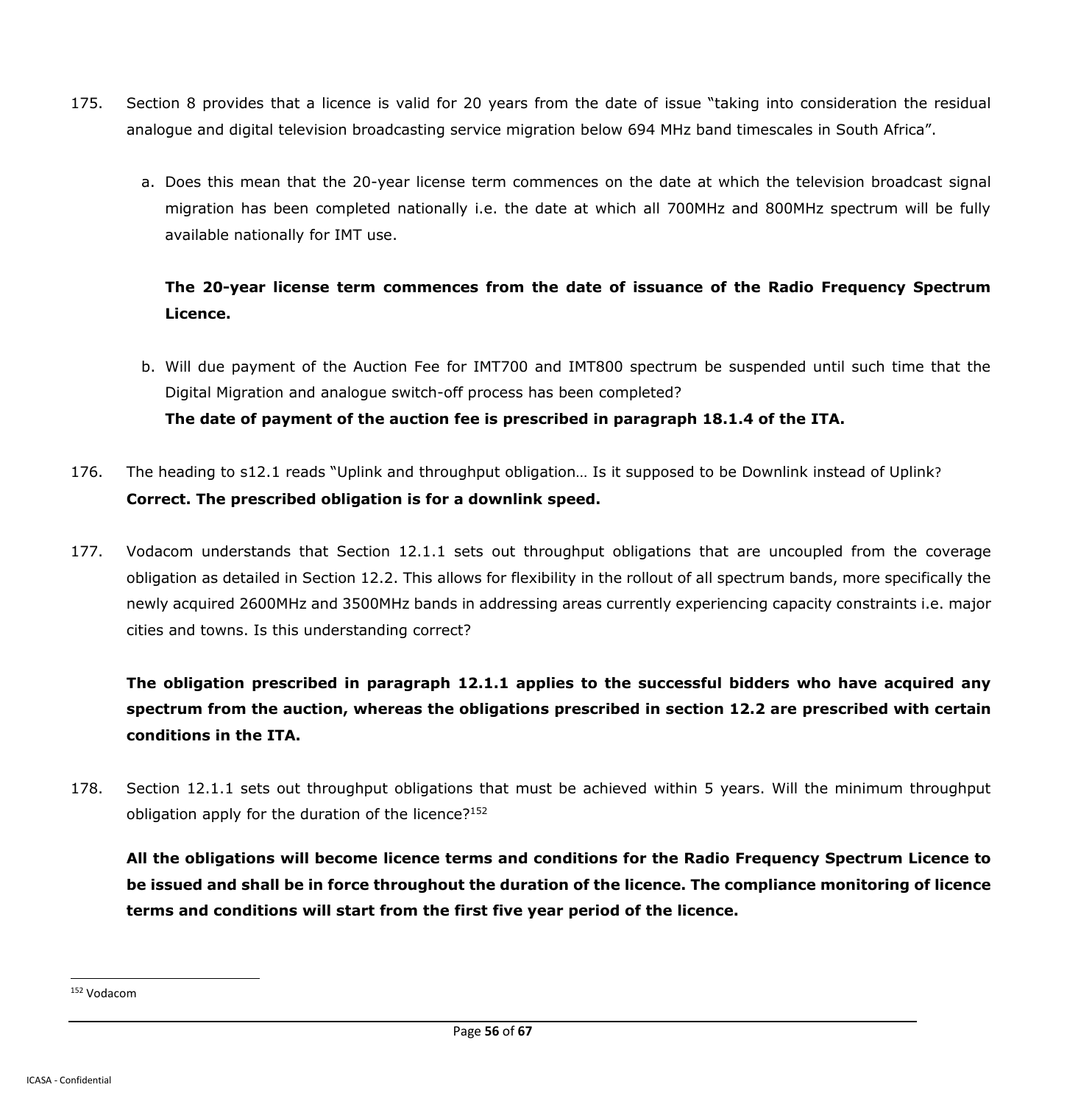- 175. Section 8 provides that a licence is valid for 20 years from the date of issue "taking into consideration the residual analogue and digital television broadcasting service migration below 694 MHz band timescales in South Africa".
	- a. Does this mean that the 20-year license term commences on the date at which the television broadcast signal migration has been completed nationally i.e. the date at which all 700MHz and 800MHz spectrum will be fully available nationally for IMT use.

# **The 20-year license term commences from the date of issuance of the Radio Frequency Spectrum Licence.**

- b. Will due payment of the Auction Fee for IMT700 and IMT800 spectrum be suspended until such time that the Digital Migration and analogue switch-off process has been completed? **The date of payment of the auction fee is prescribed in paragraph 18.1.4 of the ITA.**
- 176. The heading to s12.1 reads "Uplink and throughput obligation… Is it supposed to be Downlink instead of Uplink? **Correct. The prescribed obligation is for a downlink speed.**
- 177. Vodacom understands that Section 12.1.1 sets out throughput obligations that are uncoupled from the coverage obligation as detailed in Section 12.2. This allows for flexibility in the rollout of all spectrum bands, more specifically the newly acquired 2600MHz and 3500MHz bands in addressing areas currently experiencing capacity constraints i.e. major cities and towns. Is this understanding correct?

**The obligation prescribed in paragraph 12.1.1 applies to the successful bidders who have acquired any spectrum from the auction, whereas the obligations prescribed in section 12.2 are prescribed with certain conditions in the ITA.**

178. Section 12.1.1 sets out throughput obligations that must be achieved within 5 years. Will the minimum throughput obligation apply for the duration of the licence?<sup>152</sup>

**All the obligations will become licence terms and conditions for the Radio Frequency Spectrum Licence to be issued and shall be in force throughout the duration of the licence. The compliance monitoring of licence terms and conditions will start from the first five year period of the licence.**

<sup>152</sup> Vodacom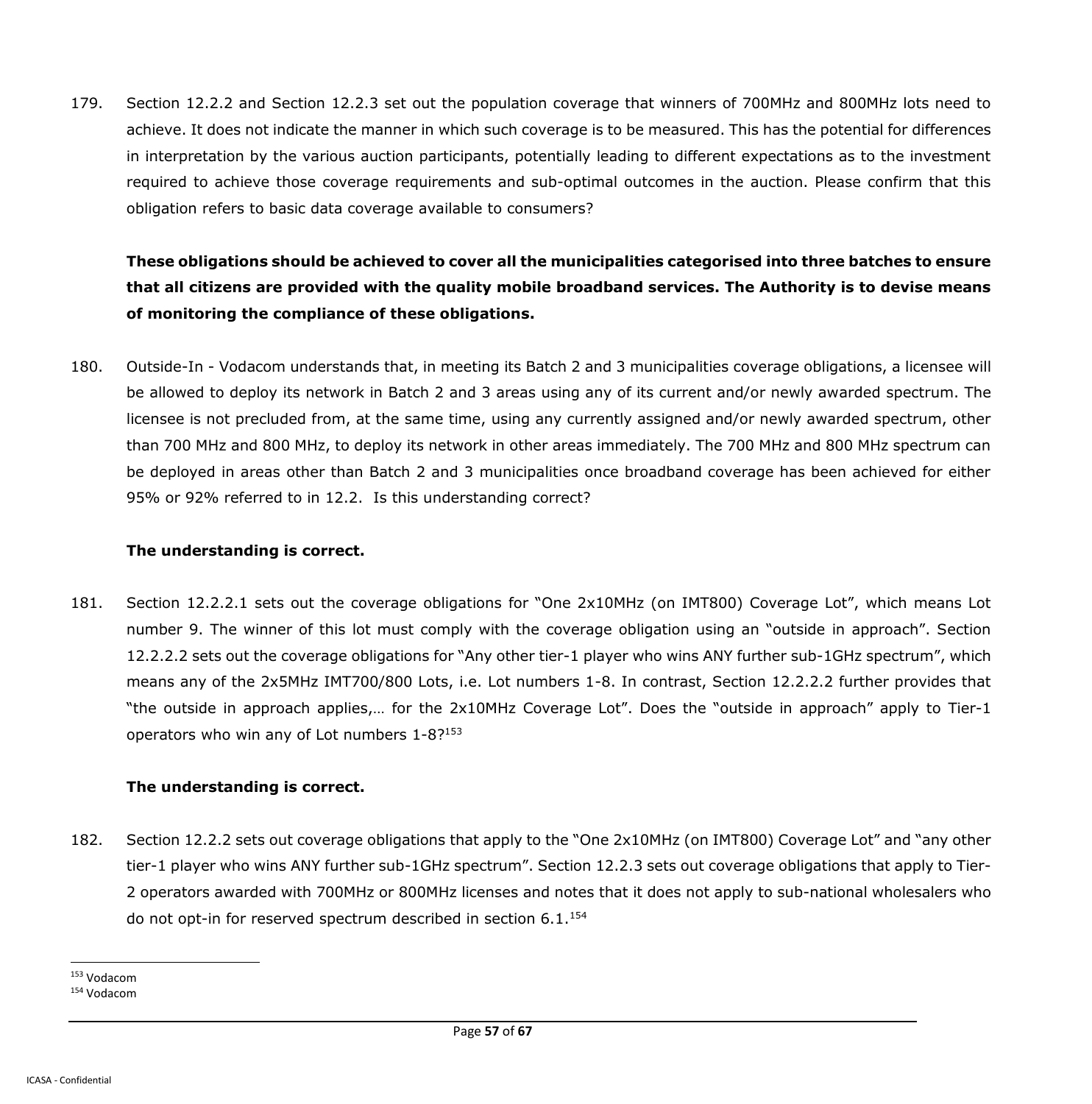179. Section 12.2.2 and Section 12.2.3 set out the population coverage that winners of 700MHz and 800MHz lots need to achieve. It does not indicate the manner in which such coverage is to be measured. This has the potential for differences in interpretation by the various auction participants, potentially leading to different expectations as to the investment required to achieve those coverage requirements and sub-optimal outcomes in the auction. Please confirm that this obligation refers to basic data coverage available to consumers?

# **These obligations should be achieved to cover all the municipalities categorised into three batches to ensure that all citizens are provided with the quality mobile broadband services. The Authority is to devise means of monitoring the compliance of these obligations.**

180. Outside-In - Vodacom understands that, in meeting its Batch 2 and 3 municipalities coverage obligations, a licensee will be allowed to deploy its network in Batch 2 and 3 areas using any of its current and/or newly awarded spectrum. The licensee is not precluded from, at the same time, using any currently assigned and/or newly awarded spectrum, other than 700 MHz and 800 MHz, to deploy its network in other areas immediately. The 700 MHz and 800 MHz spectrum can be deployed in areas other than Batch 2 and 3 municipalities once broadband coverage has been achieved for either 95% or 92% referred to in 12.2. Is this understanding correct?

### **The understanding is correct.**

181. Section 12.2.2.1 sets out the coverage obligations for "One 2x10MHz (on IMT800) Coverage Lot", which means Lot number 9. The winner of this lot must comply with the coverage obligation using an "outside in approach". Section 12.2.2.2 sets out the coverage obligations for "Any other tier-1 player who wins ANY further sub-1GHz spectrum", which means any of the 2x5MHz IMT700/800 Lots, i.e. Lot numbers 1-8. In contrast, Section 12.2.2.2 further provides that "the outside in approach applies,… for the 2x10MHz Coverage Lot". Does the "outside in approach" apply to Tier-1 operators who win any of Lot numbers 1-8?<sup>153</sup>

### **The understanding is correct.**

182. Section 12.2.2 sets out coverage obligations that apply to the "One 2x10MHz (on IMT800) Coverage Lot" and "any other tier-1 player who wins ANY further sub-1GHz spectrum". Section 12.2.3 sets out coverage obligations that apply to Tier-2 operators awarded with 700MHz or 800MHz licenses and notes that it does not apply to sub-national wholesalers who do not opt-in for reserved spectrum described in section  $6.1^{154}$ 

<sup>153</sup> Vodacom

<sup>154</sup> Vodacom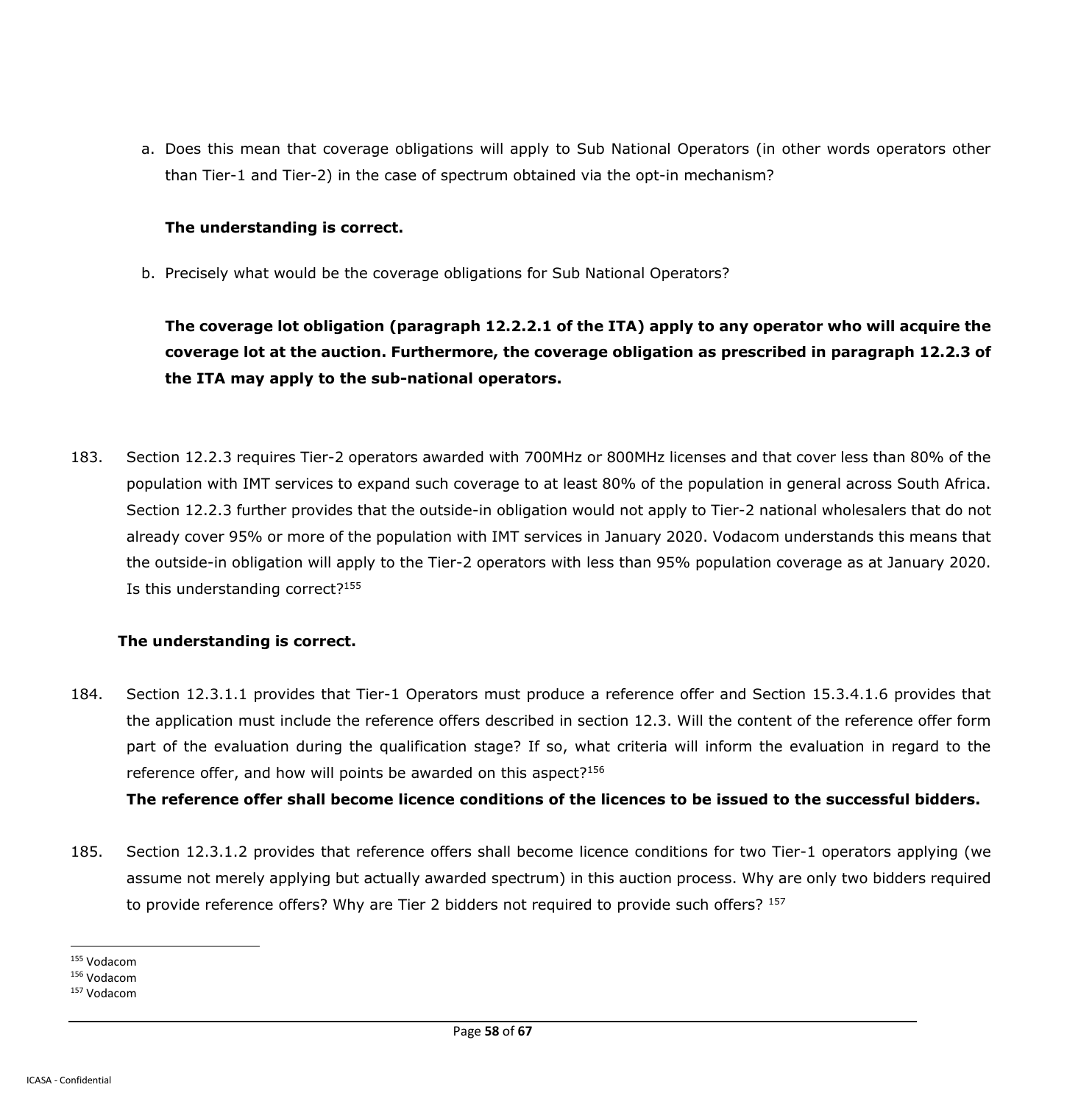a. Does this mean that coverage obligations will apply to Sub National Operators (in other words operators other than Tier-1 and Tier-2) in the case of spectrum obtained via the opt-in mechanism?

#### **The understanding is correct.**

b. Precisely what would be the coverage obligations for Sub National Operators?

**The coverage lot obligation (paragraph 12.2.2.1 of the ITA) apply to any operator who will acquire the coverage lot at the auction. Furthermore, the coverage obligation as prescribed in paragraph 12.2.3 of the ITA may apply to the sub-national operators.**

183. Section 12.2.3 requires Tier-2 operators awarded with 700MHz or 800MHz licenses and that cover less than 80% of the population with IMT services to expand such coverage to at least 80% of the population in general across South Africa. Section 12.2.3 further provides that the outside-in obligation would not apply to Tier-2 national wholesalers that do not already cover 95% or more of the population with IMT services in January 2020. Vodacom understands this means that the outside-in obligation will apply to the Tier-2 operators with less than 95% population coverage as at January 2020. Is this understanding correct?<sup>155</sup>

### **The understanding is correct.**

184. Section 12.3.1.1 provides that Tier-1 Operators must produce a reference offer and Section 15.3.4.1.6 provides that the application must include the reference offers described in section 12.3. Will the content of the reference offer form part of the evaluation during the qualification stage? If so, what criteria will inform the evaluation in regard to the reference offer, and how will points be awarded on this aspect? $156$ 

**The reference offer shall become licence conditions of the licences to be issued to the successful bidders.**

185. Section 12.3.1.2 provides that reference offers shall become licence conditions for two Tier-1 operators applying (we assume not merely applying but actually awarded spectrum) in this auction process. Why are only two bidders required to provide reference offers? Why are Tier 2 bidders not required to provide such offers? 157

<sup>155</sup> Vodacom

<sup>156</sup> Vodacom

<sup>157</sup> Vodacom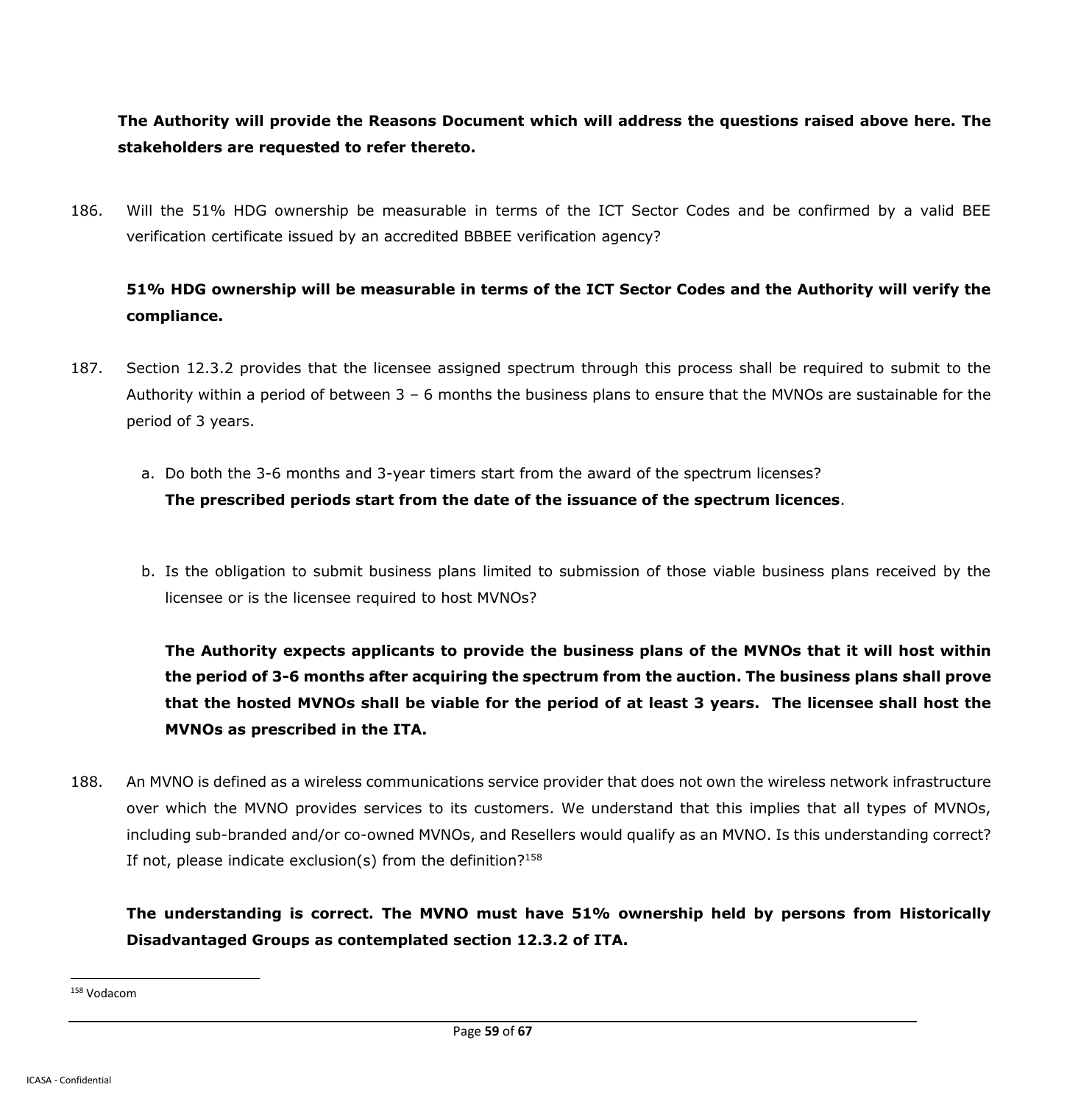**The Authority will provide the Reasons Document which will address the questions raised above here. The stakeholders are requested to refer thereto.**

186. Will the 51% HDG ownership be measurable in terms of the ICT Sector Codes and be confirmed by a valid BEE verification certificate issued by an accredited BBBEE verification agency?

# **51% HDG ownership will be measurable in terms of the ICT Sector Codes and the Authority will verify the compliance.**

- 187. Section 12.3.2 provides that the licensee assigned spectrum through this process shall be required to submit to the Authority within a period of between 3 – 6 months the business plans to ensure that the MVNOs are sustainable for the period of 3 years.
	- a. Do both the 3-6 months and 3-year timers start from the award of the spectrum licenses?

## **The prescribed periods start from the date of the issuance of the spectrum licences**.

b. Is the obligation to submit business plans limited to submission of those viable business plans received by the licensee or is the licensee required to host MVNOs?

**The Authority expects applicants to provide the business plans of the MVNOs that it will host within the period of 3-6 months after acquiring the spectrum from the auction. The business plans shall prove that the hosted MVNOs shall be viable for the period of at least 3 years. The licensee shall host the MVNOs as prescribed in the ITA.**

188. An MVNO is defined as a wireless communications service provider that does not own the wireless network infrastructure over which the MVNO provides services to its customers. We understand that this implies that all types of MVNOs, including sub-branded and/or co-owned MVNOs, and Resellers would qualify as an MVNO. Is this understanding correct? If not, please indicate exclusion(s) from the definition? $158$ 

**The understanding is correct. The MVNO must have 51% ownership held by persons from Historically Disadvantaged Groups as contemplated section 12.3.2 of ITA.**

<sup>158</sup> Vodacom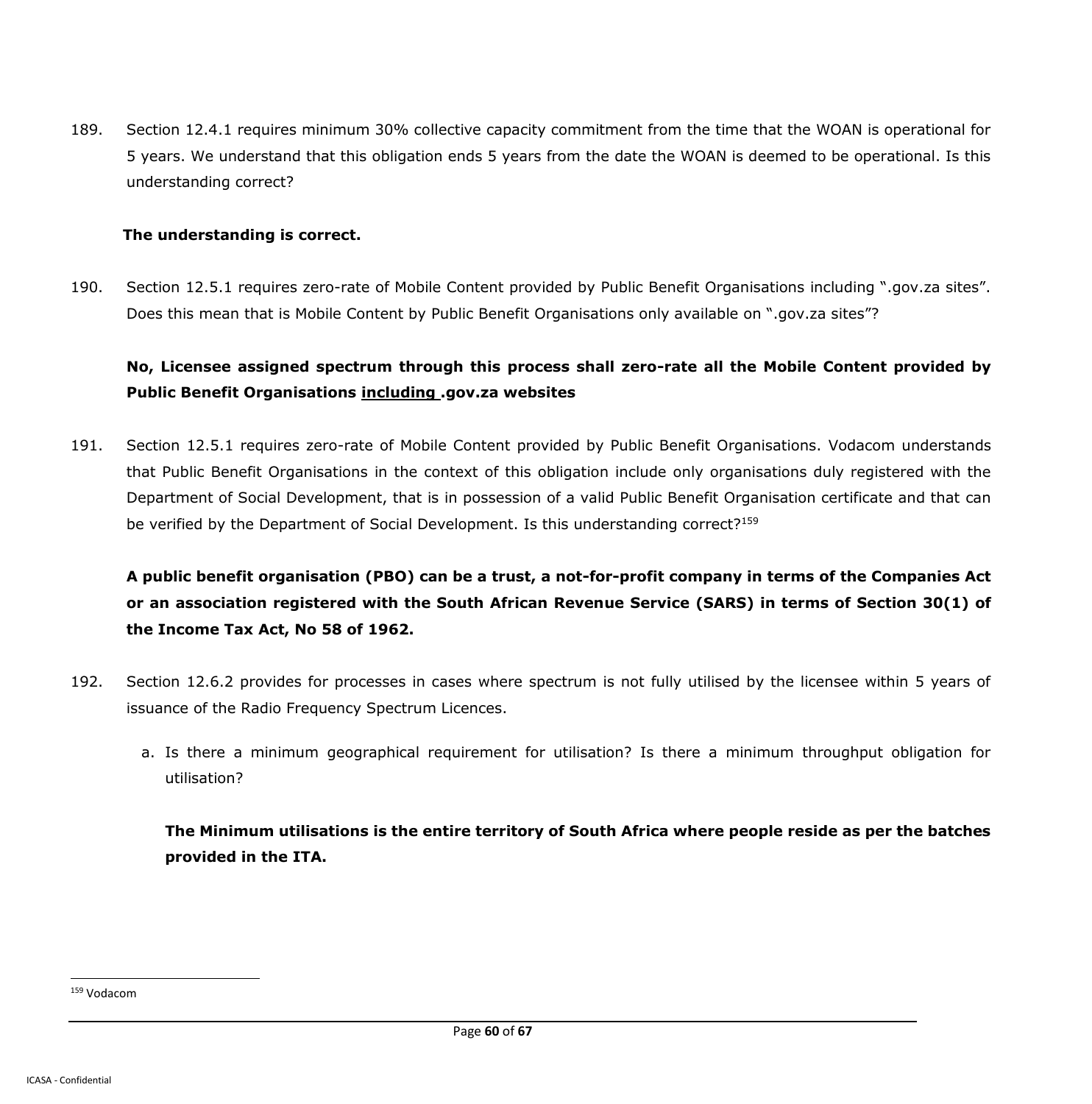189. Section 12.4.1 requires minimum 30% collective capacity commitment from the time that the WOAN is operational for 5 years. We understand that this obligation ends 5 years from the date the WOAN is deemed to be operational. Is this understanding correct?

#### **The understanding is correct.**

190. Section 12.5.1 requires zero-rate of Mobile Content provided by Public Benefit Organisations including ".gov.za sites". Does this mean that is Mobile Content by Public Benefit Organisations only available on ".gov.za sites"?

## **No, Licensee assigned spectrum through this process shall zero-rate all the Mobile Content provided by Public Benefit Organisations including .gov.za websites**

191. Section 12.5.1 requires zero-rate of Mobile Content provided by Public Benefit Organisations. Vodacom understands that Public Benefit Organisations in the context of this obligation include only organisations duly registered with the Department of Social Development, that is in possession of a valid Public Benefit Organisation certificate and that can be verified by the Department of Social Development. Is this understanding correct?<sup>159</sup>

**A public benefit organisation (PBO) can be a trust, a not-for-profit company in terms of the Companies Act or an association registered with the South African Revenue Service (SARS) in terms of Section 30(1) of the Income Tax Act, No 58 of 1962.**

- 192. Section 12.6.2 provides for processes in cases where spectrum is not fully utilised by the licensee within 5 years of issuance of the Radio Frequency Spectrum Licences.
	- a. Is there a minimum geographical requirement for utilisation? Is there a minimum throughput obligation for utilisation?

**The Minimum utilisations is the entire territory of South Africa where people reside as per the batches provided in the ITA.**

<sup>159</sup> Vodacom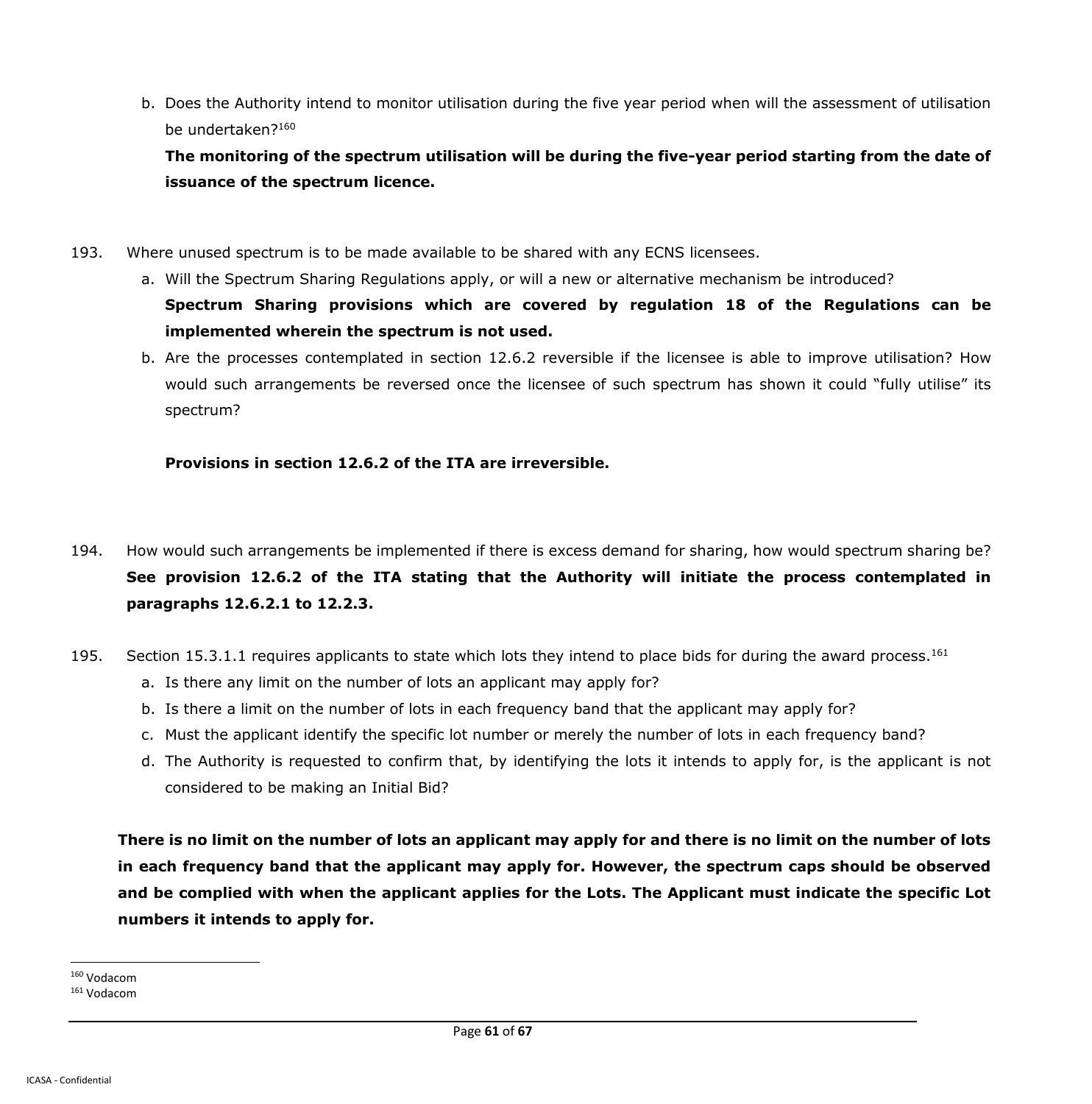b. Does the Authority intend to monitor utilisation during the five year period when will the assessment of utilisation be undertaken?<sup>160</sup>

**The monitoring of the spectrum utilisation will be during the five-year period starting from the date of issuance of the spectrum licence.**

- 193. Where unused spectrum is to be made available to be shared with any ECNS licensees.
	- a. Will the Spectrum Sharing Regulations apply, or will a new or alternative mechanism be introduced? **Spectrum Sharing provisions which are covered by regulation 18 of the Regulations can be implemented wherein the spectrum is not used.**
	- b. Are the processes contemplated in section 12.6.2 reversible if the licensee is able to improve utilisation? How would such arrangements be reversed once the licensee of such spectrum has shown it could "fully utilise" its spectrum?

### **Provisions in section 12.6.2 of the ITA are irreversible.**

- 194. How would such arrangements be implemented if there is excess demand for sharing, how would spectrum sharing be? **See provision 12.6.2 of the ITA stating that the Authority will initiate the process contemplated in paragraphs 12.6.2.1 to 12.2.3.**
- 195. Section 15.3.1.1 requires applicants to state which lots they intend to place bids for during the award process.<sup>161</sup>
	- a. Is there any limit on the number of lots an applicant may apply for?
	- b. Is there a limit on the number of lots in each frequency band that the applicant may apply for?
	- c. Must the applicant identify the specific lot number or merely the number of lots in each frequency band?
	- d. The Authority is requested to confirm that, by identifying the lots it intends to apply for, is the applicant is not considered to be making an Initial Bid?

**There is no limit on the number of lots an applicant may apply for and there is no limit on the number of lots in each frequency band that the applicant may apply for. However, the spectrum caps should be observed and be complied with when the applicant applies for the Lots. The Applicant must indicate the specific Lot numbers it intends to apply for.**

<sup>160</sup> Vodacom

<sup>161</sup> Vodacom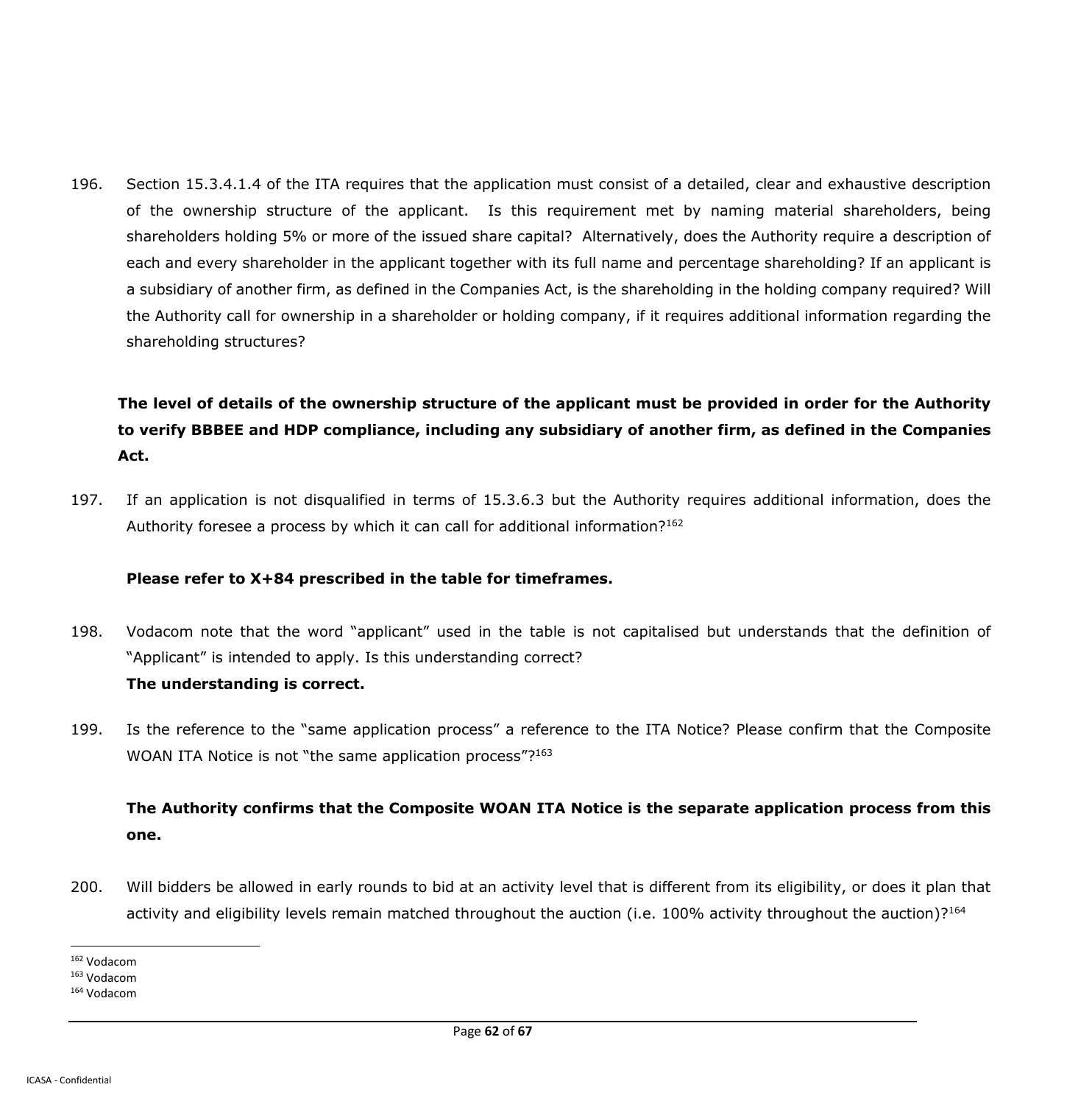196. Section 15.3.4.1.4 of the ITA requires that the application must consist of a detailed, clear and exhaustive description of the ownership structure of the applicant. Is this requirement met by naming material shareholders, being shareholders holding 5% or more of the issued share capital? Alternatively, does the Authority require a description of each and every shareholder in the applicant together with its full name and percentage shareholding? If an applicant is a subsidiary of another firm, as defined in the Companies Act, is the shareholding in the holding company required? Will the Authority call for ownership in a shareholder or holding company, if it requires additional information regarding the shareholding structures?

**The level of details of the ownership structure of the applicant must be provided in order for the Authority to verify BBBEE and HDP compliance, including any subsidiary of another firm, as defined in the Companies Act.**

197. If an application is not disqualified in terms of 15.3.6.3 but the Authority requires additional information, does the Authority foresee a process by which it can call for additional information?<sup>162</sup>

### **Please refer to X+84 prescribed in the table for timeframes.**

198. Vodacom note that the word "applicant" used in the table is not capitalised but understands that the definition of "Applicant" is intended to apply. Is this understanding correct?

### **The understanding is correct.**

199. Is the reference to the "same application process" a reference to the ITA Notice? Please confirm that the Composite WOAN ITA Notice is not "the same application process"?<sup>163</sup>

# **The Authority confirms that the Composite WOAN ITA Notice is the separate application process from this one.**

200. Will bidders be allowed in early rounds to bid at an activity level that is different from its eligibility, or does it plan that activity and eligibility levels remain matched throughout the auction (i.e. 100% activity throughout the auction)?<sup>164</sup>

 $\ddot{\phantom{a}}$ <sup>162</sup> Vodacom

<sup>163</sup> Vodacom

<sup>164</sup> Vodacom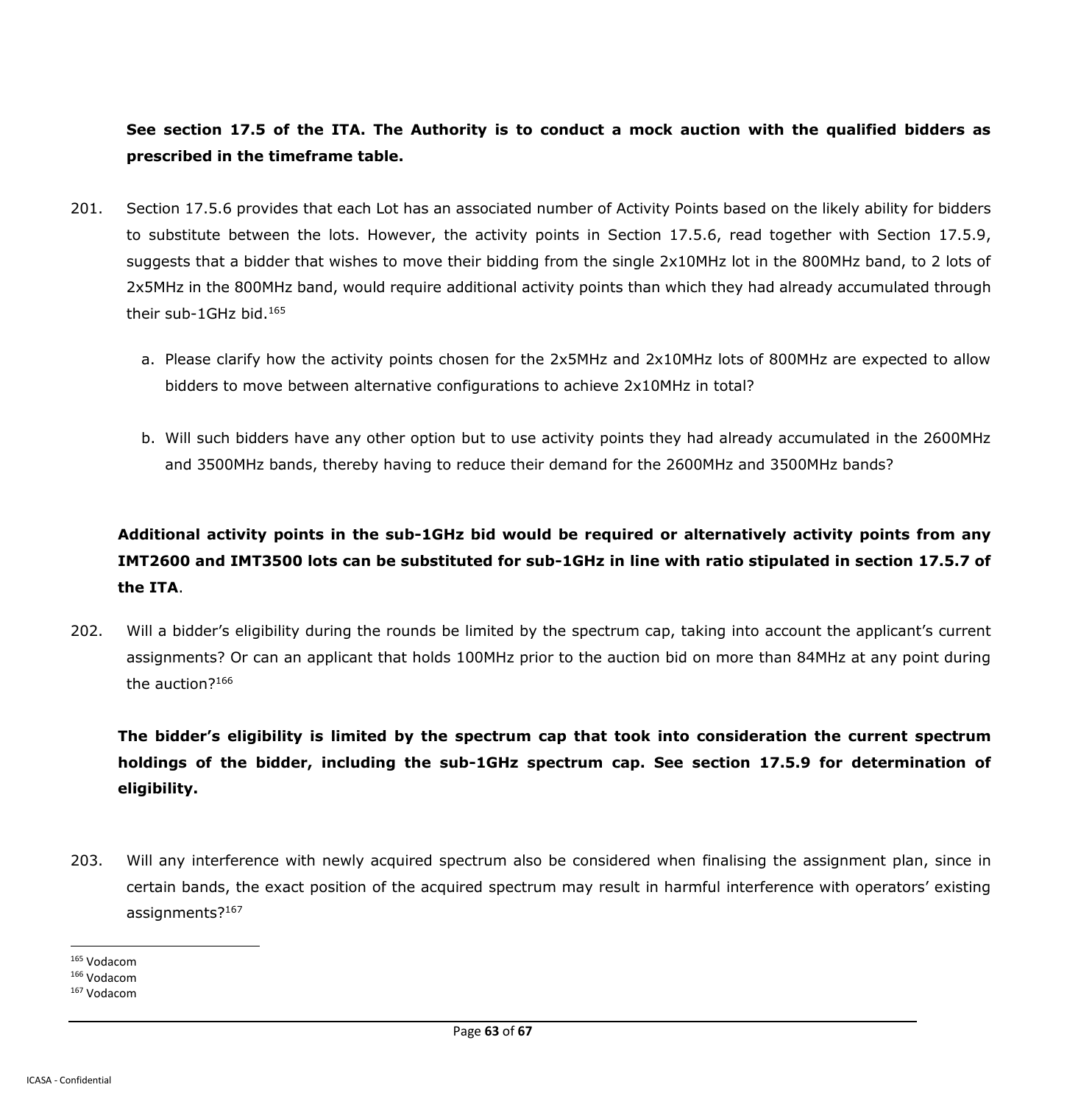## **See section 17.5 of the ITA. The Authority is to conduct a mock auction with the qualified bidders as prescribed in the timeframe table.**

- 201. Section 17.5.6 provides that each Lot has an associated number of Activity Points based on the likely ability for bidders to substitute between the lots. However, the activity points in Section 17.5.6, read together with Section 17.5.9, suggests that a bidder that wishes to move their bidding from the single 2x10MHz lot in the 800MHz band, to 2 lots of 2x5MHz in the 800MHz band, would require additional activity points than which they had already accumulated through their sub-1GHz bid.<sup>165</sup>
	- a. Please clarify how the activity points chosen for the 2x5MHz and 2x10MHz lots of 800MHz are expected to allow bidders to move between alternative configurations to achieve 2x10MHz in total?
	- b. Will such bidders have any other option but to use activity points they had already accumulated in the 2600MHz and 3500MHz bands, thereby having to reduce their demand for the 2600MHz and 3500MHz bands?

# **Additional activity points in the sub-1GHz bid would be required or alternatively activity points from any IMT2600 and IMT3500 lots can be substituted for sub-1GHz in line with ratio stipulated in section 17.5.7 of the ITA**.

202. Will a bidder's eligibility during the rounds be limited by the spectrum cap, taking into account the applicant's current assignments? Or can an applicant that holds 100MHz prior to the auction bid on more than 84MHz at any point during the auction?<sup>166</sup>

**The bidder's eligibility is limited by the spectrum cap that took into consideration the current spectrum holdings of the bidder, including the sub-1GHz spectrum cap. See section 17.5.9 for determination of eligibility.**

- 203. Will any interference with newly acquired spectrum also be considered when finalising the assignment plan, since in certain bands, the exact position of the acquired spectrum may result in harmful interference with operators' existing assignments?<sup>167</sup>
- $\ddot{\phantom{a}}$ <sup>165</sup> Vodacom

<sup>166</sup> Vodacom

<sup>167</sup> Vodacom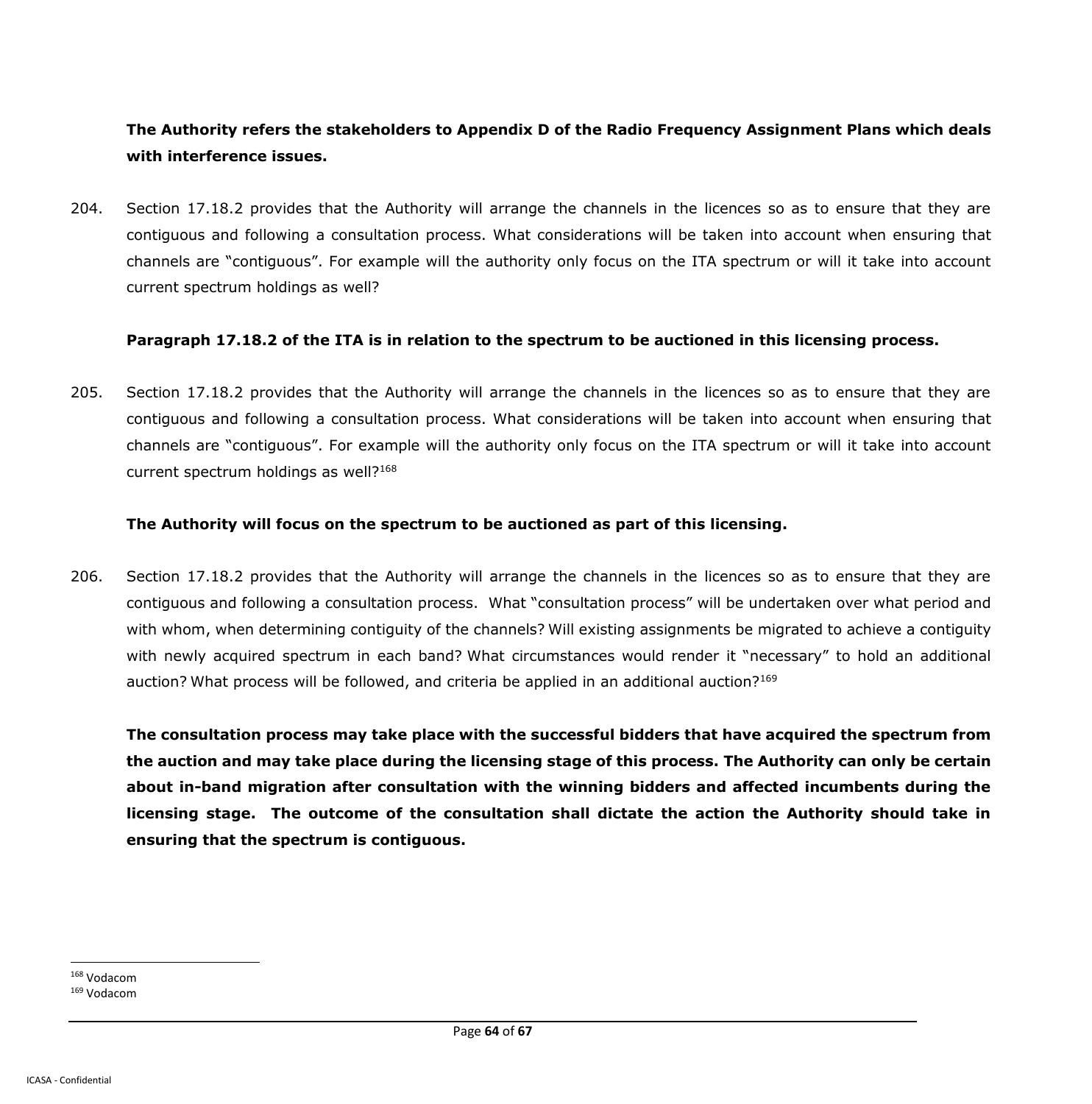## **The Authority refers the stakeholders to Appendix D of the Radio Frequency Assignment Plans which deals with interference issues.**

204. Section 17.18.2 provides that the Authority will arrange the channels in the licences so as to ensure that they are contiguous and following a consultation process. What considerations will be taken into account when ensuring that channels are "contiguous". For example will the authority only focus on the ITA spectrum or will it take into account current spectrum holdings as well?

#### **Paragraph 17.18.2 of the ITA is in relation to the spectrum to be auctioned in this licensing process.**

205. Section 17.18.2 provides that the Authority will arrange the channels in the licences so as to ensure that they are contiguous and following a consultation process. What considerations will be taken into account when ensuring that channels are "contiguous". For example will the authority only focus on the ITA spectrum or will it take into account current spectrum holdings as well?<sup>168</sup>

#### **The Authority will focus on the spectrum to be auctioned as part of this licensing.**

206. Section 17.18.2 provides that the Authority will arrange the channels in the licences so as to ensure that they are contiguous and following a consultation process. What "consultation process" will be undertaken over what period and with whom, when determining contiguity of the channels? Will existing assignments be migrated to achieve a contiguity with newly acquired spectrum in each band? What circumstances would render it "necessary" to hold an additional auction? What process will be followed, and criteria be applied in an additional auction?<sup>169</sup>

**The consultation process may take place with the successful bidders that have acquired the spectrum from the auction and may take place during the licensing stage of this process. The Authority can only be certain about in-band migration after consultation with the winning bidders and affected incumbents during the licensing stage. The outcome of the consultation shall dictate the action the Authority should take in ensuring that the spectrum is contiguous.**

<sup>168</sup> Vodacom

<sup>169</sup> Vodacom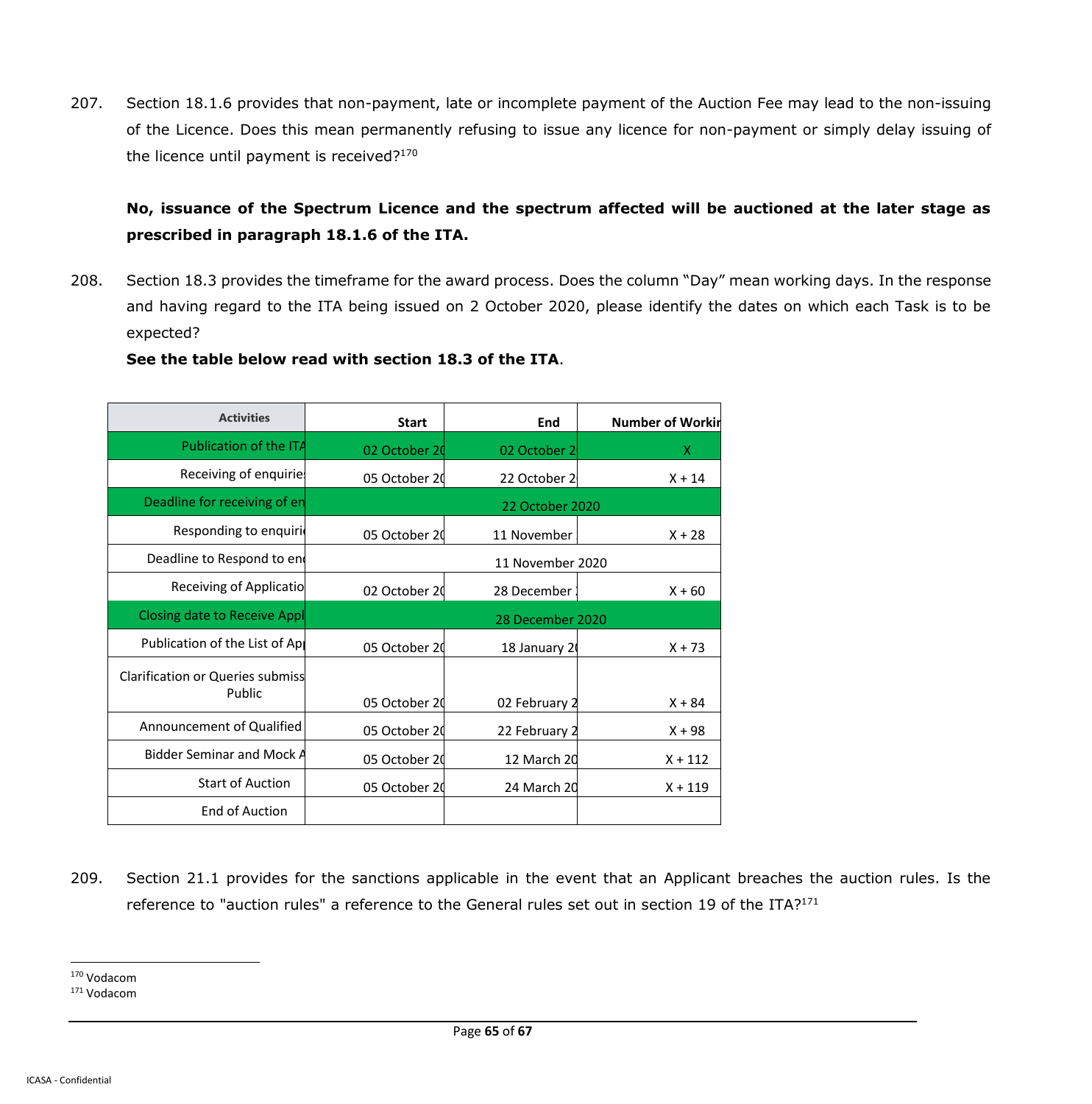207. Section 18.1.6 provides that non-payment, late or incomplete payment of the Auction Fee may lead to the non-issuing of the Licence. Does this mean permanently refusing to issue any licence for non-payment or simply delay issuing of the licence until payment is received?<sup>170</sup>

## **No, issuance of the Spectrum Licence and the spectrum affected will be auctioned at the later stage as prescribed in paragraph 18.1.6 of the ITA.**

208. Section 18.3 provides the timeframe for the award process. Does the column "Day" mean working days. In the response and having regard to the ITA being issued on 2 October 2020, please identify the dates on which each Task is to be expected?

### **See the table below read with section 18.3 of the ITA**.

| <b>Activities</b>                       | <b>Start</b>     | End              | <b>Number of Workin</b> |
|-----------------------------------------|------------------|------------------|-------------------------|
| Publication of the ITA                  | 02 October 20    | 02 October 2     | x                       |
| Receiving of enquirie                   | 05 October 20    | 22 October 2     | $X + 14$                |
| Deadline for receiving of en            | 22 October 2020  |                  |                         |
| Responding to enquiri                   | 05 October 20    | 11 November      | $X + 28$                |
| Deadline to Respond to end              | 11 November 2020 |                  |                         |
| Receiving of Applicatio                 | 02 October 20    | 28 December      | $X + 60$                |
| Closing date to Receive Appl            |                  | 28 December 2020 |                         |
| Publication of the List of Ap           | 05 October 20    | 18 January 20    | $X + 73$                |
| <b>Clarification or Queries submiss</b> |                  |                  |                         |
| Public                                  | 05 October 20    | 02 February 2    | $X + 84$                |
| Announcement of Qualified               | 05 October 20    | 22 February 2    | $X + 98$                |
| Bidder Seminar and Mock A               | 05 October 20    | 12 March 20      | $X + 112$               |
| <b>Start of Auction</b>                 | 05 October 20    | 24 March 20      | $X + 119$               |
| <b>End of Auction</b>                   |                  |                  |                         |

209. Section 21.1 provides for the sanctions applicable in the event that an Applicant breaches the auction rules. Is the reference to "auction rules" a reference to the General rules set out in section 19 of the ITA?<sup>171</sup>

<sup>171</sup> Vodacom

<sup>170</sup> Vodacom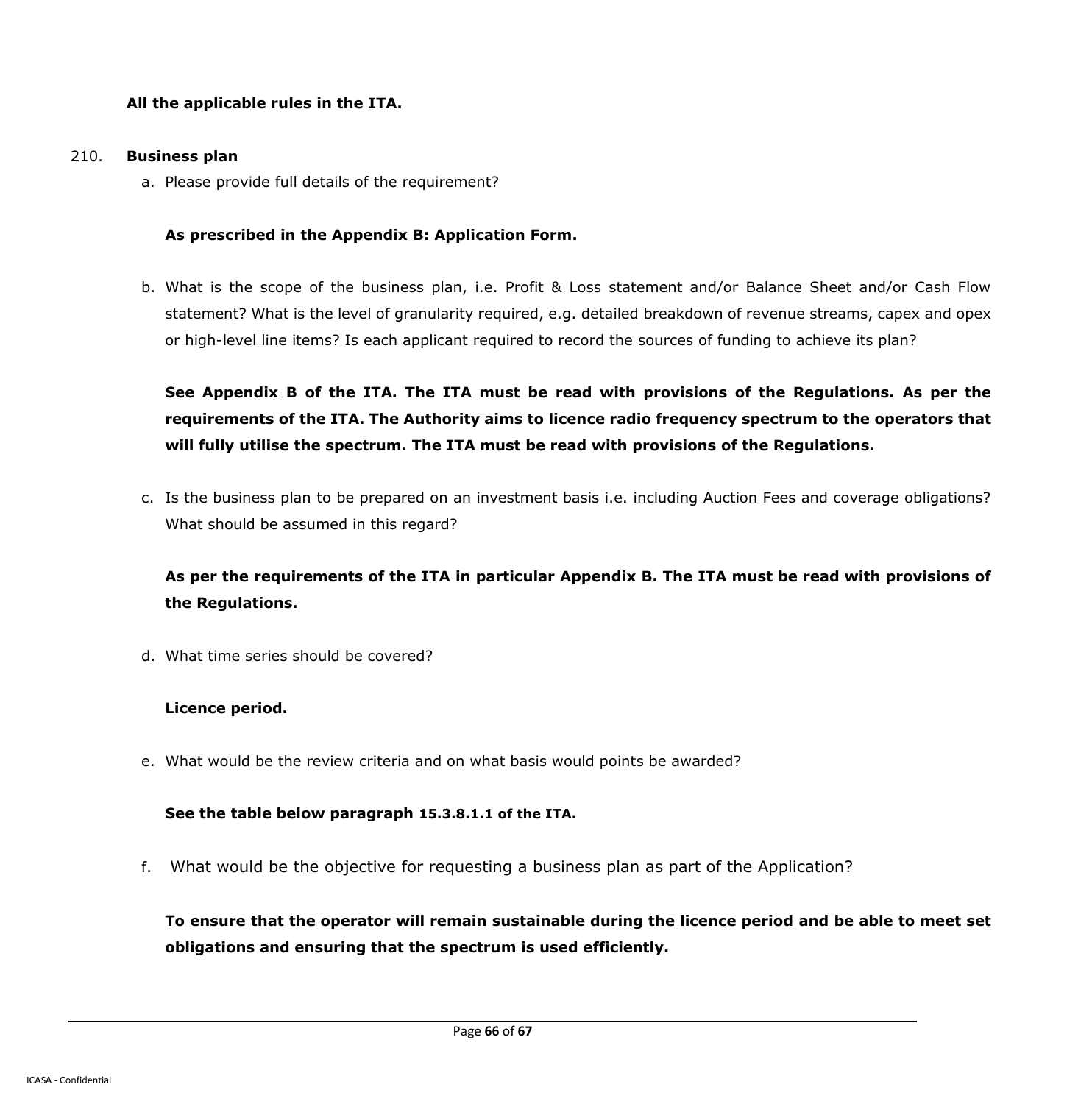### **All the applicable rules in the ITA.**

#### 210. **Business plan**

a. Please provide full details of the requirement?

#### **As prescribed in the Appendix B: Application Form.**

b. What is the scope of the business plan, i.e. Profit & Loss statement and/or Balance Sheet and/or Cash Flow statement? What is the level of granularity required, e.g. detailed breakdown of revenue streams, capex and opex or high-level line items? Is each applicant required to record the sources of funding to achieve its plan?

**See Appendix B of the ITA. The ITA must be read with provisions of the Regulations. As per the requirements of the ITA. The Authority aims to licence radio frequency spectrum to the operators that will fully utilise the spectrum. The ITA must be read with provisions of the Regulations.**

c. Is the business plan to be prepared on an investment basis i.e. including Auction Fees and coverage obligations? What should be assumed in this regard?

# **As per the requirements of the ITA in particular Appendix B. The ITA must be read with provisions of the Regulations.**

d. What time series should be covered?

#### **Licence period.**

e. What would be the review criteria and on what basis would points be awarded?

#### **See the table below paragraph 15.3.8.1.1 of the ITA.**

f. What would be the objective for requesting a business plan as part of the Application?

**To ensure that the operator will remain sustainable during the licence period and be able to meet set obligations and ensuring that the spectrum is used efficiently.**